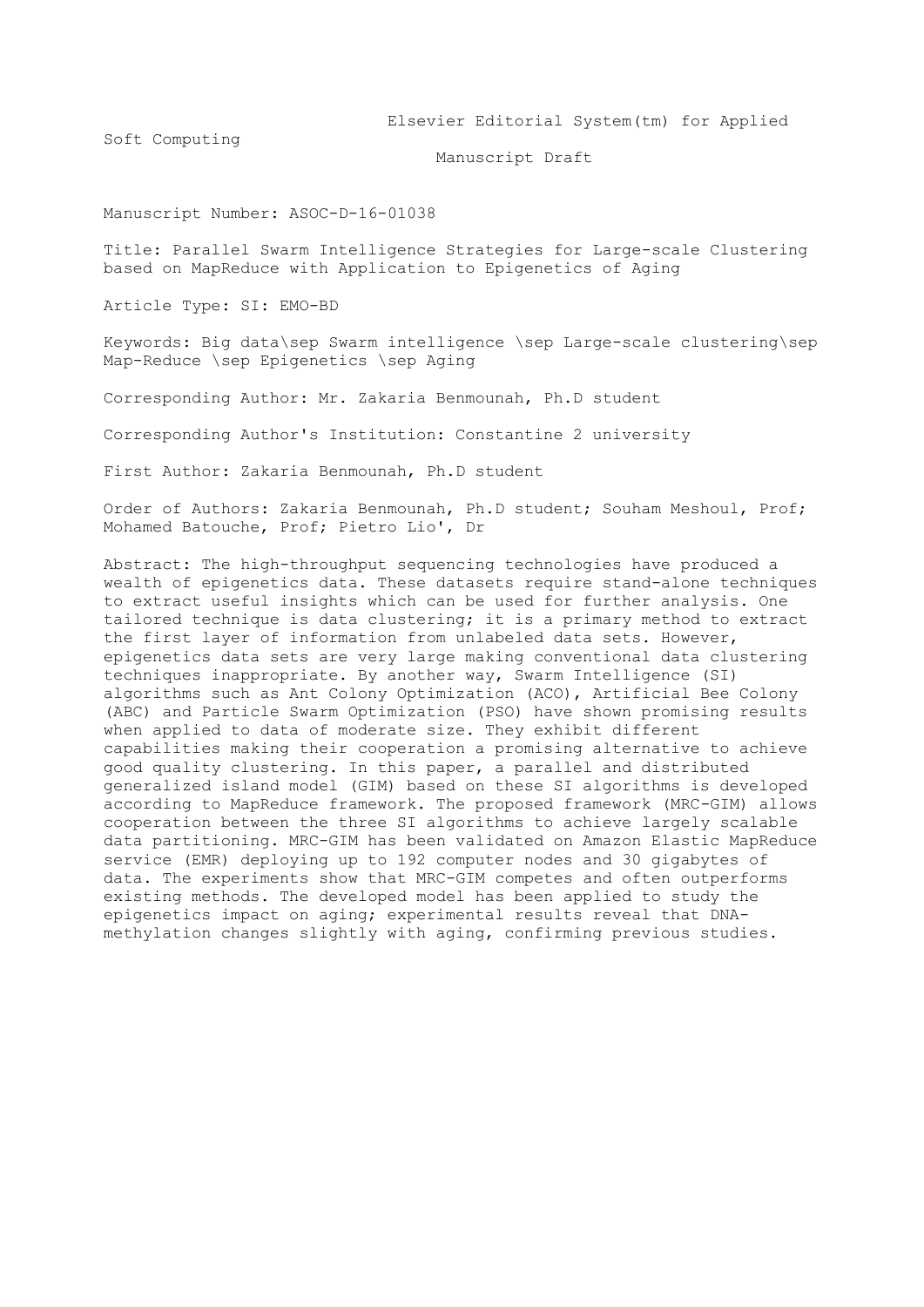Elsevier Editorial System(tm) for Applied

Soft Computing

Manuscript Draft

Manuscript Number: ASOC-D-16-01038

Title: Parallel Swarm Intelligence Strategies for Large-scale Clustering based on MapReduce with Application to Epigenetics of Aging

Article Type: SI: EMO-BD

Keywords: Big data\sep Swarm intelligence \sep Large-scale clustering\sep Map-Reduce \sep Epigenetics \sep Aging

Corresponding Author: Mr. Zakaria Benmounah, Ph.D student

Corresponding Author's Institution: Constantine 2 university

First Author: Zakaria Benmounah, Ph.D student

Order of Authors: Zakaria Benmounah, Ph.D student; Souham Meshoul, Prof; Mohamed Batouche, Prof; Pietro Lio', Dr

Abstract: The high-throughput sequencing technologies have produced a wealth of epigenetics data. These datasets require stand-alone techniques to extract useful insights which can be used for further analysis. One tailored technique is data clustering; it is a primary method to extract the first layer of information from unlabeled data sets. However, epigenetics data sets are very large making conventional data clustering techniques inappropriate. By another way, Swarm Intelligence (SI) algorithms such as Ant Colony Optimization (ACO), Artificial Bee Colony (ABC) and Particle Swarm Optimization (PSO) have shown promising results when applied to data of moderate size. They exhibit different capabilities making their cooperation a promising alternative to achieve good quality clustering. In this paper, a parallel and distributed generalized island model (GIM) based on these SI algorithms is developed according to MapReduce framework. The proposed framework (MRC-GIM) allows cooperation between the three SI algorithms to achieve largely scalable data partitioning. MRC-GIM has been validated on Amazon Elastic MapReduce service (EMR) deploying up to 192 computer nodes and 30 gigabytes of data. The experiments show that MRC-GIM competes and often outperforms existing methods. The developed model has been applied to study the epigenetics impact on aging; experimental results reveal that DNAmethylation changes slightly with aging, confirming previous studies.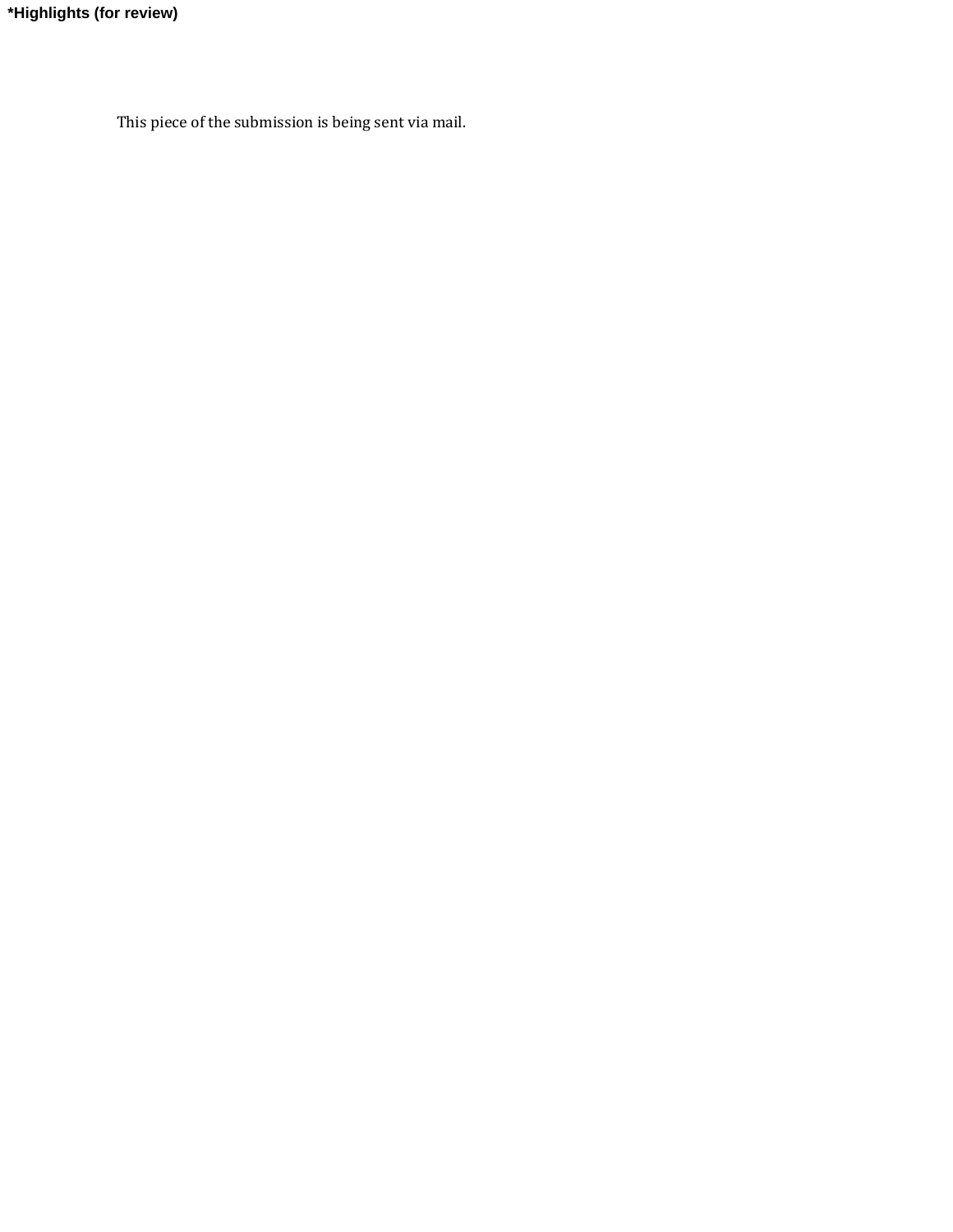**\*Highlights (for review)**

This piece of the submission is being sent via mail.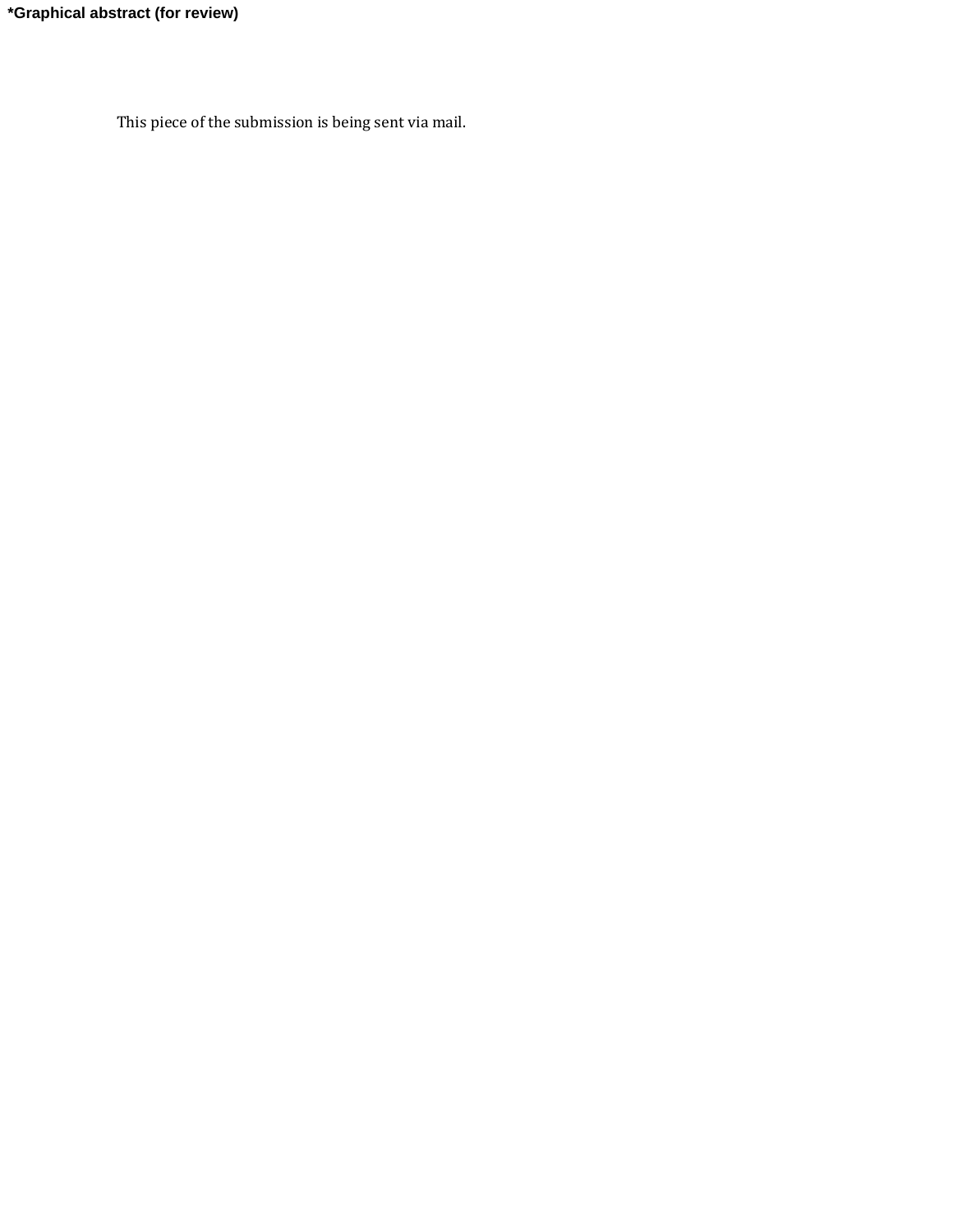This piece of the submission is being sent via mail.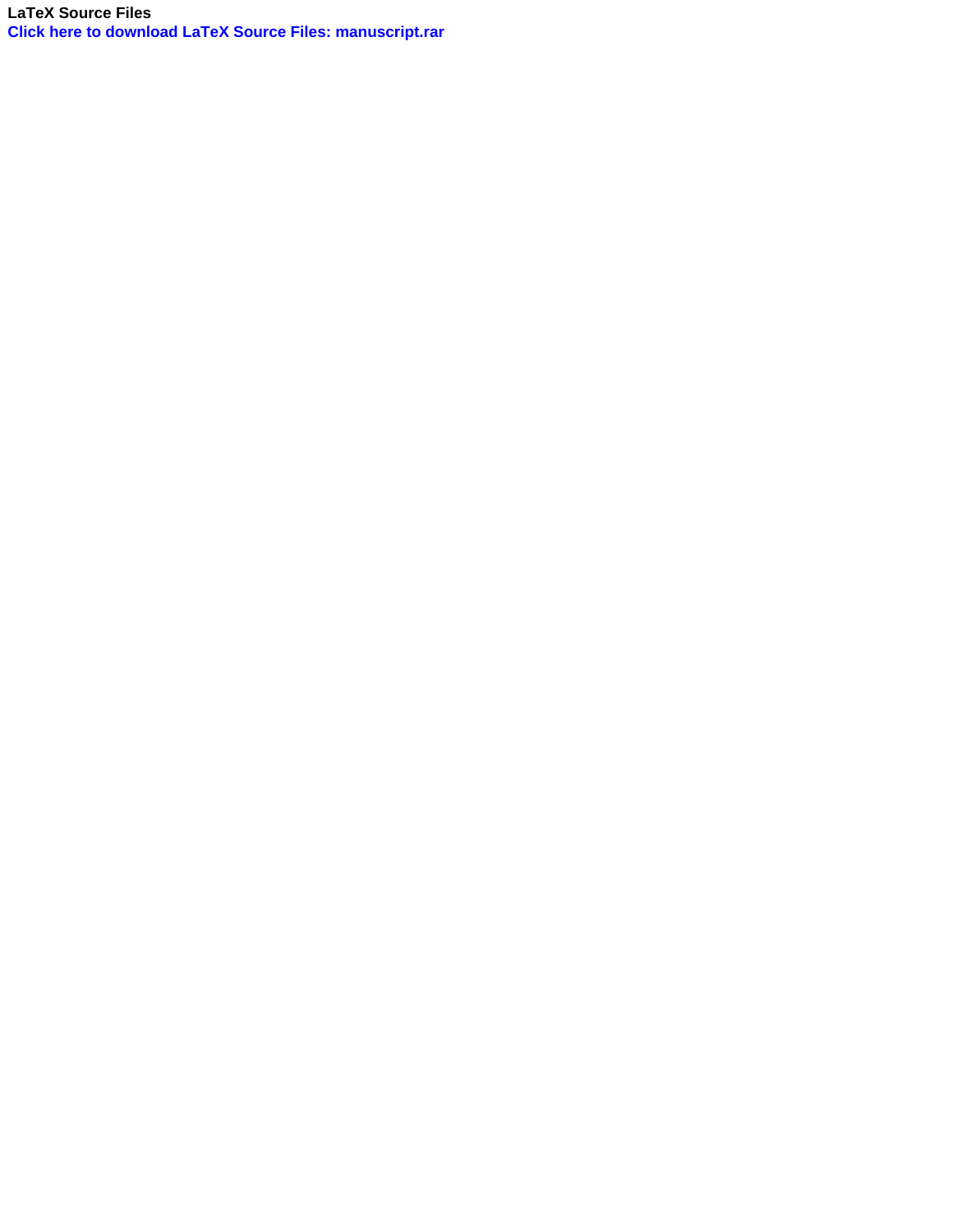**LaTeX Source Files [Click here to download LaTeX Source Files: manuscript.rar](http://ees.elsevier.com/asoc/download.aspx?id=403041&guid=2bf0ca84-1a8d-4227-bb2d-158e9618a8f8&scheme=1)**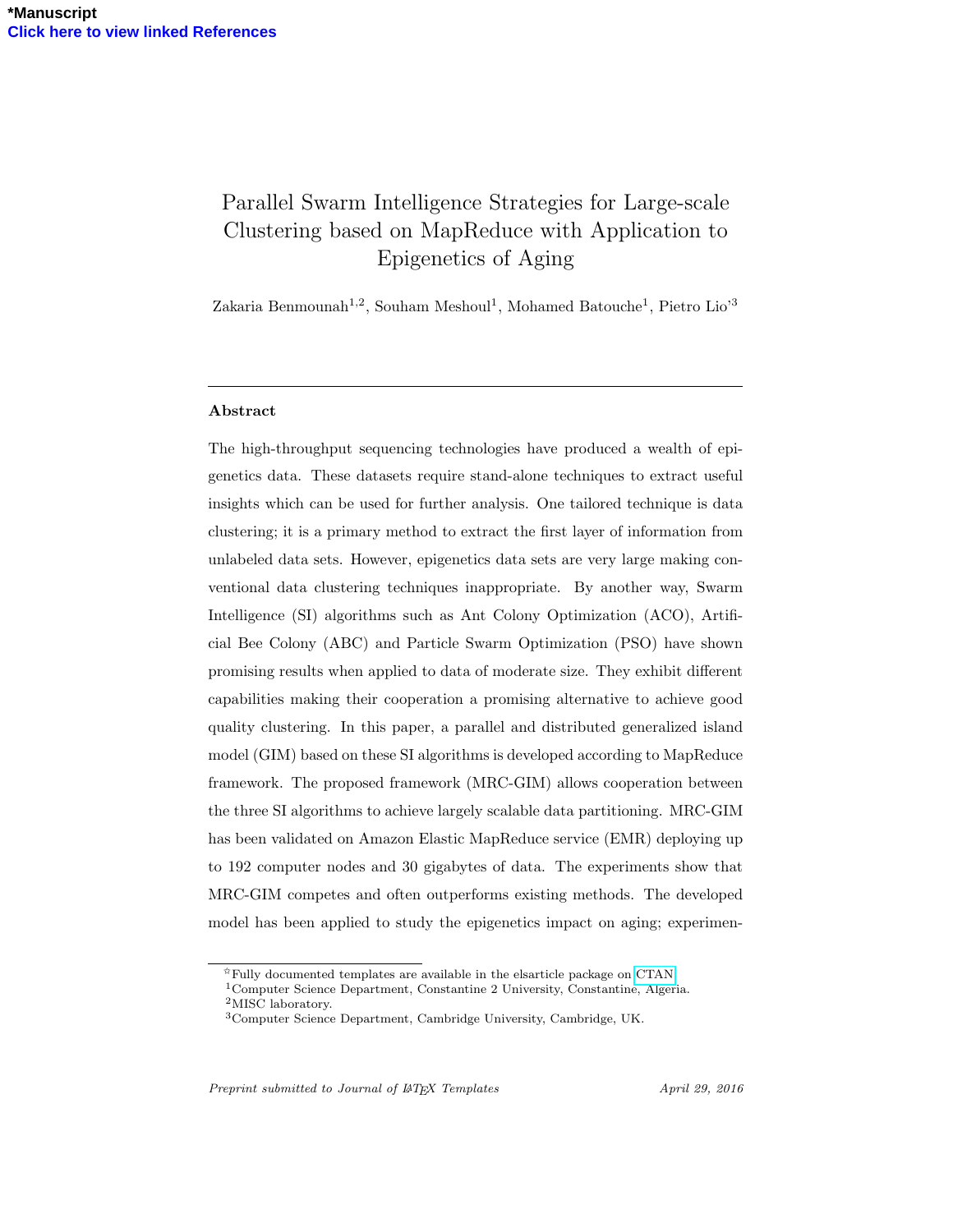# Parallel Swarm Intelligence Strategies for Large-scale Clustering based on MapReduce with Application to Epigenetics of Aging

Zakaria Benmounah<sup>1,2</sup>, Souham Meshoul<sup>1</sup>, Mohamed Batouche<sup>1</sup>, Pietro Lio<sup>3</sup>

### Abstract

The high-throughput sequencing technologies have produced a wealth of epigenetics data. These datasets require stand-alone techniques to extract useful insights which can be used for further analysis. One tailored technique is data clustering; it is a primary method to extract the first layer of information from unlabeled data sets. However, epigenetics data sets are very large making conventional data clustering techniques inappropriate. By another way, Swarm Intelligence (SI) algorithms such as Ant Colony Optimization (ACO), Artificial Bee Colony (ABC) and Particle Swarm Optimization (PSO) have shown promising results when applied to data of moderate size. They exhibit different capabilities making their cooperation a promising alternative to achieve good quality clustering. In this paper, a parallel and distributed generalized island model (GIM) based on these SI algorithms is developed according to MapReduce framework. The proposed framework (MRC-GIM) allows cooperation between the three SI algorithms to achieve largely scalable data partitioning. MRC-GIM has been validated on Amazon Elastic MapReduce service (EMR) deploying up to 192 computer nodes and 30 gigabytes of data. The experiments show that MRC-GIM competes and often outperforms existing methods. The developed model has been applied to study the epigenetics impact on aging; experimen-

Preprint submitted to Journal of LATEX Templates April 29, 2016

 $\overrightarrow{r}$ Fully documented templates are available in the elsarticle package on [CTAN.](http://www.ctan.org/tex-archive/macros/latex/contrib/elsarticle)

<sup>1</sup>Computer Science Department, Constantine 2 University, Constantine, Algeria.

<sup>&</sup>lt;sup>2</sup>MISC laboratory.

<sup>3</sup>Computer Science Department, Cambridge University, Cambridge, UK.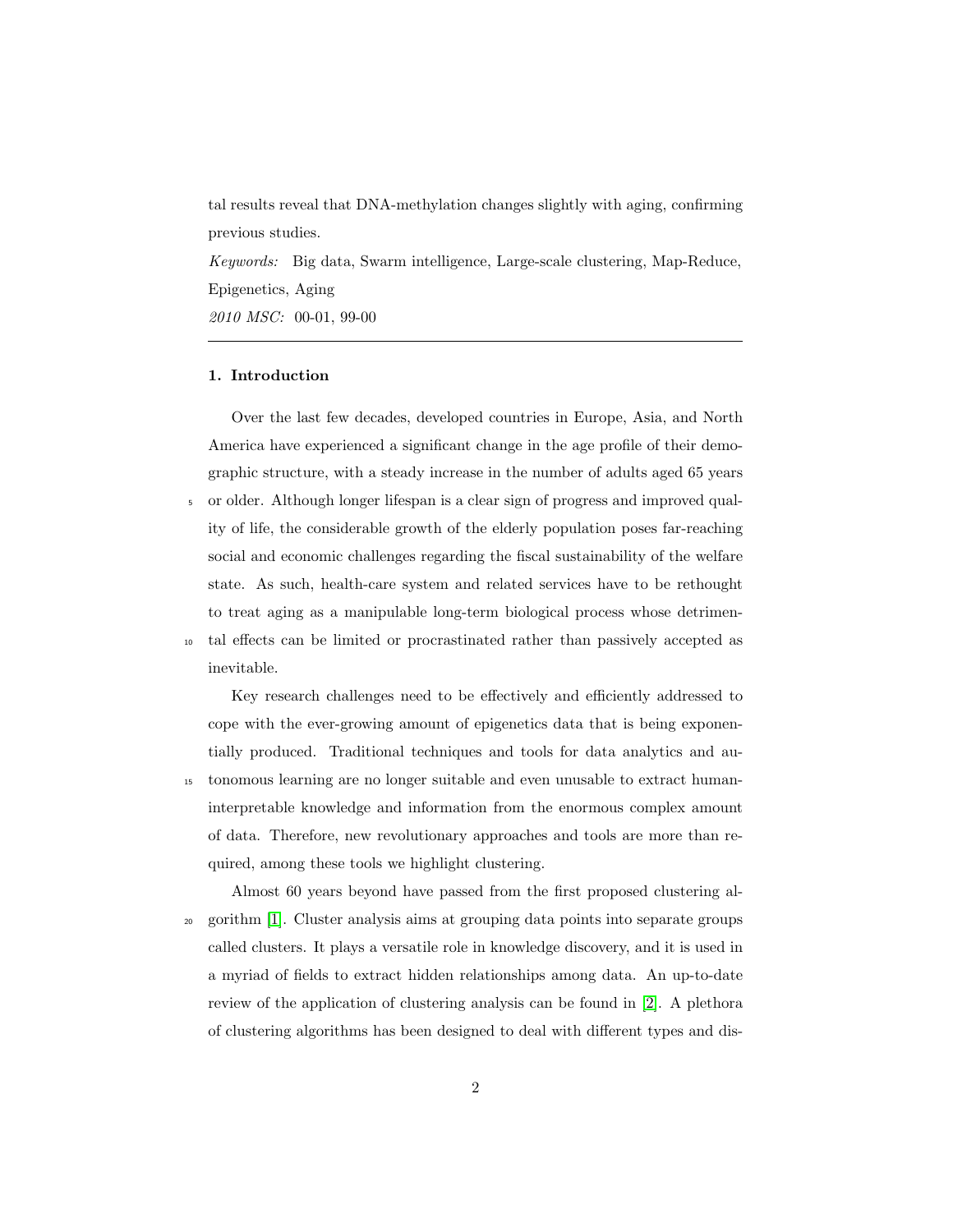tal results reveal that DNA-methylation changes slightly with aging, confirming previous studies.

Keywords: Big data, Swarm intelligence, Large-scale clustering, Map-Reduce, Epigenetics, Aging 2010 MSC: 00-01, 99-00

# 1. Introduction

Over the last few decades, developed countries in Europe, Asia, and North America have experienced a significant change in the age profile of their demographic structure, with a steady increase in the number of adults aged 65 years

<sup>5</sup> or older. Although longer lifespan is a clear sign of progress and improved quality of life, the considerable growth of the elderly population poses far-reaching social and economic challenges regarding the fiscal sustainability of the welfare state. As such, health-care system and related services have to be rethought to treat aging as a manipulable long-term biological process whose detrimen-<sup>10</sup> tal effects can be limited or procrastinated rather than passively accepted as inevitable.

Key research challenges need to be effectively and efficiently addressed to cope with the ever-growing amount of epigenetics data that is being exponentially produced. Traditional techniques and tools for data analytics and au-<sup>15</sup> tonomous learning are no longer suitable and even unusable to extract humaninterpretable knowledge and information from the enormous complex amount of data. Therefore, new revolutionary approaches and tools are more than required, among these tools we highlight clustering.

Almost 60 years beyond have passed from the first proposed clustering al-<sup>20</sup> gorithm [1]. Cluster analysis aims at grouping data points into separate groups called clusters. It plays a versatile role in knowledge discovery, and it is used in a myriad of fields to extract hidden relationships among data. An up-to-date review of the application of clustering analysis can be found in [2]. A plethora of clustering algorithms has been designed to deal with different types and dis-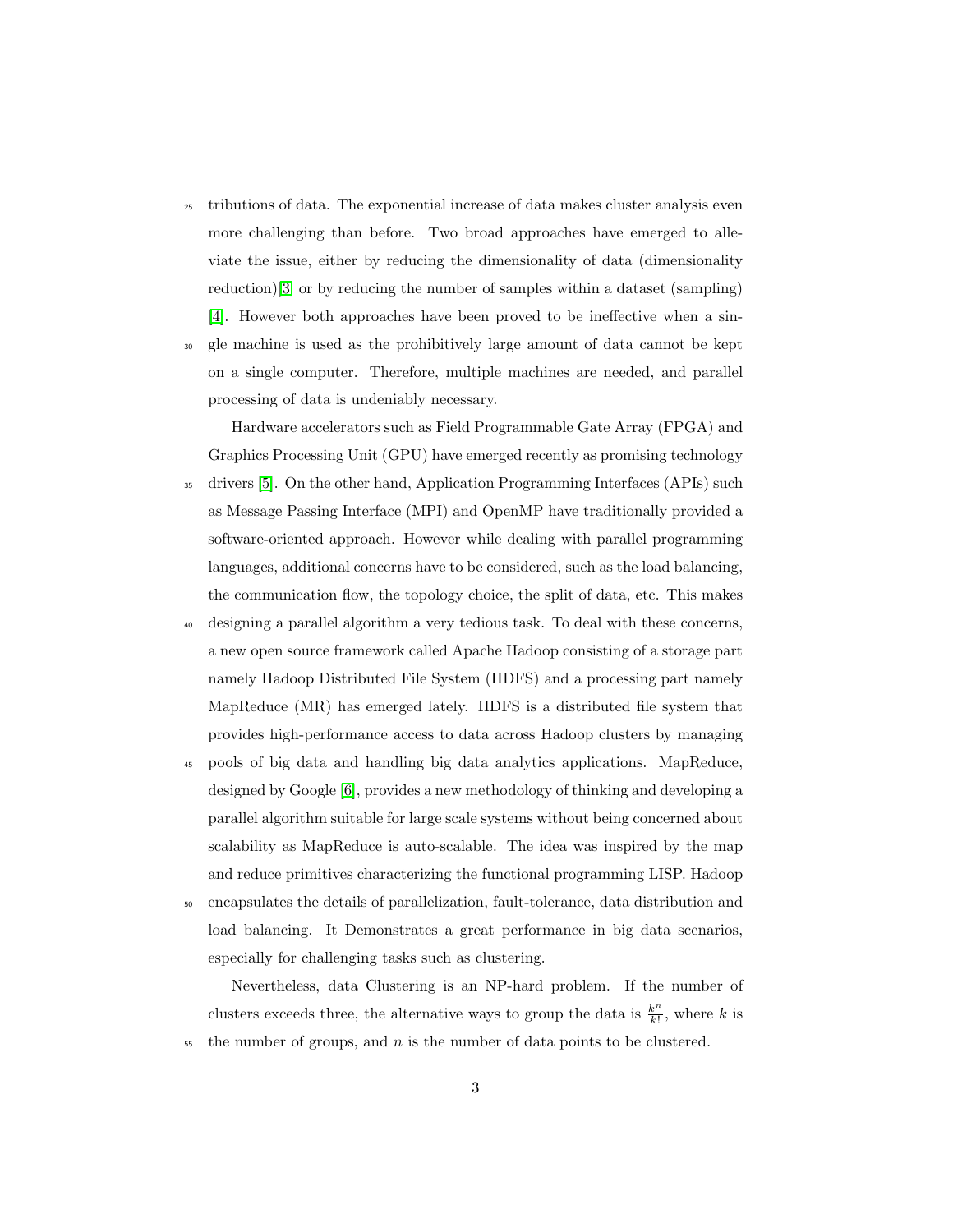- <sup>25</sup> tributions of data. The exponential increase of data makes cluster analysis even more challenging than before. Two broad approaches have emerged to alleviate the issue, either by reducing the dimensionality of data (dimensionality reduction)[3] or by reducing the number of samples within a dataset (sampling) [4]. However both approaches have been proved to be ineffective when a sin-
- <sup>30</sup> gle machine is used as the prohibitively large amount of data cannot be kept on a single computer. Therefore, multiple machines are needed, and parallel processing of data is undeniably necessary.

Hardware accelerators such as Field Programmable Gate Array (FPGA) and Graphics Processing Unit (GPU) have emerged recently as promising technology <sup>35</sup> drivers [5]. On the other hand, Application Programming Interfaces (APIs) such as Message Passing Interface (MPI) and OpenMP have traditionally provided a software-oriented approach. However while dealing with parallel programming languages, additional concerns have to be considered, such as the load balancing, the communication flow, the topology choice, the split of data, etc. This makes

- <sup>40</sup> designing a parallel algorithm a very tedious task. To deal with these concerns, a new open source framework called Apache Hadoop consisting of a storage part namely Hadoop Distributed File System (HDFS) and a processing part namely MapReduce (MR) has emerged lately. HDFS is a distributed file system that provides high-performance access to data across Hadoop clusters by managing
- <sup>45</sup> pools of big data and handling big data analytics applications. MapReduce, designed by Google [6], provides a new methodology of thinking and developing a parallel algorithm suitable for large scale systems without being concerned about scalability as MapReduce is auto-scalable. The idea was inspired by the map and reduce primitives characterizing the functional programming LISP. Hadoop
- <sup>50</sup> encapsulates the details of parallelization, fault-tolerance, data distribution and load balancing. It Demonstrates a great performance in big data scenarios, especially for challenging tasks such as clustering.

Nevertheless, data Clustering is an NP-hard problem. If the number of clusters exceeds three, the alternative ways to group the data is  $\frac{k^n}{k!}$  $\frac{k^{\prime\prime}}{k!}$ , where k is  $55$  the number of groups, and n is the number of data points to be clustered.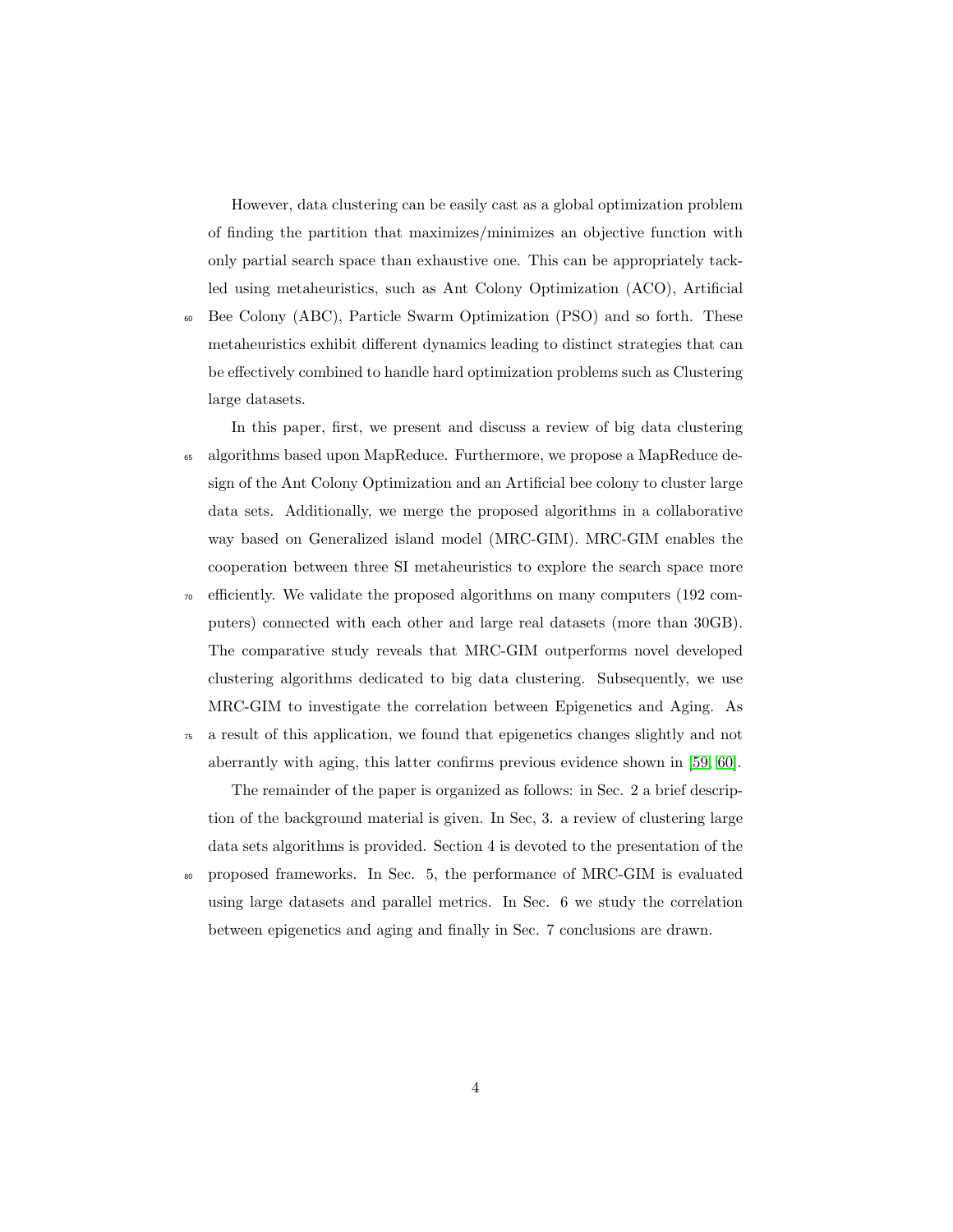However, data clustering can be easily cast as a global optimization problem of finding the partition that maximizes/minimizes an objective function with only partial search space than exhaustive one. This can be appropriately tackled using metaheuristics, such as Ant Colony Optimization (ACO), Artificial

<sup>60</sup> Bee Colony (ABC), Particle Swarm Optimization (PSO) and so forth. These metaheuristics exhibit different dynamics leading to distinct strategies that can be effectively combined to handle hard optimization problems such as Clustering large datasets.

In this paper, first, we present and discuss a review of big data clustering <sup>65</sup> algorithms based upon MapReduce. Furthermore, we propose a MapReduce design of the Ant Colony Optimization and an Artificial bee colony to cluster large data sets. Additionally, we merge the proposed algorithms in a collaborative way based on Generalized island model (MRC-GIM). MRC-GIM enables the cooperation between three SI metaheuristics to explore the search space more <sup>70</sup> efficiently. We validate the proposed algorithms on many computers (192 computers) connected with each other and large real datasets (more than 30GB). The comparative study reveals that MRC-GIM outperforms novel developed clustering algorithms dedicated to big data clustering. Subsequently, we use

<sup>75</sup> a result of this application, we found that epigenetics changes slightly and not aberrantly with aging, this latter confirms previous evidence shown in [59, 60].

MRC-GIM to investigate the correlation between Epigenetics and Aging. As

The remainder of the paper is organized as follows: in Sec. 2 a brief description of the background material is given. In Sec, 3. a review of clustering large data sets algorithms is provided. Section 4 is devoted to the presentation of the <sup>80</sup> proposed frameworks. In Sec. 5, the performance of MRC-GIM is evaluated

using large datasets and parallel metrics. In Sec. 6 we study the correlation between epigenetics and aging and finally in Sec. 7 conclusions are drawn.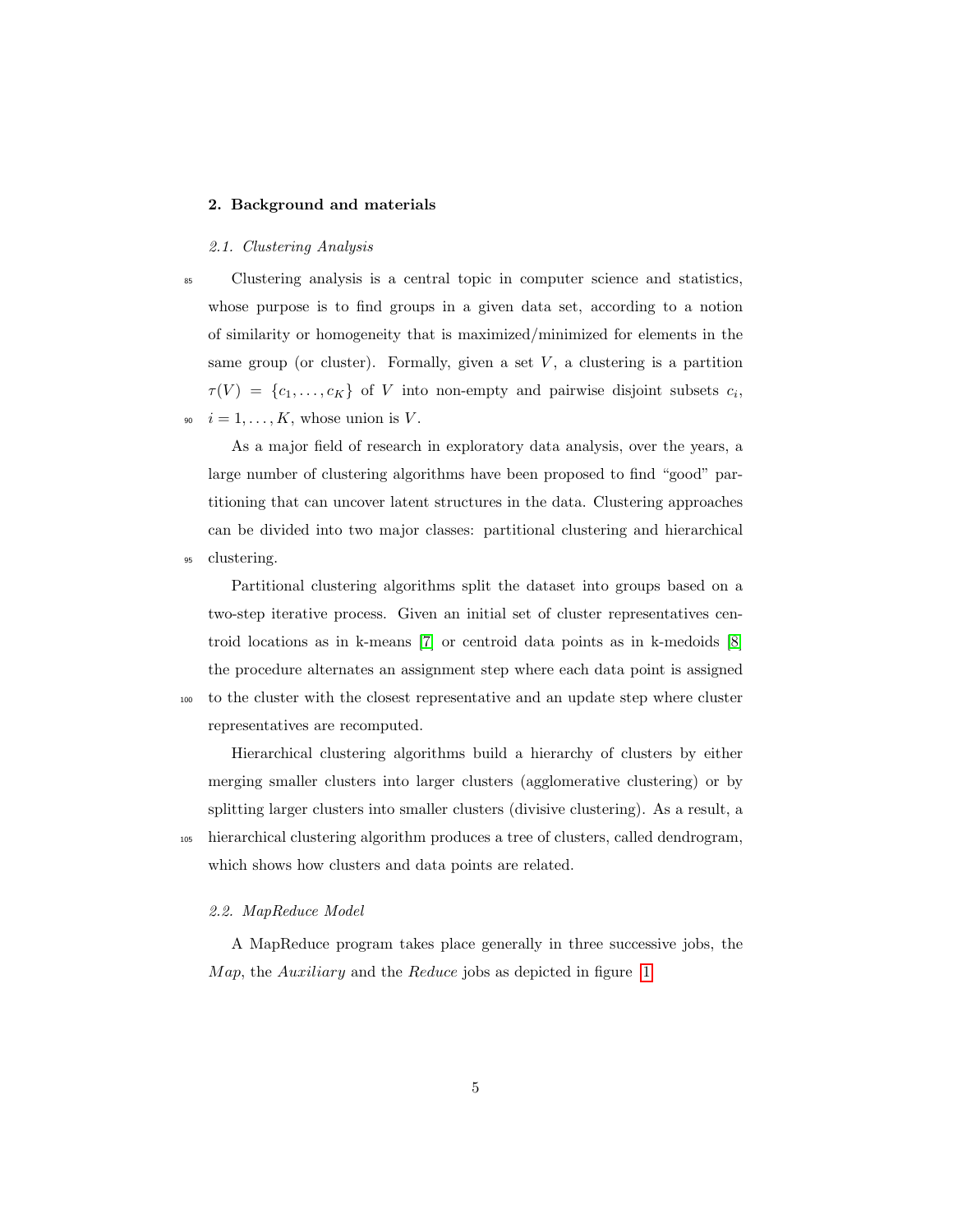# 2. Background and materials

# 2.1. Clustering Analysis

<sup>85</sup> Clustering analysis is a central topic in computer science and statistics, whose purpose is to find groups in a given data set, according to a notion of similarity or homogeneity that is maximized/minimized for elements in the same group (or cluster). Formally, given a set  $V$ , a clustering is a partition  $\tau(V) = \{c_1, \ldots, c_K\}$  of V into non-empty and pairwise disjoint subsets  $c_i$ ,  $i = 1, \ldots, K$ , whose union is V.

As a major field of research in exploratory data analysis, over the years, a large number of clustering algorithms have been proposed to find "good" partitioning that can uncover latent structures in the data. Clustering approaches can be divided into two major classes: partitional clustering and hierarchical <sup>95</sup> clustering.

Partitional clustering algorithms split the dataset into groups based on a two-step iterative process. Given an initial set of cluster representatives centroid locations as in k-means [7] or centroid data points as in k-medoids [8] the procedure alternates an assignment step where each data point is assigned <sup>100</sup> to the cluster with the closest representative and an update step where cluster representatives are recomputed.

Hierarchical clustering algorithms build a hierarchy of clusters by either merging smaller clusters into larger clusters (agglomerative clustering) or by splitting larger clusters into smaller clusters (divisive clustering). As a result, a <sup>105</sup> hierarchical clustering algorithm produces a tree of clusters, called dendrogram, which shows how clusters and data points are related.

#### 2.2. MapReduce Model

A MapReduce program takes place generally in three successive jobs, the Map, the Auxiliary and the Reduce jobs as depicted in figure 1.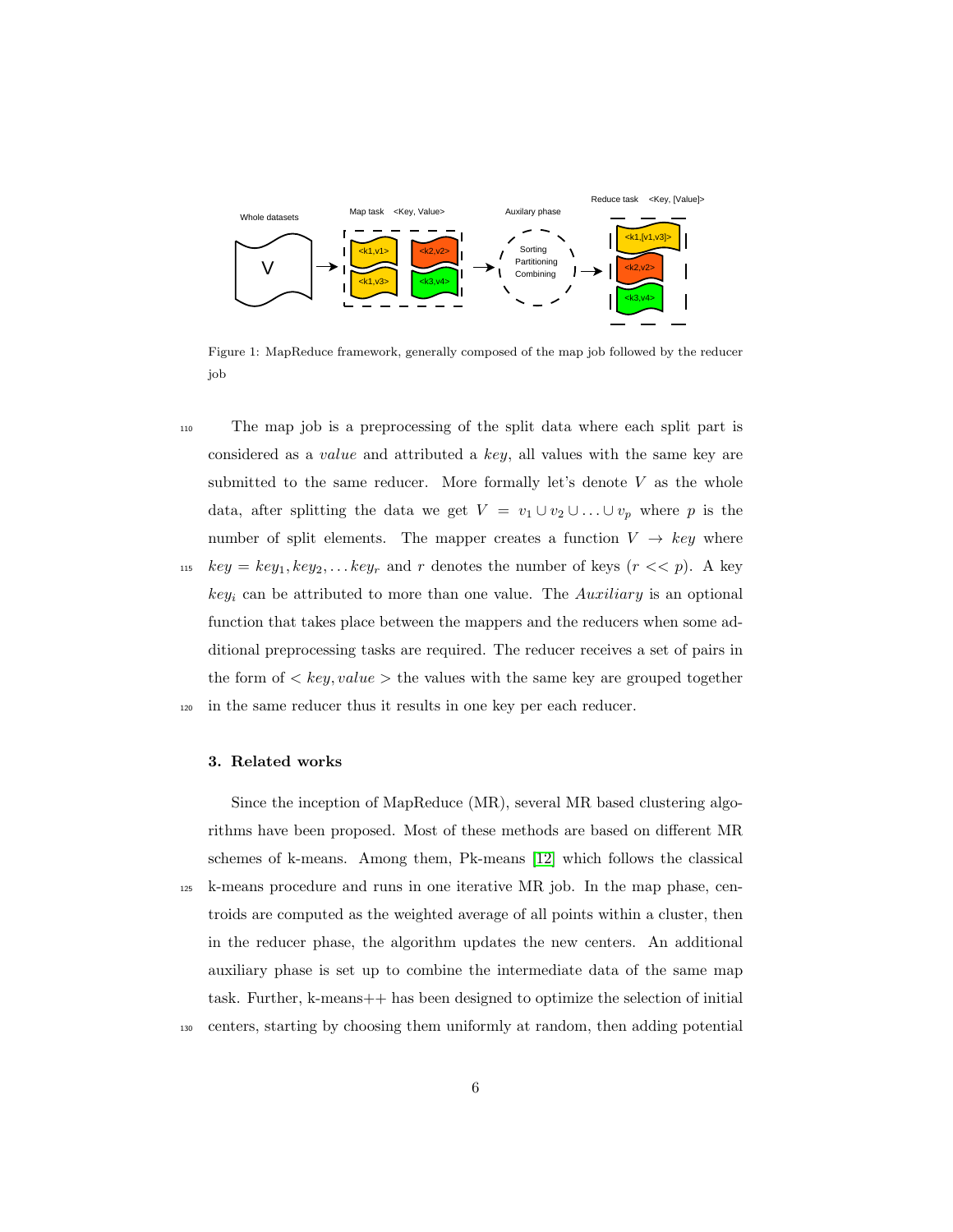

Figure 1: MapReduce framework, generally composed of the map job followed by the reducer job

<sup>110</sup> The map job is a preprocessing of the split data where each split part is considered as a value and attributed a key, all values with the same key are submitted to the same reducer. More formally let's denote  $V$  as the whole data, after splitting the data we get  $V = v_1 \cup v_2 \cup ... \cup v_p$  where p is the number of split elements. The mapper creates a function  $V \rightarrow key$  where <sup>115</sup>  $key = key_1, key_2, \ldots key_r$  and r denotes the number of keys  $(r \ll p)$ . A key  $key_i$  can be attributed to more than one value. The Auxiliary is an optional function that takes place between the mappers and the reducers when some additional preprocessing tasks are required. The reducer receives a set of pairs in the form of  $\langle key, value \rangle$  the values with the same key are grouped together <sup>120</sup> in the same reducer thus it results in one key per each reducer.

# 3. Related works

Since the inception of MapReduce (MR), several MR based clustering algorithms have been proposed. Most of these methods are based on different MR schemes of k-means. Among them, Pk-means [12] which follows the classical <sup>125</sup> k-means procedure and runs in one iterative MR job. In the map phase, centroids are computed as the weighted average of all points within a cluster, then in the reducer phase, the algorithm updates the new centers. An additional auxiliary phase is set up to combine the intermediate data of the same map task. Further, k-means++ has been designed to optimize the selection of initial <sup>130</sup> centers, starting by choosing them uniformly at random, then adding potential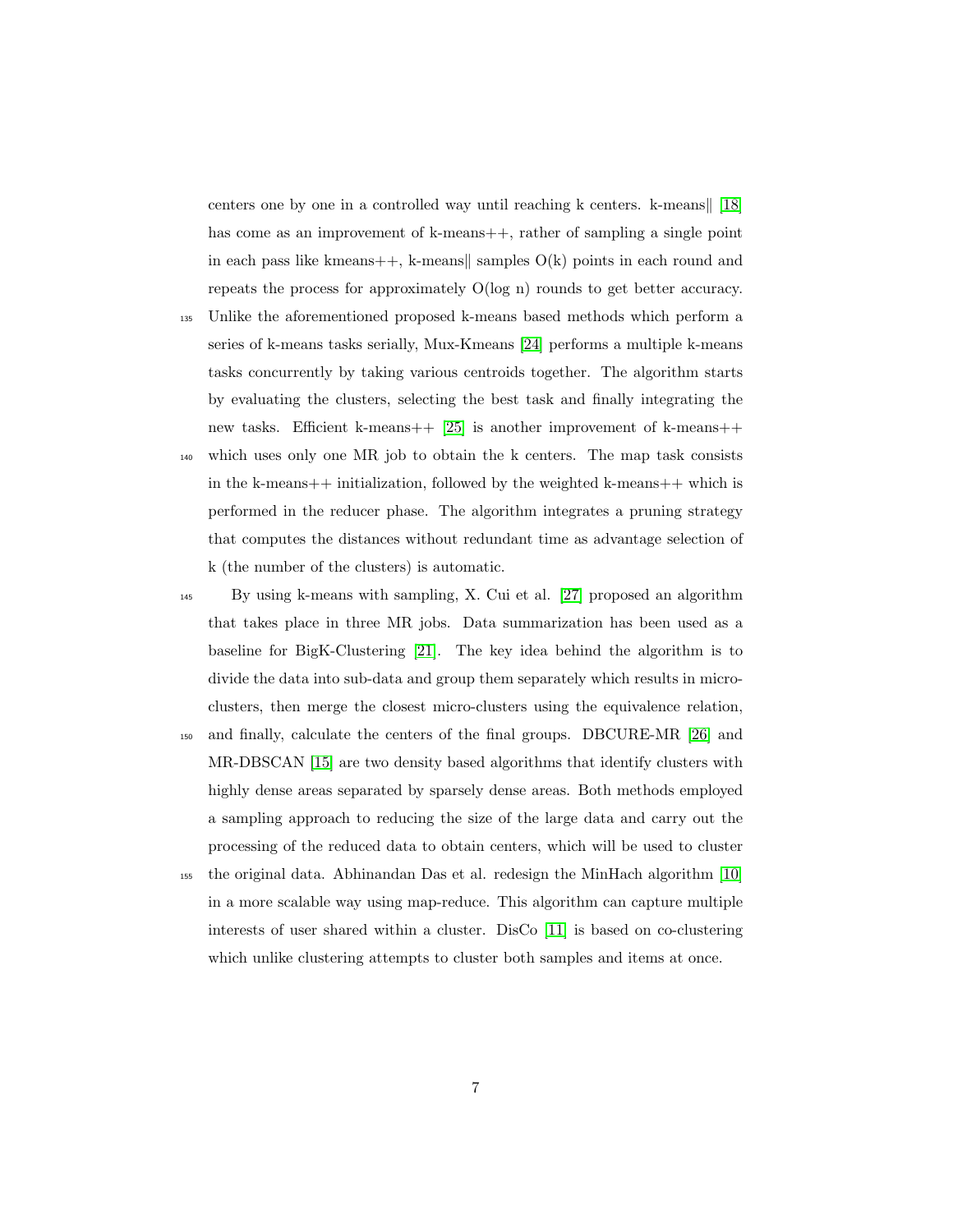centers one by one in a controlled way until reaching  $k$  centers.  $k$ -means [18] has come as an improvement of k-means++, rather of sampling a single point in each pass like kmeans++, k-means samples  $O(k)$  points in each round and repeats the process for approximately O(log n) rounds to get better accuracy.

<sup>135</sup> Unlike the aforementioned proposed k-means based methods which perform a series of k-means tasks serially, Mux-Kmeans [24] performs a multiple k-means tasks concurrently by taking various centroids together. The algorithm starts by evaluating the clusters, selecting the best task and finally integrating the new tasks. Efficient k-means++ [25] is another improvement of k-means++ <sup>140</sup> which uses only one MR job to obtain the k centers. The map task consists

in the k-means++ initialization, followed by the weighted k-means++ which is performed in the reducer phase. The algorithm integrates a pruning strategy that computes the distances without redundant time as advantage selection of k (the number of the clusters) is automatic.

- <sup>145</sup> By using k-means with sampling, X. Cui et al. [27] proposed an algorithm that takes place in three MR jobs. Data summarization has been used as a baseline for BigK-Clustering [21]. The key idea behind the algorithm is to divide the data into sub-data and group them separately which results in microclusters, then merge the closest micro-clusters using the equivalence relation, <sup>150</sup> and finally, calculate the centers of the final groups. DBCURE-MR [26] and MR-DBSCAN [15] are two density based algorithms that identify clusters with
- highly dense areas separated by sparsely dense areas. Both methods employed a sampling approach to reducing the size of the large data and carry out the processing of the reduced data to obtain centers, which will be used to cluster
- <sup>155</sup> the original data. Abhinandan Das et al. redesign the MinHach algorithm [10] in a more scalable way using map-reduce. This algorithm can capture multiple interests of user shared within a cluster. DisCo [11] is based on co-clustering which unlike clustering attempts to cluster both samples and items at once.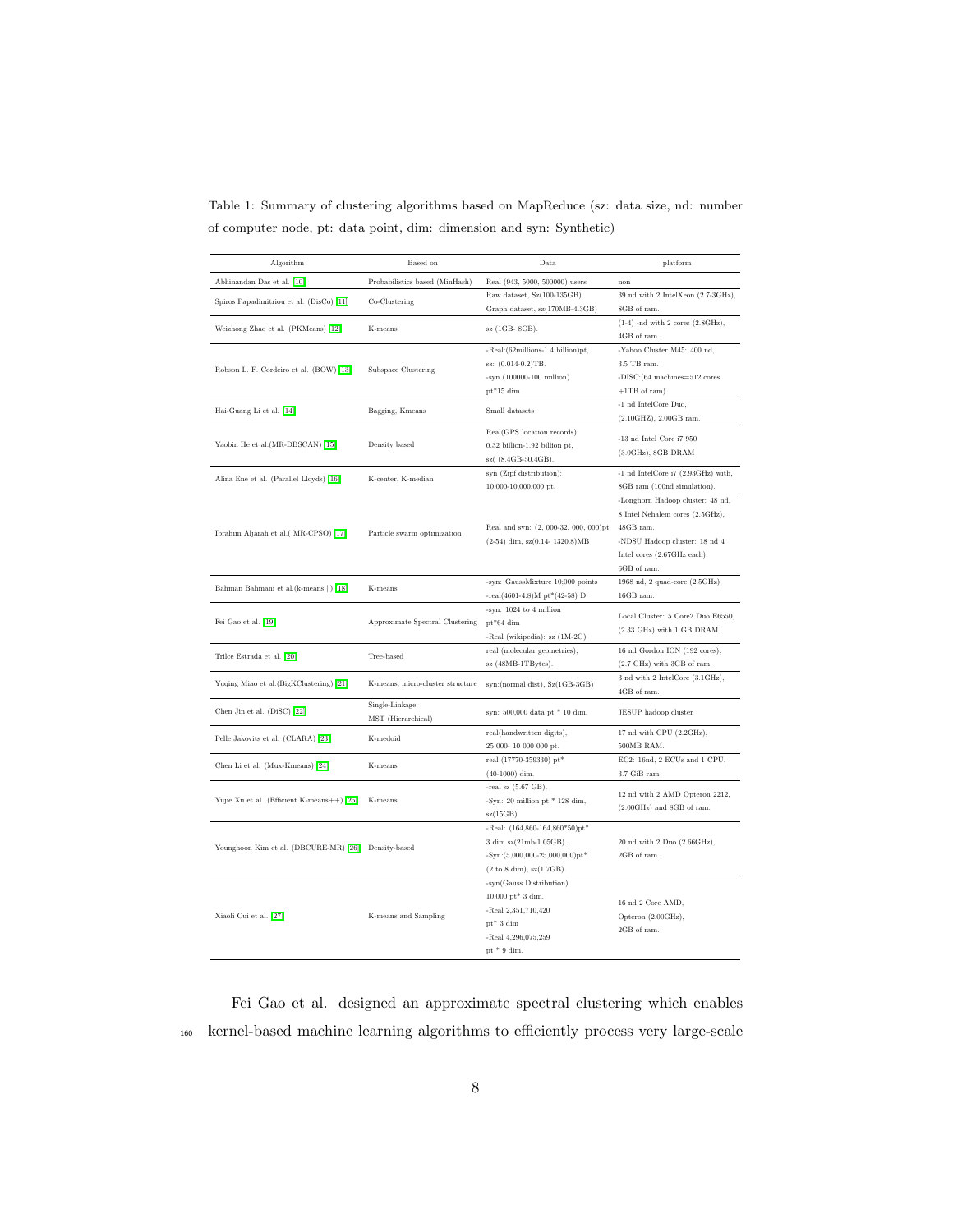| Table 1: Summary of clustering algorithms based on MapReduce (sz: data size, nd: number |  |  |  |  |  |  |  |
|-----------------------------------------------------------------------------------------|--|--|--|--|--|--|--|
| of computer node, pt: data point, dim: dimension and syn: Synthetic)                    |  |  |  |  |  |  |  |

| Algorithm                                           | Based on                         | Data                                                                                    | platform                                      |  |
|-----------------------------------------------------|----------------------------------|-----------------------------------------------------------------------------------------|-----------------------------------------------|--|
| Abhinandan Das et al. [10]                          | Probabilistics based (MinHash)   | Real (943, 5000, 500000) users                                                          | non                                           |  |
| Spiros Papadimitriou et al. (DisCo) [11]            | Co-Clustering                    | Raw dataset, Sz(100-135GB)                                                              | 39 nd with 2 IntelXeon (2.7-3GHz),            |  |
|                                                     |                                  | Graph dataset, sz(170MB-4.3GB)                                                          | 8GB of ram.                                   |  |
| Weizhong Zhao et al. (PKMeans) [12]                 | K-means                          | sz (1GB-8GB).                                                                           | $(1-4)$ -nd with 2 cores $(2.8 \text{GHz})$ , |  |
|                                                     |                                  |                                                                                         | 4GB of ram.                                   |  |
|                                                     |                                  | -Real: (62millions-1.4 billion) pt,                                                     | -Yahoo Cluster M45: 400 nd,<br>3.5 TB ram.    |  |
| Robson L. F. Cordeiro et al. (BOW) [13]             | Subspace Clustering              | sz: (0.014-0.2)TB.<br>$-syn$ (100000-100 million)                                       | -DISC: $(64$ machines= $512$ cores            |  |
|                                                     |                                  | $pt*15$ dim                                                                             | $+1TB$ of ram)                                |  |
|                                                     |                                  |                                                                                         | -1 nd IntelCore Duo,                          |  |
| Hai-Guang Li et al. [14]                            | Bagging, Kmeans                  | Small datasets                                                                          | (2.10GHZ), 2.00GB ram.                        |  |
|                                                     |                                  | Real(GPS location records):                                                             |                                               |  |
| Yaobin He et al.(MR-DBSCAN) [15]                    | Density based                    | 0.32 billion-1.92 billion pt,                                                           | $\mbox{-}13$ nd Intel Core i<br>7 $950$       |  |
|                                                     |                                  | sz( (8.4GB-50.4GB).                                                                     | $(3.0GHz)$ , 8GB DRAM                         |  |
|                                                     | K-center, K-median               | syn (Zipf distribution):                                                                | -1 nd IntelCore i7 (2.93GHz) with,            |  |
| Alina Ene et al. (Parallel Lloyds) [16]             |                                  | 10,000-10,000,000 pt.                                                                   | 8GB ram (100nd simulation).                   |  |
|                                                     |                                  |                                                                                         | -Longhorn Hadoop cluster: 48 nd,              |  |
|                                                     |                                  |                                                                                         | 8 Intel Nehalem cores (2.5GHz),               |  |
| Ibrahim Aljarah et al.(MR-CPSO) [17]                | Particle swarm optimization      | Real and syn: (2, 000-32, 000, 000)pt                                                   | 48GB ram.                                     |  |
|                                                     |                                  | $(2-54)$ dim, sz $(0.14 - 1320.8)MB$                                                    | -NDSU Hadoop cluster: 18 nd 4                 |  |
|                                                     |                                  |                                                                                         | Intel cores (2.67GHz each),                   |  |
|                                                     |                                  |                                                                                         | 6GB of ram.                                   |  |
| Bahman Bahmani et al. (k-means   ) [18]             | K-means                          | -syn: GaussMixture 10;000 points                                                        | 1968 nd, 2 quad-core (2.5GHz),                |  |
|                                                     |                                  | $-real(4601-4.8)M pt*(42-58)D.$                                                         | 16GB ram.                                     |  |
|                                                     |                                  | -syn: 1024 to 4 million                                                                 | Local Cluster: 5 Core2 Duo E6550,             |  |
| Fei Gao et al. [19]                                 | Approximate Spectral Clustering  | $pt*64$ dim                                                                             | (2.33 GHz) with 1 GB DRAM.                    |  |
|                                                     |                                  | -Real (wikipedia): sz (1M-2G)<br>real (molecular geometries),                           | 16 nd Gordon ION (192 cores),                 |  |
| Trilce Estrada et al. [20]                          | Tree-based                       | sz (48MB-1TBytes).                                                                      | $(2.7 \text{ GHz})$ with 3GB of ram.          |  |
|                                                     |                                  |                                                                                         | 3 nd with 2 IntelCore (3.1GHz),               |  |
| Yuqing Miao et al. (BigKClustering) [21]            | K-means, micro-cluster structure | syn: (normal dist), Sz(1GB-3GB)                                                         | 4GB of ram.                                   |  |
|                                                     | Single-Linkage,                  |                                                                                         |                                               |  |
| Chen Jin et al. (DiSC) [22]                         | MST (Hierarchical)               | syn: 500,000 data pt * 10 dim.                                                          | JESUP hadoop cluster                          |  |
| Pelle Jakovits et al. (CLARA) [23]                  | K-medoid                         | real(handwritten digits),                                                               | 17 nd with CPU (2.2GHz),                      |  |
|                                                     |                                  | 25 000-10 000 000 pt.                                                                   | 500MB RAM.                                    |  |
| Chen Li et al. (Mux-Kmeans) [24]                    | K-means                          | real (17770-359330) pt*                                                                 | EC2: 16nd, 2 ECUs and 1 CPU,                  |  |
|                                                     |                                  | $(40-1000)$ dim.                                                                        | 3.7 GiB ram                                   |  |
|                                                     |                                  | -real sz $(5.67$ GB).                                                                   | 12 nd with 2 AMD Opteron 2212,                |  |
| Yujie Xu et al. (Efficient K-means++) [25]          | K-means                          | -Syn: 20 million pt $*$ 128 dim,                                                        | $(2.00\text{GHz})$ and 8GB of ram.            |  |
|                                                     |                                  | $sz(15GB)$ .                                                                            |                                               |  |
|                                                     |                                  | -Real: $(164,860-164,860*50)pt*$                                                        |                                               |  |
| Younghoon Kim et al. (DBCURE-MR) [26] Density-based |                                  | 3 dim sz(21mb-1.05GB).                                                                  | 20 nd with 2 Duo (2.66GHz),                   |  |
|                                                     |                                  | $-Syn:(5,000,000-25,000,000)pt*$                                                        | 2GB of ram.                                   |  |
|                                                     |                                  | $(2 \text{ to } 8 \text{ dim}), \text{ sz}(1.7 \text{GB}).$<br>-syn(Gauss Distribution) |                                               |  |
|                                                     |                                  | $10,000 \text{ pt}^* 3 \text{ dim.}$                                                    |                                               |  |
|                                                     |                                  | -Real 2,351,710,420                                                                     | 16 nd 2 Core AMD.                             |  |
| Xiaoli Cui et al. [27]                              | K-means and Sampling             | $pt*3 dim$                                                                              | Opteron (2.00GHz),                            |  |
|                                                     |                                  | -Real 4,296,075,259                                                                     | 2GB of ram.                                   |  |
|                                                     |                                  | pt $*$ 9 dim.                                                                           |                                               |  |
|                                                     |                                  |                                                                                         |                                               |  |

Fei Gao et al. designed an approximate spectral clustering which enables <sup>160</sup> kernel-based machine learning algorithms to efficiently process very large-scale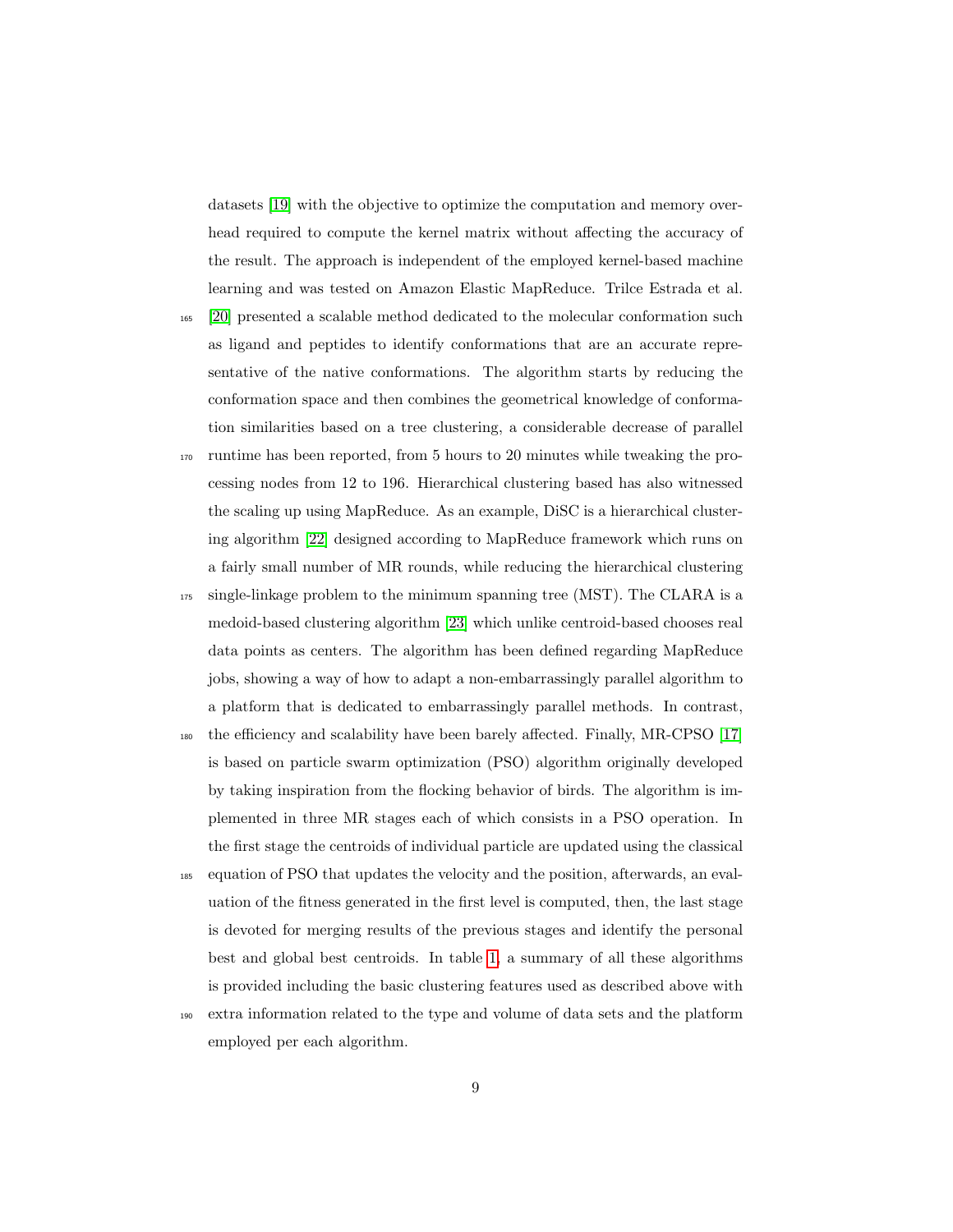datasets [19] with the objective to optimize the computation and memory overhead required to compute the kernel matrix without affecting the accuracy of the result. The approach is independent of the employed kernel-based machine learning and was tested on Amazon Elastic MapReduce. Trilce Estrada et al.

- <sup>165</sup> [20] presented a scalable method dedicated to the molecular conformation such as ligand and peptides to identify conformations that are an accurate representative of the native conformations. The algorithm starts by reducing the conformation space and then combines the geometrical knowledge of conformation similarities based on a tree clustering, a considerable decrease of parallel
- <sup>170</sup> runtime has been reported, from 5 hours to 20 minutes while tweaking the processing nodes from 12 to 196. Hierarchical clustering based has also witnessed the scaling up using MapReduce. As an example, DiSC is a hierarchical clustering algorithm [22] designed according to MapReduce framework which runs on a fairly small number of MR rounds, while reducing the hierarchical clustering
- <sup>175</sup> single-linkage problem to the minimum spanning tree (MST). The CLARA is a medoid-based clustering algorithm [23] which unlike centroid-based chooses real data points as centers. The algorithm has been defined regarding MapReduce jobs, showing a way of how to adapt a non-embarrassingly parallel algorithm to a platform that is dedicated to embarrassingly parallel methods. In contrast,
- <sup>180</sup> the efficiency and scalability have been barely affected. Finally, MR-CPSO [17] is based on particle swarm optimization (PSO) algorithm originally developed by taking inspiration from the flocking behavior of birds. The algorithm is implemented in three MR stages each of which consists in a PSO operation. In the first stage the centroids of individual particle are updated using the classical
- <sup>185</sup> equation of PSO that updates the velocity and the position, afterwards, an evaluation of the fitness generated in the first level is computed, then, the last stage is devoted for merging results of the previous stages and identify the personal best and global best centroids. In table 1, a summary of all these algorithms is provided including the basic clustering features used as described above with
- <sup>190</sup> extra information related to the type and volume of data sets and the platform employed per each algorithm.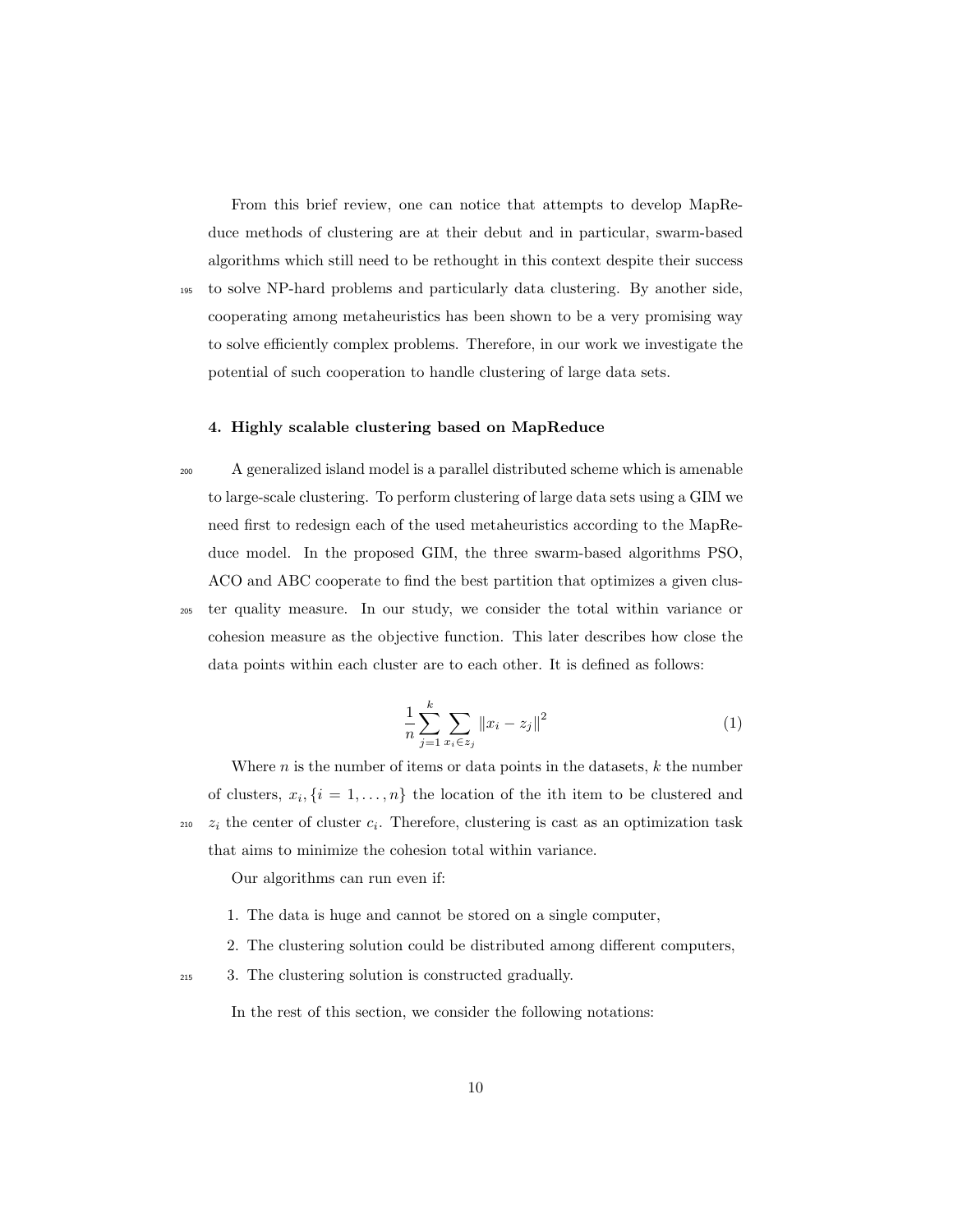From this brief review, one can notice that attempts to develop MapReduce methods of clustering are at their debut and in particular, swarm-based algorithms which still need to be rethought in this context despite their success

<sup>195</sup> to solve NP-hard problems and particularly data clustering. By another side, cooperating among metaheuristics has been shown to be a very promising way to solve efficiently complex problems. Therefore, in our work we investigate the potential of such cooperation to handle clustering of large data sets.

# 4. Highly scalable clustering based on MapReduce

<sup>200</sup> A generalized island model is a parallel distributed scheme which is amenable to large-scale clustering. To perform clustering of large data sets using a GIM we need first to redesign each of the used metaheuristics according to the MapReduce model. In the proposed GIM, the three swarm-based algorithms PSO, ACO and ABC cooperate to find the best partition that optimizes a given clus-<sup>205</sup> ter quality measure. In our study, we consider the total within variance or cohesion measure as the objective function. This later describes how close the data points within each cluster are to each other. It is defined as follows:

$$
\frac{1}{n} \sum_{j=1}^{k} \sum_{x_i \in z_j} ||x_i - z_j||^2 \tag{1}
$$

Where  $n$  is the number of items or data points in the datasets,  $k$  the number of clusters,  $x_i$ ,  $\{i = 1, \ldots, n\}$  the location of the ith item to be clustered and  $z_{10}$   $z_i$  the center of cluster  $c_i$ . Therefore, clustering is cast as an optimization task that aims to minimize the cohesion total within variance.

Our algorithms can run even if:

- 1. The data is huge and cannot be stored on a single computer,
- 2. The clustering solution could be distributed among different computers,
- <sup>215</sup> 3. The clustering solution is constructed gradually.

In the rest of this section, we consider the following notations: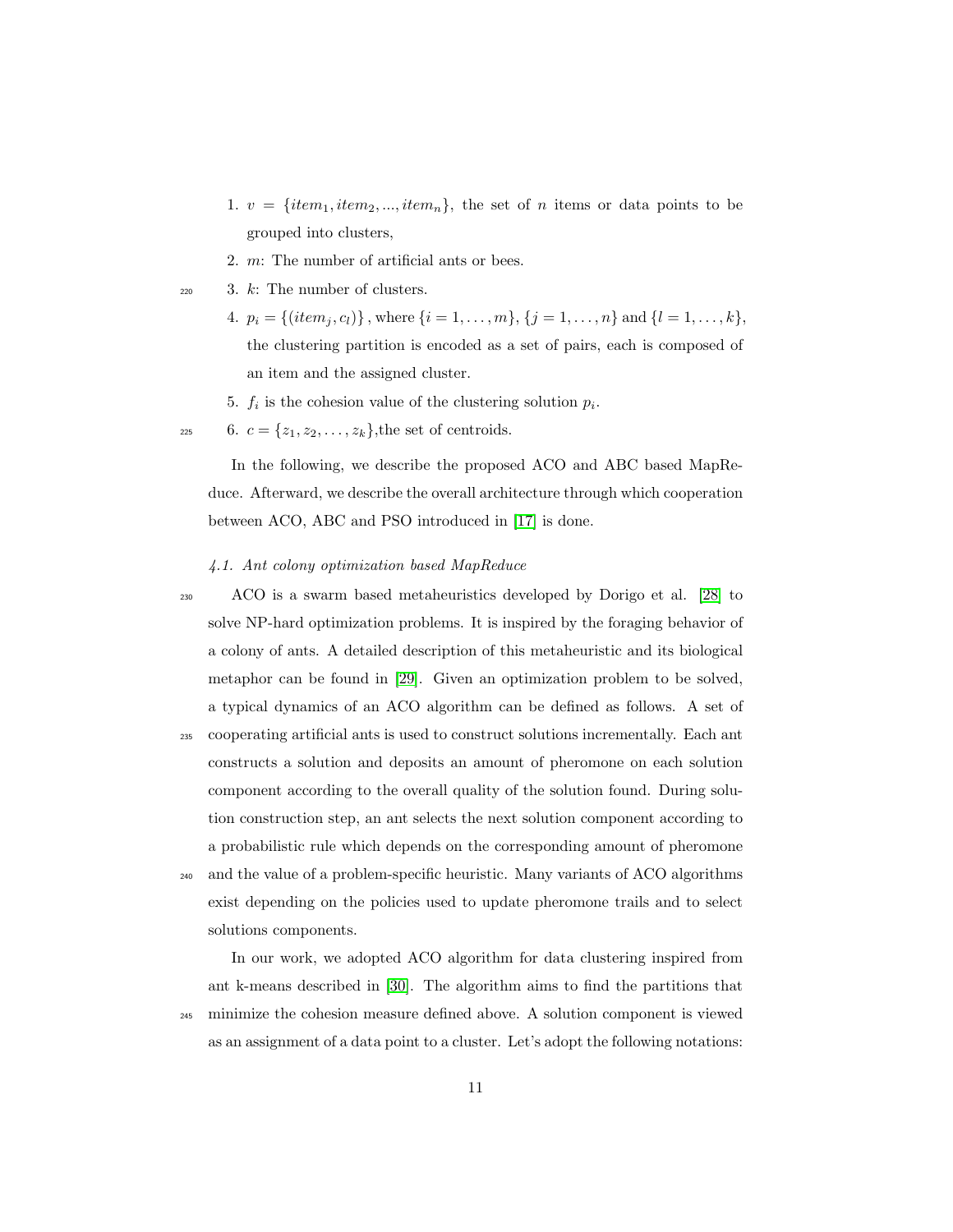- 1.  $v = \{item_1, item_2, ..., item_n\}$ , the set of *n* items or data points to be grouped into clusters,
- 2. m: The number of artificial ants or bees.

 $220$  3. k: The number of clusters.

- 4.  $p_i = \{(item_j, c_l)\}\$ , where  $\{i = 1, \ldots, m\}$ ,  $\{j = 1, \ldots, n\}$  and  $\{l = 1, \ldots, k\}$ , the clustering partition is encoded as a set of pairs, each is composed of an item and the assigned cluster.
- 5.  $f_i$  is the cohesion value of the clustering solution  $p_i$ .
- 225 6.  $c = \{z_1, z_2, \dots, z_k\}$ , the set of centroids.

In the following, we describe the proposed ACO and ABC based MapReduce. Afterward, we describe the overall architecture through which cooperation between ACO, ABC and PSO introduced in [17] is done.

#### 4.1. Ant colony optimization based MapReduce

<sup>230</sup> ACO is a swarm based metaheuristics developed by Dorigo et al. [28] to solve NP-hard optimization problems. It is inspired by the foraging behavior of a colony of ants. A detailed description of this metaheuristic and its biological metaphor can be found in [29]. Given an optimization problem to be solved, a typical dynamics of an ACO algorithm can be defined as follows. A set of <sup>235</sup> cooperating artificial ants is used to construct solutions incrementally. Each ant constructs a solution and deposits an amount of pheromone on each solution component according to the overall quality of the solution found. During solution construction step, an ant selects the next solution component according to a probabilistic rule which depends on the corresponding amount of pheromone

<sup>240</sup> and the value of a problem-specific heuristic. Many variants of ACO algorithms exist depending on the policies used to update pheromone trails and to select solutions components.

In our work, we adopted ACO algorithm for data clustering inspired from ant k-means described in [30]. The algorithm aims to find the partitions that <sup>245</sup> minimize the cohesion measure defined above. A solution component is viewed as an assignment of a data point to a cluster. Let's adopt the following notations: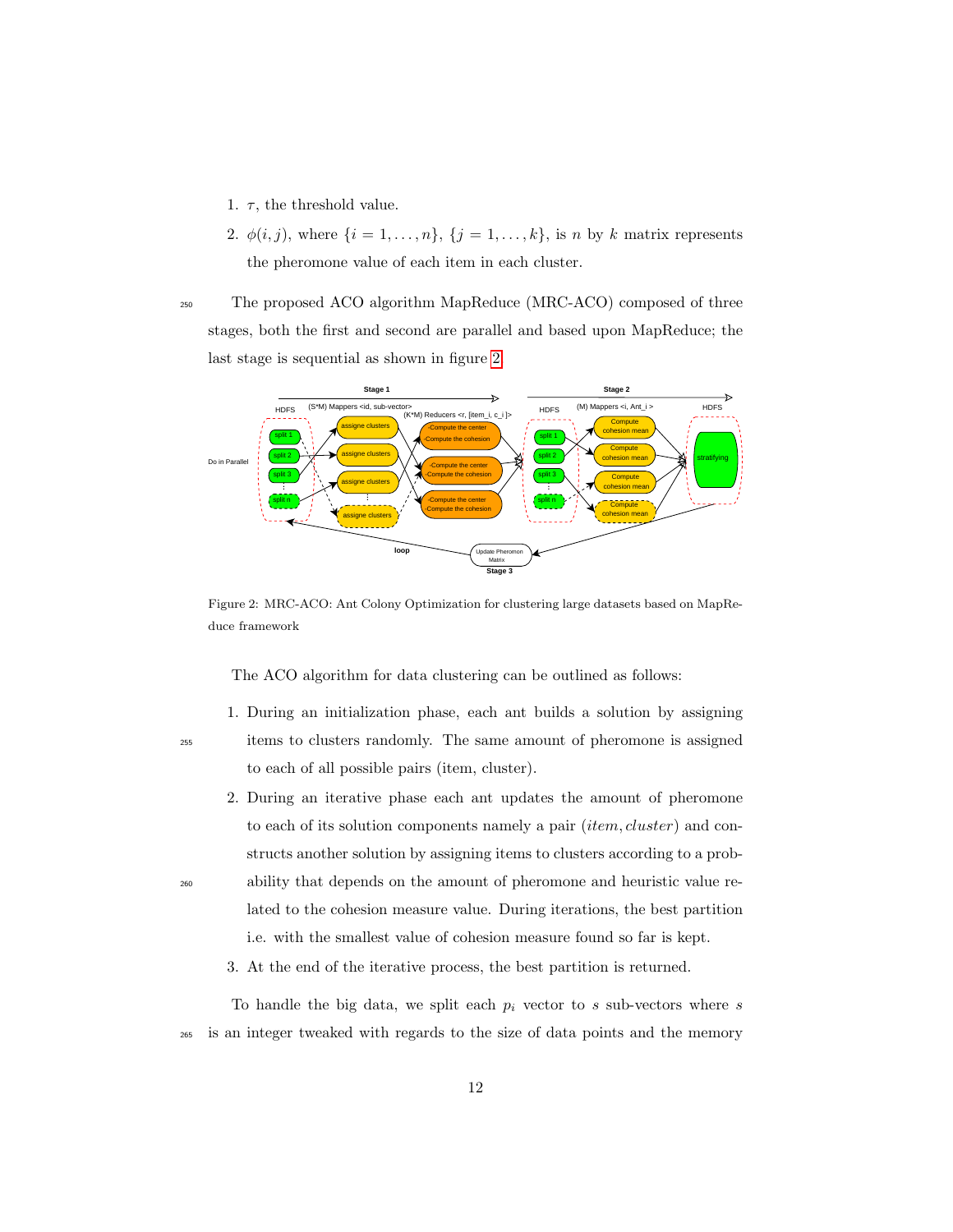- 1.  $\tau$ , the threshold value.
- 2.  $\phi(i, j)$ , where  $\{i = 1, \ldots, n\}$ ,  $\{j = 1, \ldots, k\}$ , is n by k matrix represents the pheromone value of each item in each cluster.
- <sup>250</sup> The proposed ACO algorithm MapReduce (MRC-ACO) composed of three stages, both the first and second are parallel and based upon MapReduce; the last stage is sequential as shown in figure 2.



Figure 2: MRC-ACO: Ant Colony Optimization for clustering large datasets based on MapReduce framework

The ACO algorithm for data clustering can be outlined as follows:

1. During an initialization phase, each ant builds a solution by assigning <sup>255</sup> items to clusters randomly. The same amount of pheromone is assigned to each of all possible pairs (item, cluster).

- 2. During an iterative phase each ant updates the amount of pheromone to each of its solution components namely a pair *(item, cluster)* and constructs another solution by assigning items to clusters according to a prob-<sup>260</sup> ability that depends on the amount of pheromone and heuristic value related to the cohesion measure value. During iterations, the best partition
	- i.e. with the smallest value of cohesion measure found so far is kept.
	- 3. At the end of the iterative process, the best partition is returned.

To handle the big data, we split each  $p_i$  vector to s sub-vectors where s <sup>265</sup> is an integer tweaked with regards to the size of data points and the memory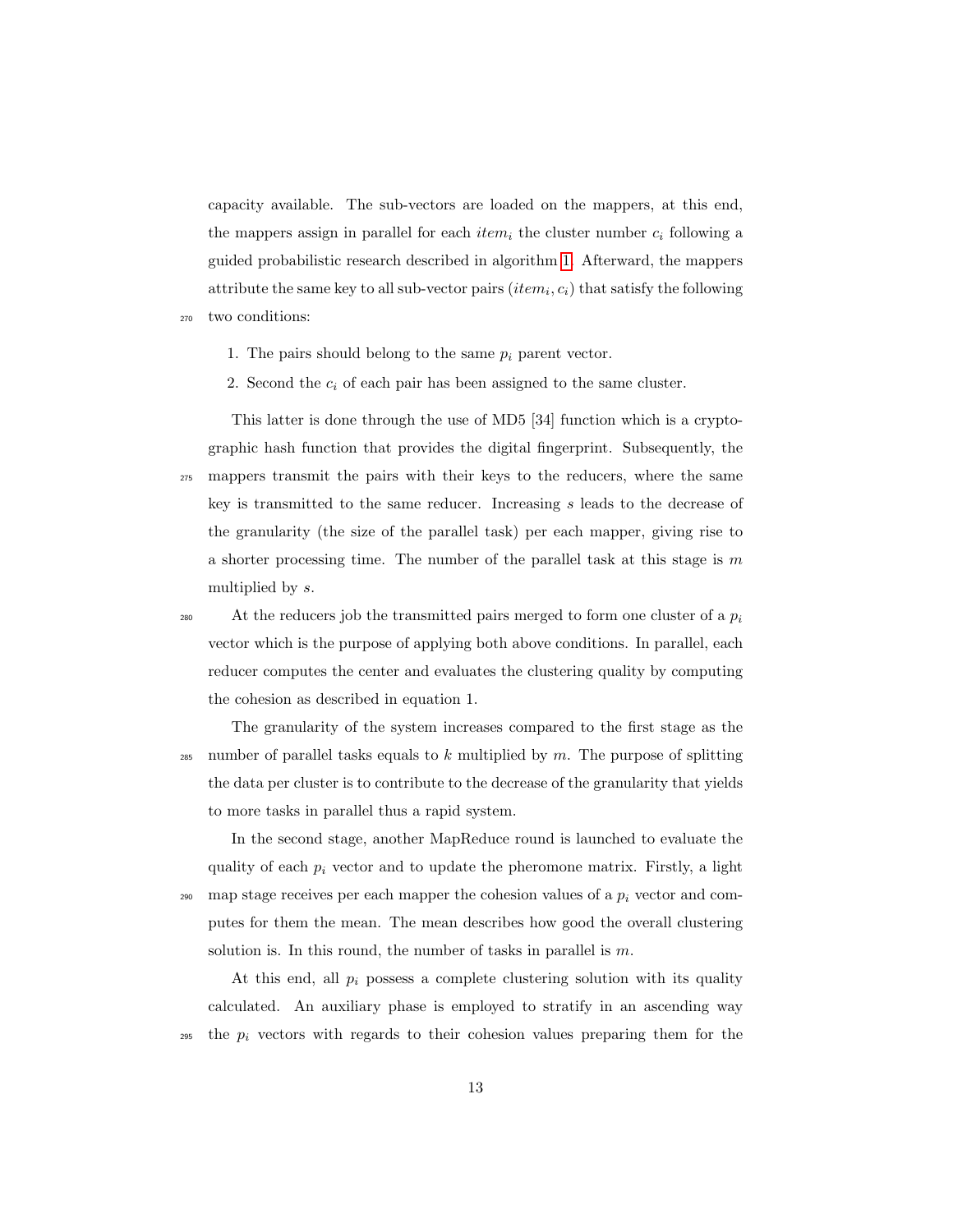capacity available. The sub-vectors are loaded on the mappers, at this end, the mappers assign in parallel for each *item<sub>i</sub>* the cluster number  $c_i$  following a guided probabilistic research described in algorithm 1. Afterward, the mappers attribute the same key to all sub-vector pairs  $(item_i, c_i)$  that satisfy the following

<sup>270</sup> two conditions:

- 1. The pairs should belong to the same  $p_i$  parent vector.
- 2. Second the  $c_i$  of each pair has been assigned to the same cluster.

This latter is done through the use of MD5 [34] function which is a cryptographic hash function that provides the digital fingerprint. Subsequently, the <sup>275</sup> mappers transmit the pairs with their keys to the reducers, where the same key is transmitted to the same reducer. Increasing s leads to the decrease of the granularity (the size of the parallel task) per each mapper, giving rise to a shorter processing time. The number of the parallel task at this stage is  $m$ multiplied by s.

At the reducers job the transmitted pairs merged to form one cluster of a  $p_i$ 280 vector which is the purpose of applying both above conditions. In parallel, each reducer computes the center and evaluates the clustering quality by computing the cohesion as described in equation 1.

The granularity of the system increases compared to the first stage as the <sup>285</sup> number of parallel tasks equals to k multiplied by m. The purpose of splitting the data per cluster is to contribute to the decrease of the granularity that yields to more tasks in parallel thus a rapid system.

In the second stage, another MapReduce round is launched to evaluate the quality of each  $p_i$  vector and to update the pheromone matrix. Firstly, a light 290 map stage receives per each mapper the cohesion values of a  $p_i$  vector and computes for them the mean. The mean describes how good the overall clustering solution is. In this round, the number of tasks in parallel is  $m$ .

At this end, all  $p_i$  possess a complete clustering solution with its quality calculated. An auxiliary phase is employed to stratify in an ascending way  $_{295}$  the  $p_i$  vectors with regards to their cohesion values preparing them for the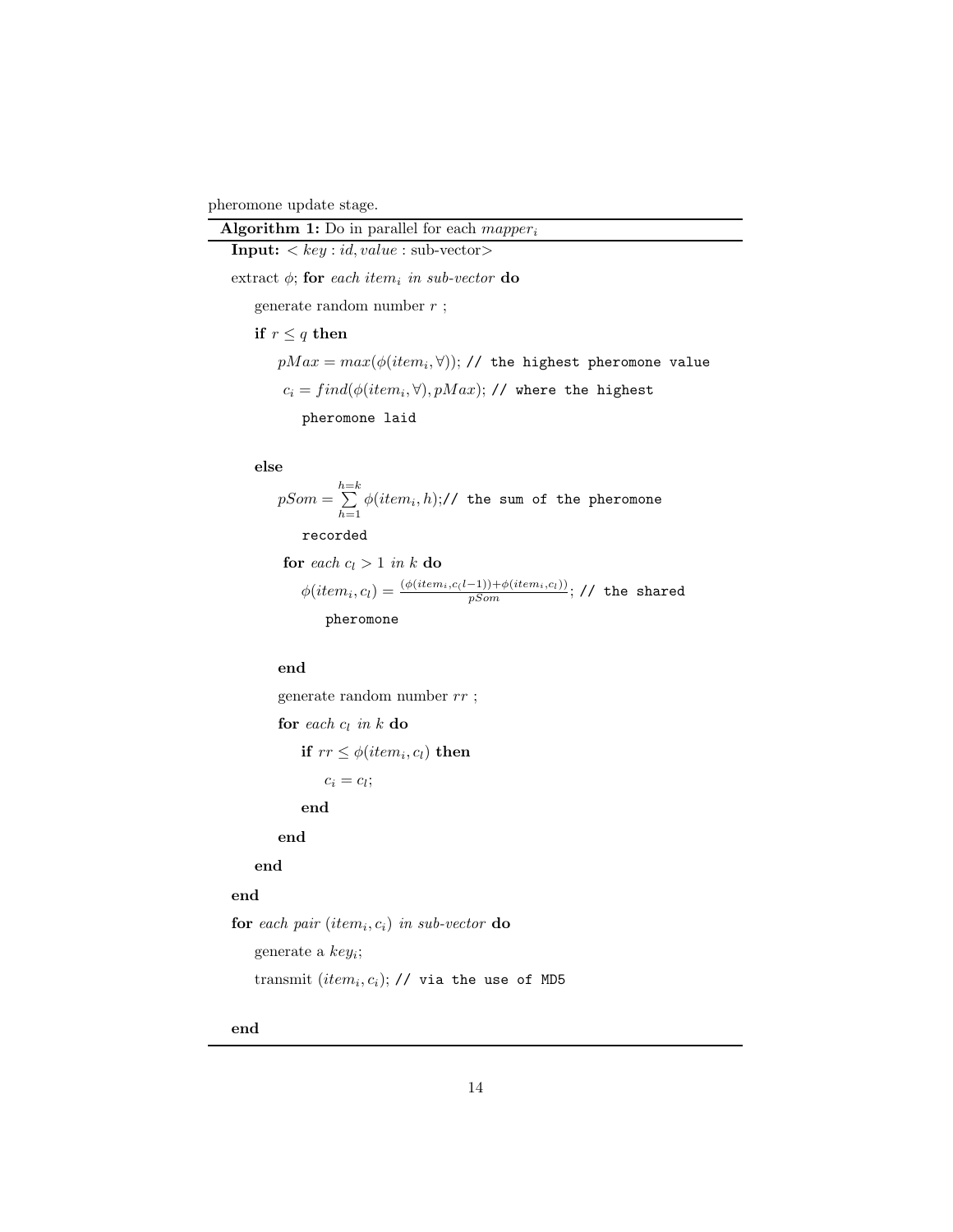pheromone update stage.

| <b>Algorithm 1:</b> Do in parallel for each <i>mapper</i> <sub>i</sub> |
|------------------------------------------------------------------------|
| <b>Input:</b> $\langle key : id, value : \text{sub-vector} \rangle$    |
| extract $\phi$ ; for each item, in sub-vector do                       |
| generate random number $r$ ;                                           |
| if $r \leq q$ then                                                     |
| $pMax = max(\phi(item_i, \forall));$ // the highest pheromone value    |
| $c_i = find(\phi(item_i, \forall), pMax);$ // where the highest        |
| pheromone laid                                                         |
|                                                                        |
| ممام                                                                   |

#### else

 $pSom = \sum_{k=1}^{h=k}$  $\sum\limits_{h=1}\phi(item_i,h);$ // the sum of the pheromone recorded

```
for each c_l > 1 in k do
\phi (item_i, c_l) = \frac{(\phi (item_i, c_(l-1)) + \phi (item_i, c_l))}{pSom}; // the shared
    pheromone
```
end

generate random number  $rr$  ;

for each  $c_l$  in  $k$  do

if  $rr \leq \phi(item_i, c_l)$  then

$$
c_i=c_l;
$$

end

end

# end

### end

for each pair  $item_i, c_i)$  in sub-vector do generate a  $key_i$ ;  $\text{transmit}(item_i, c_i);$  // via the use of MD5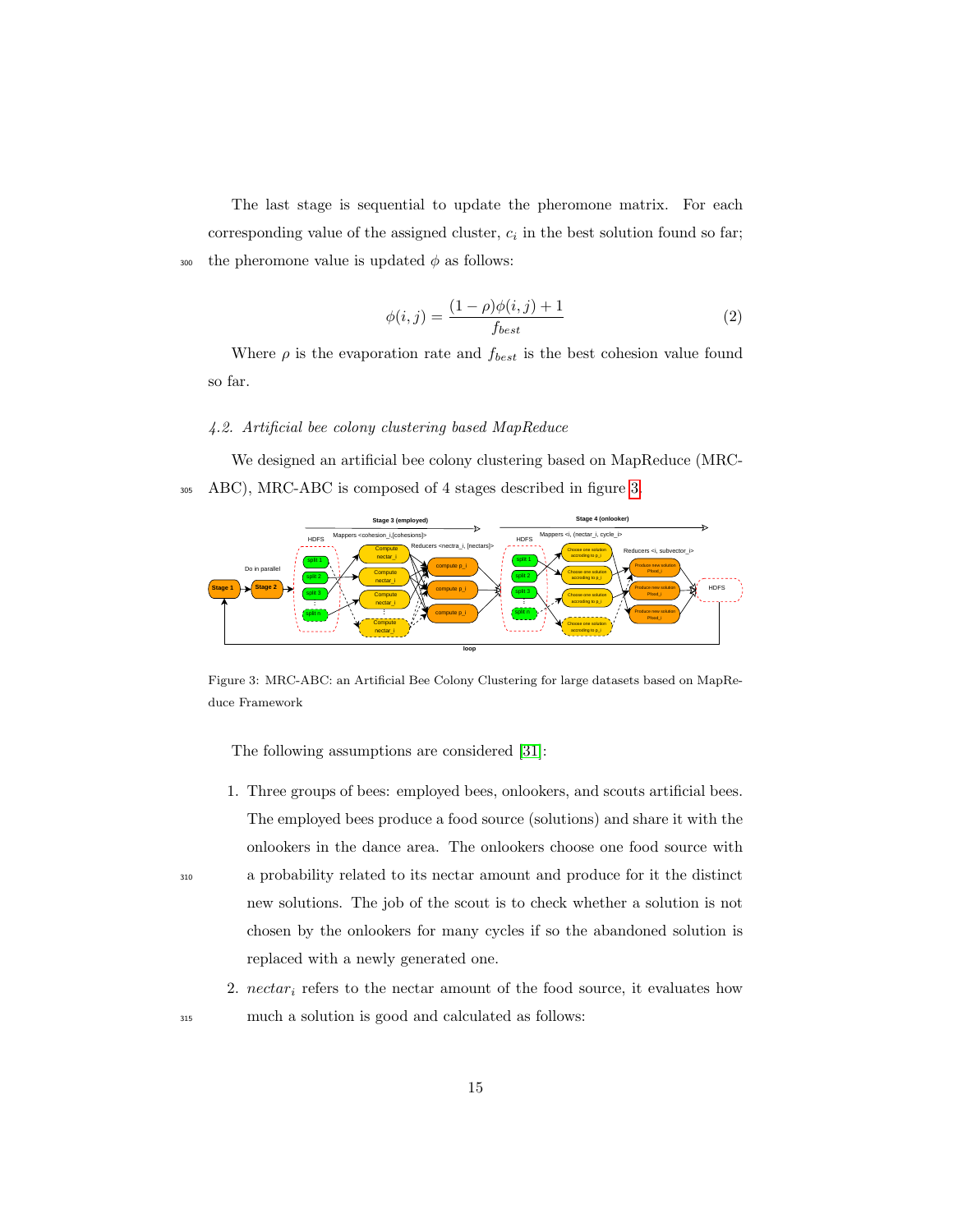The last stage is sequential to update the pheromone matrix. For each corresponding value of the assigned cluster,  $c_i$  in the best solution found so far; 300 the pheromone value is updated  $\phi$  as follows:

$$
\phi(i,j) = \frac{(1-\rho)\phi(i,j) + 1}{f_{best}}\tag{2}
$$

Where  $\rho$  is the evaporation rate and  $f_{best}$  is the best cohesion value found so far.

# 4.2. Artificial bee colony clustering based MapReduce

We designed an artificial bee colony clustering based on MapReduce (MRC-<sup>305</sup> ABC), MRC-ABC is composed of 4 stages described in figure 3.



Figure 3: MRC-ABC: an Artificial Bee Colony Clustering for large datasets based on MapReduce Framework

The following assumptions are considered [31]:

- 1. Three groups of bees: employed bees, onlookers, and scouts artificial bees. The employed bees produce a food source (solutions) and share it with the onlookers in the dance area. The onlookers choose one food source with <sup>310</sup> a probability related to its nectar amount and produce for it the distinct new solutions. The job of the scout is to check whether a solution is not chosen by the onlookers for many cycles if so the abandoned solution is replaced with a newly generated one.
- 2.  $nectar_i$  refers to the nectar amount of the food source, it evaluates how <sup>315</sup> much a solution is good and calculated as follows: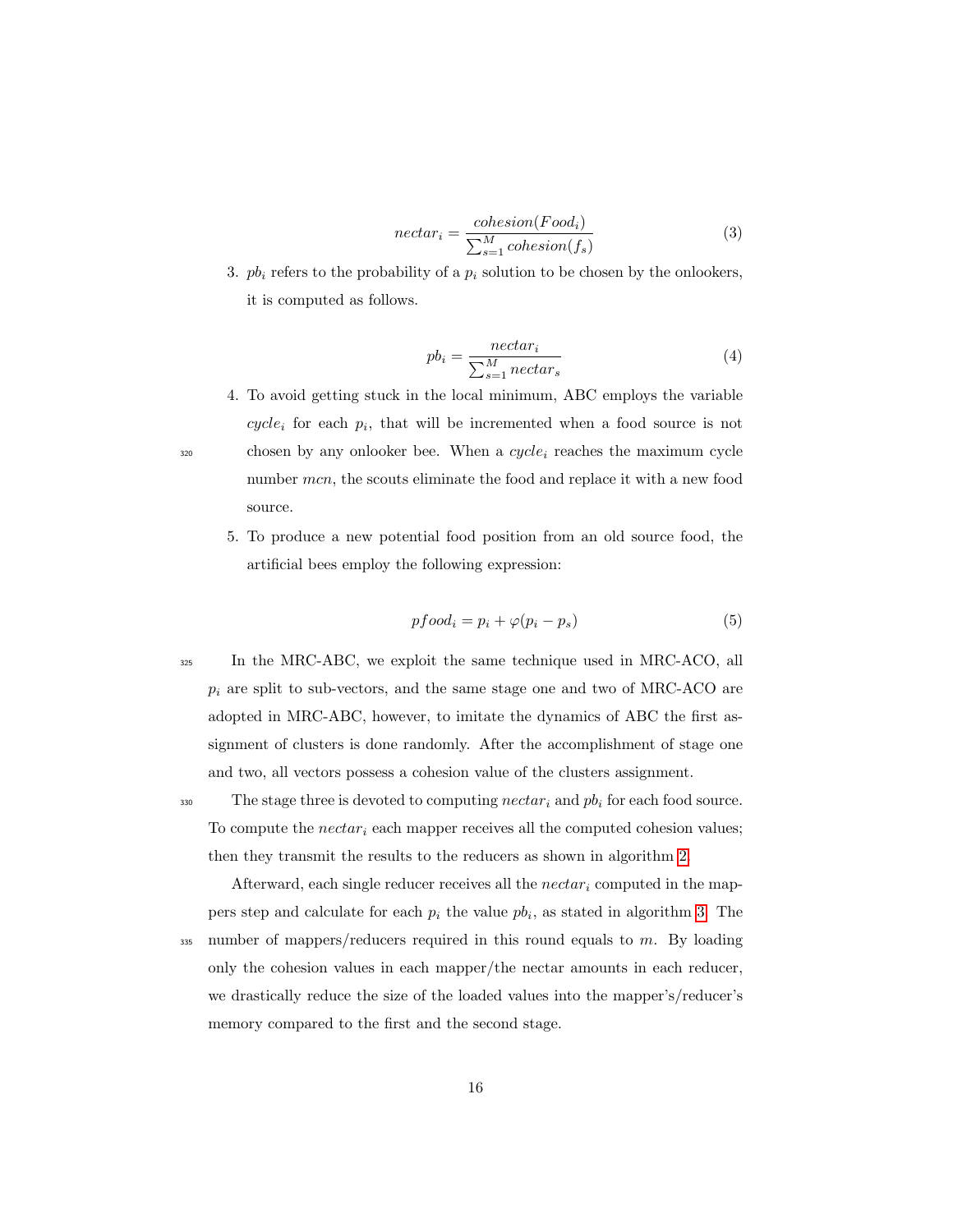$$
nectar_i = \frac{cohesion(Food_i)}{\sum_{s=1}^{M} cohesion(f_s)}
$$
(3)

3.  $pb_i$  refers to the probability of a  $p_i$  solution to be chosen by the onlookers, it is computed as follows.

$$
pb_i = \frac{nectar_i}{\sum_{s=1}^{M}nectar_s}
$$
 (4)

- 4. To avoid getting stuck in the local minimum, ABC employs the variable  $cycle_i$  for each  $p_i$ , that will be incremented when a food source is not  $320$  chosen by any onlooker bee. When a  $cycle_i$  reaches the maximum cycle number mcn, the scouts eliminate the food and replace it with a new food source.
	- 5. To produce a new potential food position from an old source food, the artificial bees employ the following expression:

$$
pfood_i = p_i + \varphi(p_i - p_s) \tag{5}
$$

<sup>325</sup> In the MRC-ABC, we exploit the same technique used in MRC-ACO, all  $p_i$  are split to sub-vectors, and the same stage one and two of MRC-ACO are adopted in MRC-ABC, however, to imitate the dynamics of ABC the first assignment of clusters is done randomly. After the accomplishment of stage one and two, all vectors possess a cohesion value of the clusters assignment.

330 The stage three is devoted to computing  $nectar_i$  and  $pb_i$  for each food source. To compute the  $nectar_i$  each mapper receives all the computed cohesion values; then they transmit the results to the reducers as shown in algorithm 2.

Afterward, each single reducer receives all the  $nectar_i$  computed in the mappers step and calculate for each  $p_i$  the value  $pb_i$ , as stated in algorithm 3. The  $335$  number of mappers/reducers required in this round equals to m. By loading only the cohesion values in each mapper/the nectar amounts in each reducer, we drastically reduce the size of the loaded values into the mapper's/reducer's memory compared to the first and the second stage.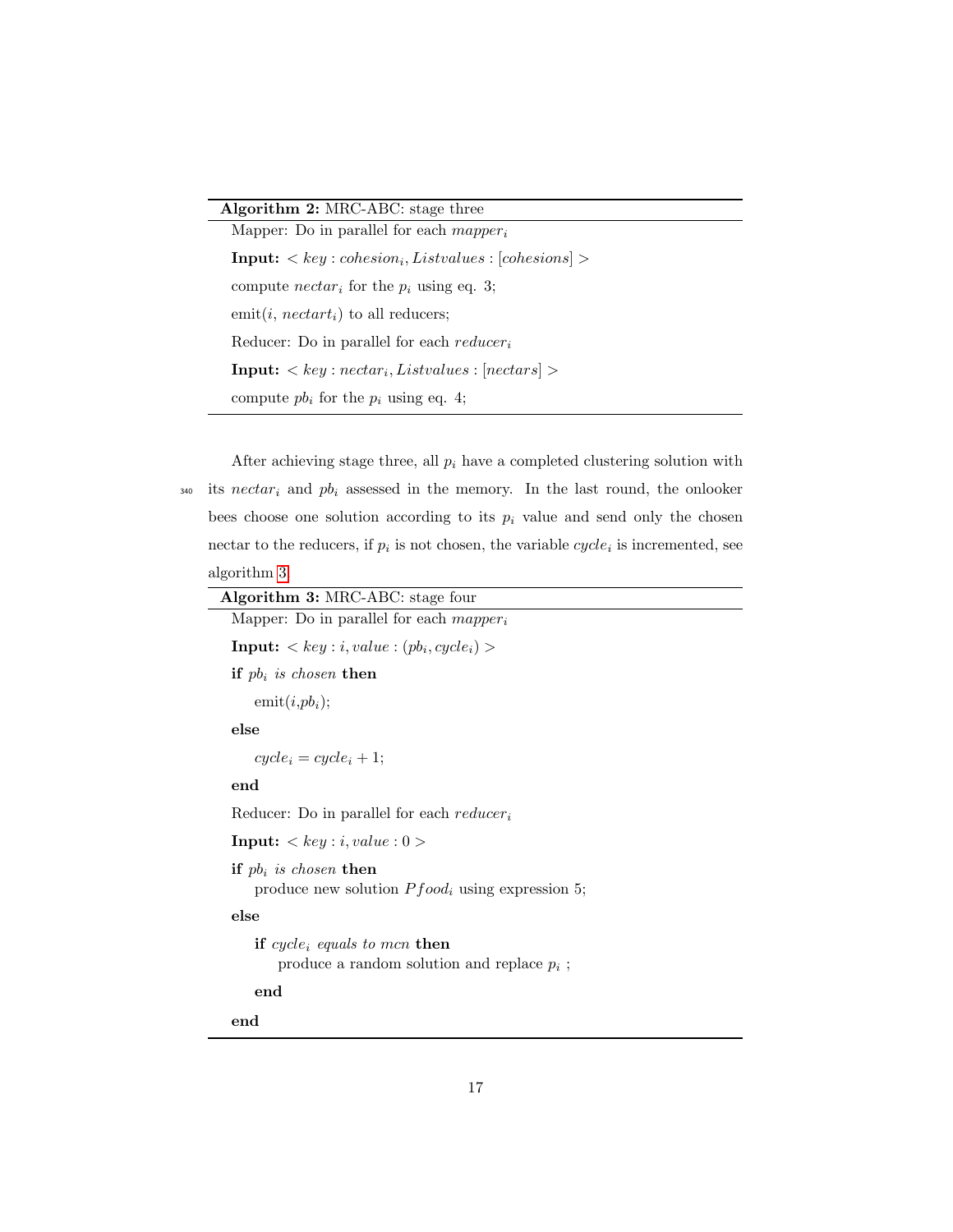# Algorithm 2: MRC-ABC: stage three

Mapper: Do in parallel for each  $mapper_i$  $\textbf{Input:} < key : cohesion_i, Listvalues : [cohesions] >$ compute  $nectar_i$  for the  $p_i$  using eq. 3; emit $(i, nectar t_i)$  to all reducers; Reducer: Do in parallel for each  $reducer_i$  $\textbf{Input:} < key : nectar_i, Listvalues : [nectar_s] >$ compute  $pb_i$  for the  $p_i$  using eq. 4;

After achieving stage three, all  $p_i$  have a completed clustering solution with  $340$  its nectar<sub>i</sub> and  $pb_i$  assessed in the memory. In the last round, the onlooker bees choose one solution according to its  $p_i$  value and send only the chosen nectar to the reducers, if  $p_i$  is not chosen, the variable  $cycle_i$  is incremented, see algorithm 3.

| Algorithm 3: MRC-ABC: stage four                                                          |
|-------------------------------------------------------------------------------------------|
| Mapper: Do in parallel for each $mapper_i$                                                |
| <b>Input:</b> $\langle key : i, value : (pb_i, cycle_i) \rangle$                          |
| if $pb_i$ is chosen then                                                                  |
| $\text{emit}(i, pb_i);$                                                                   |
| else                                                                                      |
| $cycle_i = cycle_i + 1;$                                                                  |
| end                                                                                       |
| Reducer: Do in parallel for each reducer <sub>i</sub>                                     |
| <b>Input:</b> $\langle key : i, value : 0 \rangle$                                        |
| if $pb_i$ is chosen then<br>produce new solution $Pfood_i$ using expression 5;            |
| else                                                                                      |
| if cycle <sub>i</sub> equals to mcn then<br>produce a random solution and replace $p_i$ ; |
| end                                                                                       |
| end                                                                                       |
|                                                                                           |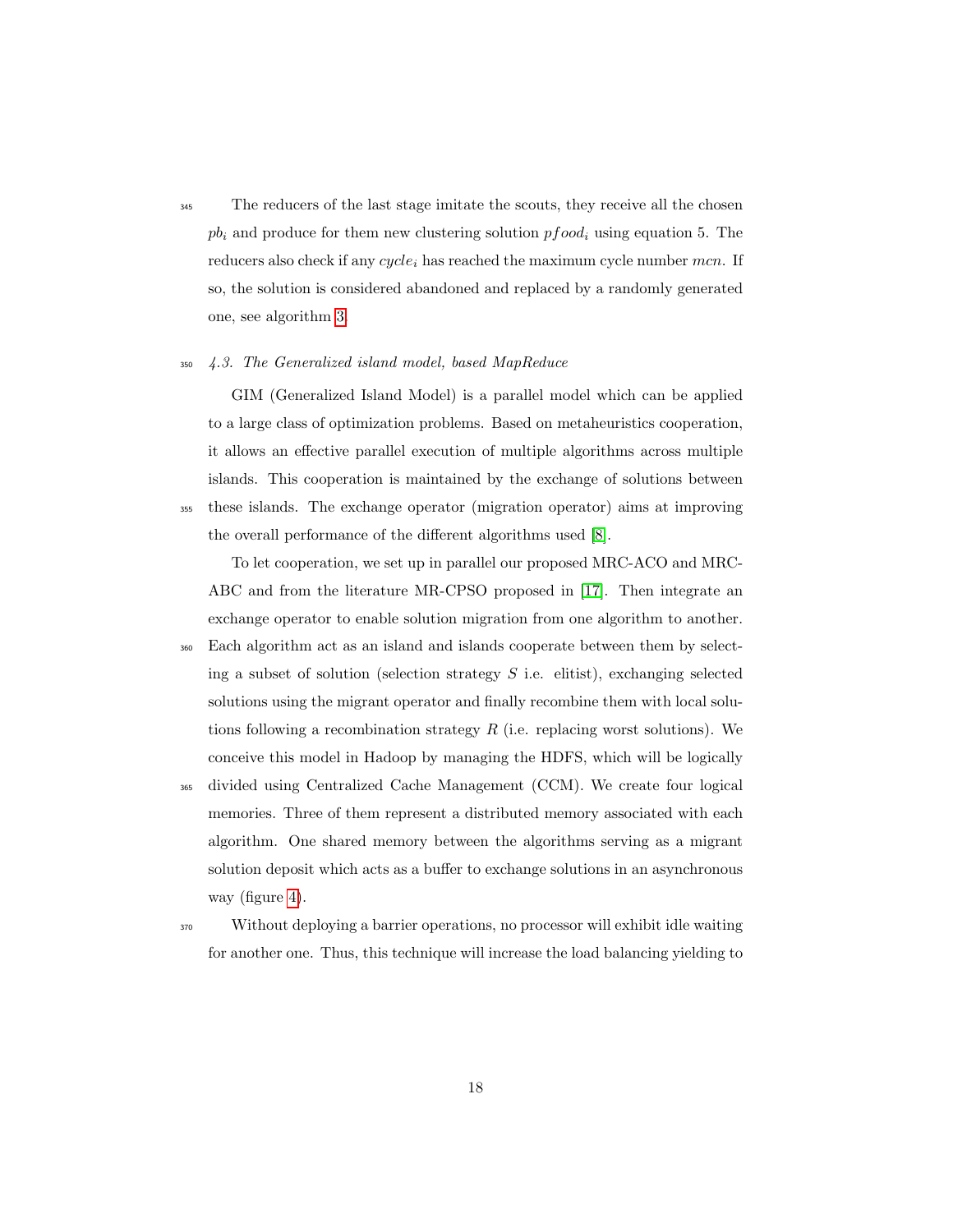<sup>345</sup> The reducers of the last stage imitate the scouts, they receive all the chosen  $pb<sub>i</sub>$  and produce for them new clustering solution  $pfood<sub>i</sub>$  using equation 5. The reducers also check if any  $cycle_i$  has reached the maximum cycle number mcn. If so, the solution is considered abandoned and replaced by a randomly generated one, see algorithm 3.

### <sup>350</sup> 4.3. The Generalized island model, based MapReduce

GIM (Generalized Island Model) is a parallel model which can be applied to a large class of optimization problems. Based on metaheuristics cooperation, it allows an effective parallel execution of multiple algorithms across multiple islands. This cooperation is maintained by the exchange of solutions between <sup>355</sup> these islands. The exchange operator (migration operator) aims at improving the overall performance of the different algorithms used [8].

To let cooperation, we set up in parallel our proposed MRC-ACO and MRC-ABC and from the literature MR-CPSO proposed in [17]. Then integrate an exchange operator to enable solution migration from one algorithm to another.

- <sup>360</sup> Each algorithm act as an island and islands cooperate between them by selecting a subset of solution (selection strategy  $S$  i.e. elitist), exchanging selected solutions using the migrant operator and finally recombine them with local solutions following a recombination strategy  $R$  (i.e. replacing worst solutions). We conceive this model in Hadoop by managing the HDFS, which will be logically
- <sup>365</sup> divided using Centralized Cache Management (CCM). We create four logical memories. Three of them represent a distributed memory associated with each algorithm. One shared memory between the algorithms serving as a migrant solution deposit which acts as a buffer to exchange solutions in an asynchronous way (figure 4).
- <sup>370</sup> Without deploying a barrier operations, no processor will exhibit idle waiting for another one. Thus, this technique will increase the load balancing yielding to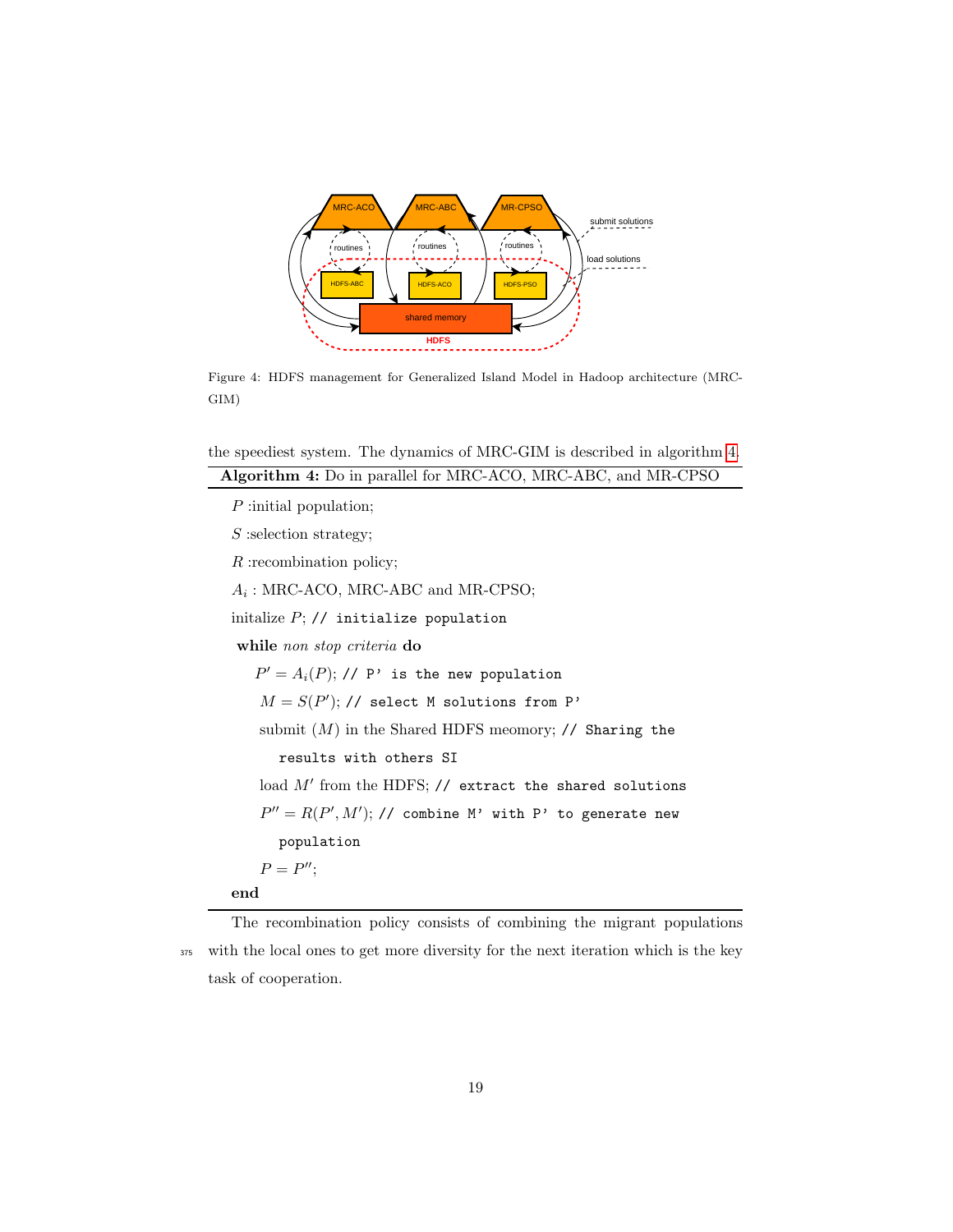

Figure 4: HDFS management for Generalized Island Model in Hadoop architecture (MRC-GIM)

the speediest system. The dynamics of MRC-GIM is described in algorithm 4.

| Algorithm 4: Do in parallel for MRC-ACO, MRC-ABC, and MR-CPSO |
|---------------------------------------------------------------|
| $P$ : initial population;                                     |
| $S$ : selection strategy;                                     |
| $R$ : recombination policy;                                   |
| $A_i$ : MRC-ACO, MRC-ABC and MR-CPSO;                         |
| initalize $P$ ; // initialize population                      |
| while non stop criteria do                                    |
| $P' = A_i(P)$ ; // P' is the new population                   |
| $M = S(P');$ // select M solutions from P'                    |
| submit $(M)$ in the Shared HDFS meomory; // Sharing the       |
| results with others SI                                        |
| load $M'$ from the HDFS; $//$ extract the shared solutions    |
| $P'' = R(P', M');$ // combine M' with P' to generate new      |
| population                                                    |
| $P = P''$                                                     |
| end                                                           |
|                                                               |

The recombination policy consists of combining the migrant populations <sup>375</sup> with the local ones to get more diversity for the next iteration which is the key task of cooperation.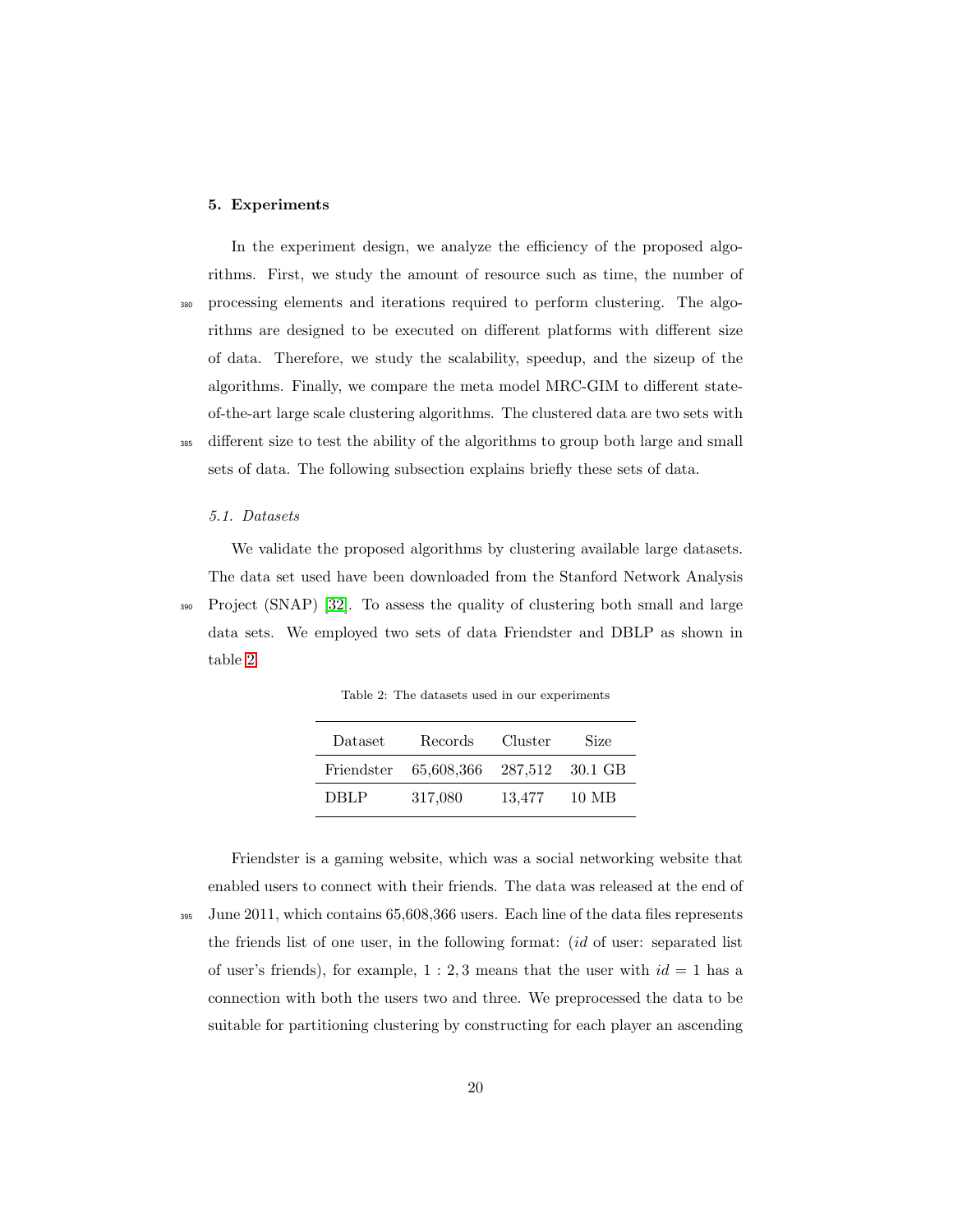## 5. Experiments

In the experiment design, we analyze the efficiency of the proposed algorithms. First, we study the amount of resource such as time, the number of <sup>380</sup> processing elements and iterations required to perform clustering. The algorithms are designed to be executed on different platforms with different size of data. Therefore, we study the scalability, speedup, and the sizeup of the algorithms. Finally, we compare the meta model MRC-GIM to different stateof-the-art large scale clustering algorithms. The clustered data are two sets with <sup>385</sup> different size to test the ability of the algorithms to group both large and small sets of data. The following subsection explains briefly these sets of data.

### 5.1. Datasets

We validate the proposed algorithms by clustering available large datasets. The data set used have been downloaded from the Stanford Network Analysis <sup>390</sup> Project (SNAP) [32]. To assess the quality of clustering both small and large data sets. We employed two sets of data Friendster and DBLP as shown in table 2.

Table 2: The datasets used in our experiments

| Dataset | Records                               | Cluster | <b>Size</b> |
|---------|---------------------------------------|---------|-------------|
|         | Friendster 65,608,366 287,512 30.1 GB |         |             |
| DBLP    | 317,080                               | 13.477  | 10 MB       |

Friendster is a gaming website, which was a social networking website that enabled users to connect with their friends. The data was released at the end of <sup>395</sup> June 2011, which contains 65,608,366 users. Each line of the data files represents the friends list of one user, in the following format: (id of user: separated list of user's friends), for example,  $1:2,3$  means that the user with  $id = 1$  has a connection with both the users two and three. We preprocessed the data to be suitable for partitioning clustering by constructing for each player an ascending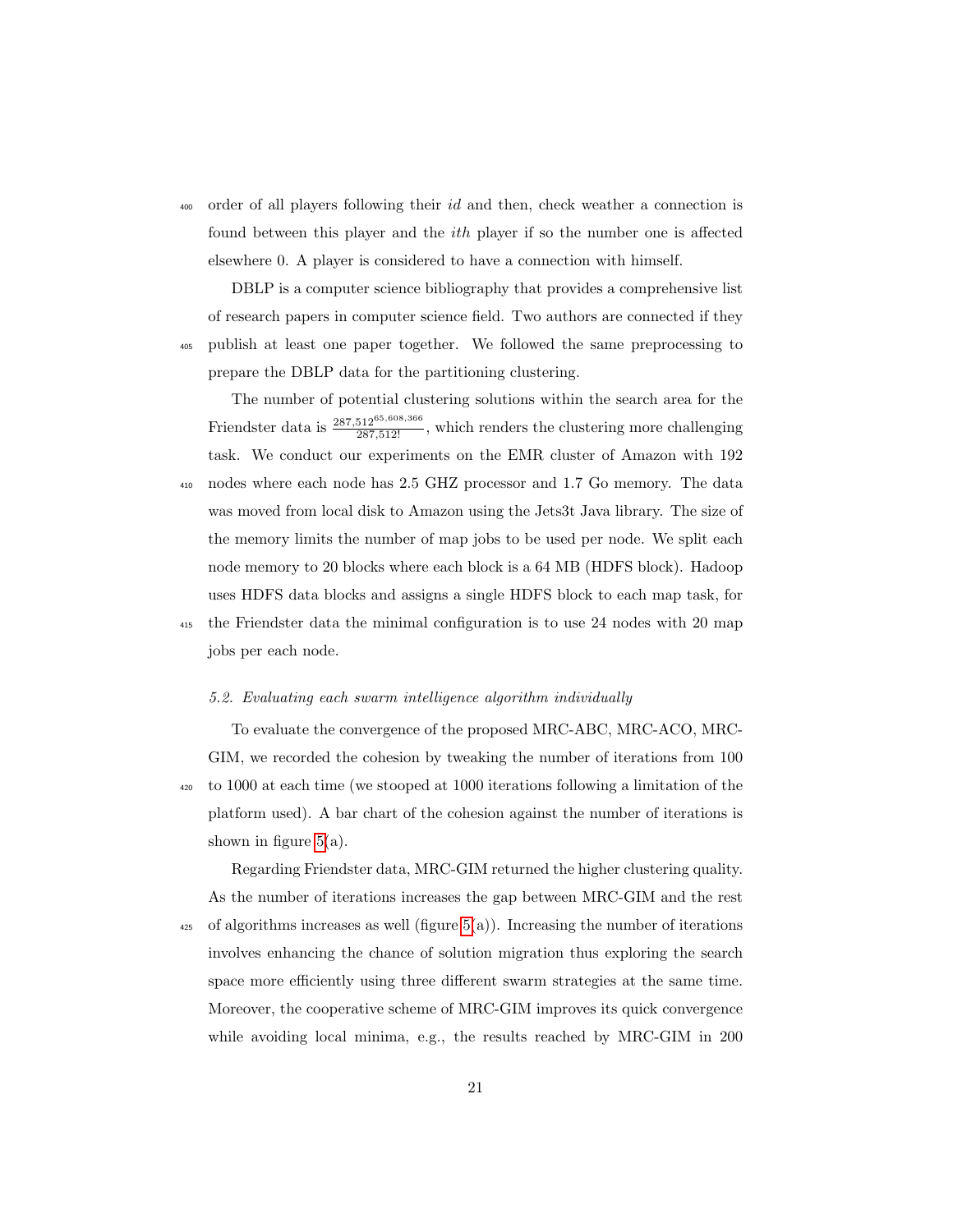<sup>400</sup> order of all players following their id and then, check weather a connection is found between this player and the ith player if so the number one is affected elsewhere 0. A player is considered to have a connection with himself.

DBLP is a computer science bibliography that provides a comprehensive list of research papers in computer science field. Two authors are connected if they <sup>405</sup> publish at least one paper together. We followed the same preprocessing to prepare the DBLP data for the partitioning clustering.

The number of potential clustering solutions within the search area for the Friendster data is  $\frac{287,512^{65,608,366}}{287,512!}$ , which renders the clustering more challenging task. We conduct our experiments on the EMR cluster of Amazon with 192 <sup>410</sup> nodes where each node has 2.5 GHZ processor and 1.7 Go memory. The data was moved from local disk to Amazon using the Jets3t Java library. The size of the memory limits the number of map jobs to be used per node. We split each node memory to 20 blocks where each block is a 64 MB (HDFS block). Hadoop uses HDFS data blocks and assigns a single HDFS block to each map task, for <sup>415</sup> the Friendster data the minimal configuration is to use 24 nodes with 20 map jobs per each node.

#### 5.2. Evaluating each swarm intelligence algorithm individually

To evaluate the convergence of the proposed MRC-ABC, MRC-ACO, MRC-GIM, we recorded the cohesion by tweaking the number of iterations from 100 <sup>420</sup> to 1000 at each time (we stooped at 1000 iterations following a limitation of the platform used). A bar chart of the cohesion against the number of iterations is shown in figure  $5(a)$ .

Regarding Friendster data, MRC-GIM returned the higher clustering quality. As the number of iterations increases the gap between MRC-GIM and the rest  $\frac{425}{425}$  of algorithms increases as well (figure 5(a)). Increasing the number of iterations involves enhancing the chance of solution migration thus exploring the search space more efficiently using three different swarm strategies at the same time. Moreover, the cooperative scheme of MRC-GIM improves its quick convergence while avoiding local minima, e.g., the results reached by MRC-GIM in 200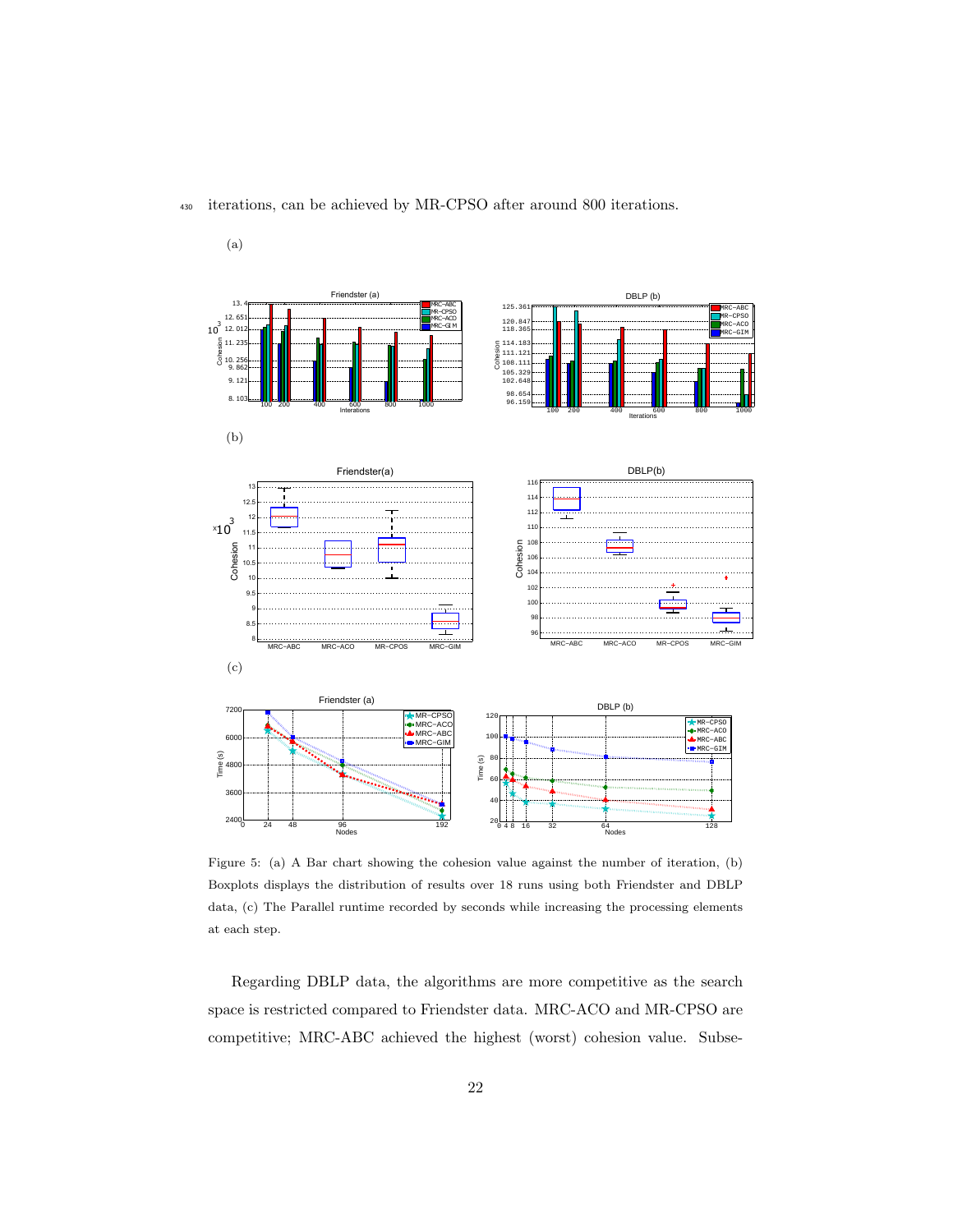

# <sup>430</sup> iterations, can be achieved by MR-CPSO after around 800 iterations.

(a)

Figure 5: (a) A Bar chart showing the cohesion value against the number of iteration, (b) Boxplots displays the distribution of results over 18 runs using both Friendster and DBLP data, (c) The Parallel runtime recorded by seconds while increasing the processing elements at each step.

Regarding DBLP data, the algorithms are more competitive as the search space is restricted compared to Friendster data. MRC-ACO and MR-CPSO are competitive; MRC-ABC achieved the highest (worst) cohesion value. Subse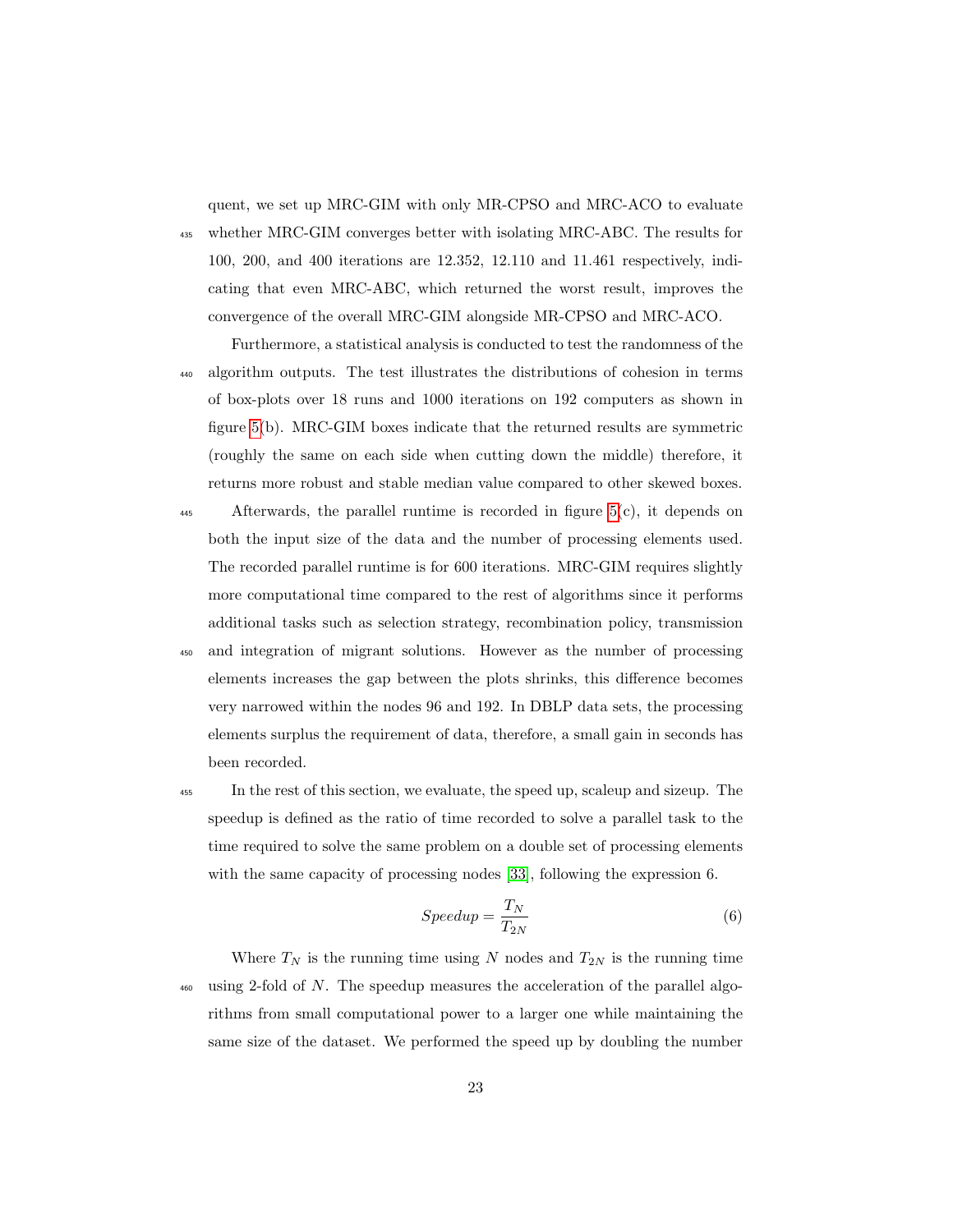quent, we set up MRC-GIM with only MR-CPSO and MRC-ACO to evaluate

<sup>435</sup> whether MRC-GIM converges better with isolating MRC-ABC. The results for 100, 200, and 400 iterations are 12.352, 12.110 and 11.461 respectively, indicating that even MRC-ABC, which returned the worst result, improves the convergence of the overall MRC-GIM alongside MR-CPSO and MRC-ACO.

Furthermore, a statistical analysis is conducted to test the randomness of the <sup>440</sup> algorithm outputs. The test illustrates the distributions of cohesion in terms of box-plots over 18 runs and 1000 iterations on 192 computers as shown in figure 5(b). MRC-GIM boxes indicate that the returned results are symmetric (roughly the same on each side when cutting down the middle) therefore, it returns more robust and stable median value compared to other skewed boxes.

- <sup>445</sup> Afterwards, the parallel runtime is recorded in figure 5(c), it depends on both the input size of the data and the number of processing elements used. The recorded parallel runtime is for 600 iterations. MRC-GIM requires slightly more computational time compared to the rest of algorithms since it performs additional tasks such as selection strategy, recombination policy, transmission
- <sup>450</sup> and integration of migrant solutions. However as the number of processing elements increases the gap between the plots shrinks, this difference becomes very narrowed within the nodes 96 and 192. In DBLP data sets, the processing elements surplus the requirement of data, therefore, a small gain in seconds has been recorded.

<sup>455</sup> In the rest of this section, we evaluate, the speed up, scaleup and sizeup. The speedup is defined as the ratio of time recorded to solve a parallel task to the time required to solve the same problem on a double set of processing elements with the same capacity of processing nodes [33], following the expression 6.

$$
Speedup = \frac{T_N}{T_{2N}}\tag{6}
$$

Where  $T_N$  is the running time using N nodes and  $T_{2N}$  is the running time  $\frac{460}{460}$  using 2-fold of N. The speedup measures the acceleration of the parallel algorithms from small computational power to a larger one while maintaining the same size of the dataset. We performed the speed up by doubling the number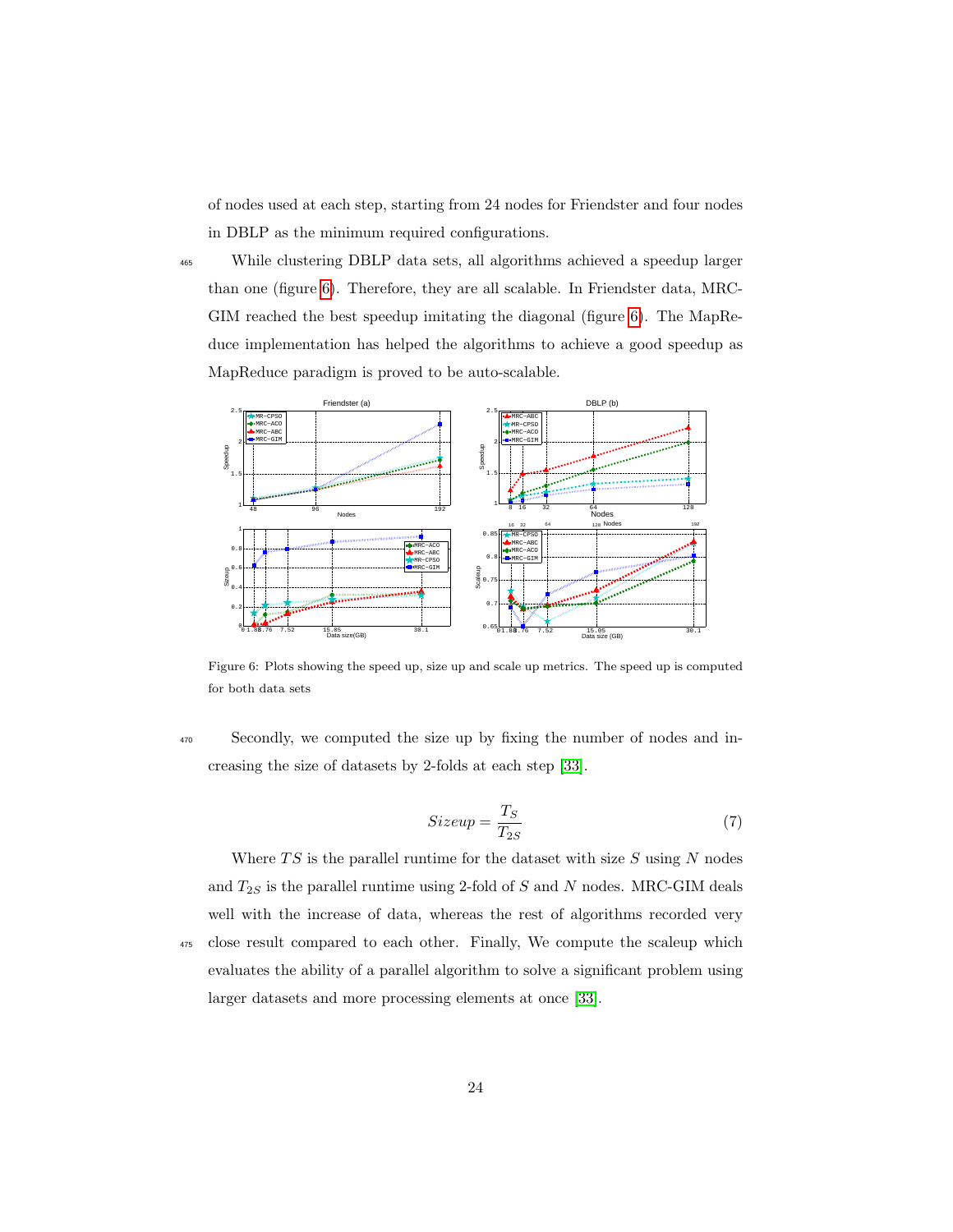of nodes used at each step, starting from 24 nodes for Friendster and four nodes in DBLP as the minimum required configurations.

<sup>465</sup> While clustering DBLP data sets, all algorithms achieved a speedup larger than one (figure 6). Therefore, they are all scalable. In Friendster data, MRC-GIM reached the best speedup imitating the diagonal (figure 6). The MapReduce implementation has helped the algorithms to achieve a good speedup as MapReduce paradigm is proved to be auto-scalable.



Figure 6: Plots showing the speed up, size up and scale up metrics. The speed up is computed for both data sets

<sup>470</sup> Secondly, we computed the size up by fixing the number of nodes and increasing the size of datasets by 2-folds at each step [33].

$$
Sizeup = \frac{T_S}{T_{2S}}\tag{7}
$$

Where  $TS$  is the parallel runtime for the dataset with size  $S$  using  $N$  nodes and  $T_{2S}$  is the parallel runtime using 2-fold of S and N nodes. MRC-GIM deals well with the increase of data, whereas the rest of algorithms recorded very <sup>475</sup> close result compared to each other. Finally, We compute the scaleup which evaluates the ability of a parallel algorithm to solve a significant problem using larger datasets and more processing elements at once [33].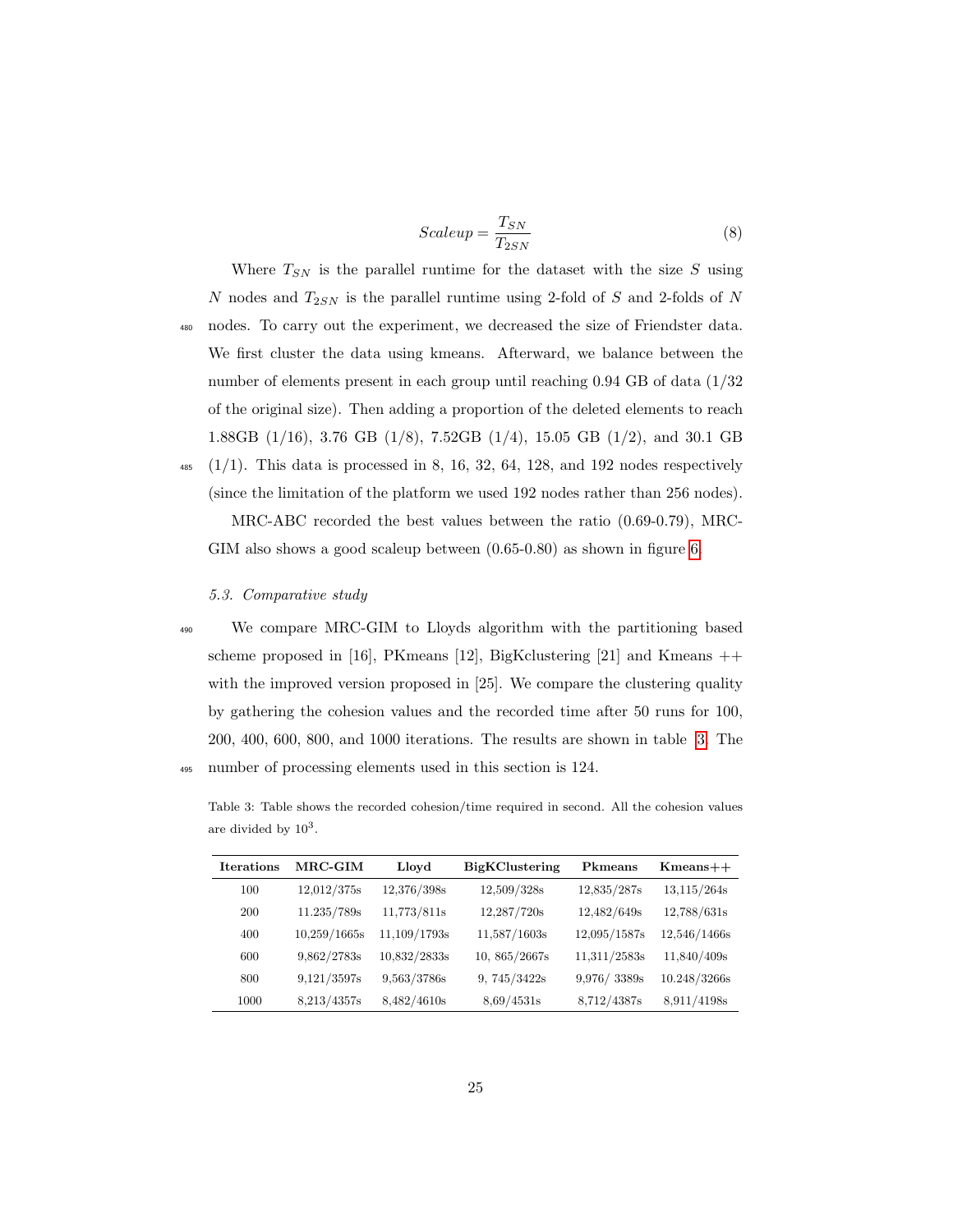$$
Scaleup = \frac{T_{SN}}{T_{2SN}}
$$
\n<sup>(8)</sup>

Where  $T_{SN}$  is the parallel runtime for the dataset with the size S using  $N$  nodes and  $T_{2SN}$  is the parallel runtime using 2-fold of  $S$  and 2-folds of  $N$ <sup>480</sup> nodes. To carry out the experiment, we decreased the size of Friendster data. We first cluster the data using kmeans. Afterward, we balance between the number of elements present in each group until reaching 0.94 GB of data  $(1/32)$ of the original size). Then adding a proportion of the deleted elements to reach 1.88GB (1/16), 3.76 GB (1/8), 7.52GB (1/4), 15.05 GB (1/2), and 30.1 GB

 $\frac{485}{485}$  (1/1). This data is processed in 8, 16, 32, 64, 128, and 192 nodes respectively (since the limitation of the platform we used 192 nodes rather than 256 nodes). MRC-ABC recorded the best values between the ratio (0.69-0.79), MRC-GIM also shows a good scaleup between (0.65-0.80) as shown in figure 6.

#### 5.3. Comparative study

- 
- <sup>490</sup> We compare MRC-GIM to Lloyds algorithm with the partitioning based scheme proposed in [16], PKmeans [12], BigKclustering [21] and Kmeans  $++$ with the improved version proposed in [25]. We compare the clustering quality by gathering the cohesion values and the recorded time after 50 runs for 100, 200, 400, 600, 800, and 1000 iterations. The results are shown in table 3. The <sup>495</sup> number of processing elements used in this section is 124.

Table 3: Table shows the recorded cohesion/time required in second. All the cohesion values are divided by  $10^3$ .

| <b>Iterations</b> | $\rm{MRC\text{-}GIM}$ | Lloyd        | <b>BigKClustering</b> | Pkmeans      | $K$ means $++$ |
|-------------------|-----------------------|--------------|-----------------------|--------------|----------------|
| 100               | 12,012/375s           | 12,376/398s  | 12,509/328s           | 12,835/287s  | 13,115/264s    |
| 200               | 11.235/789s           | 11,773/811s  | 12,287/720s           | 12,482/649s  | 12,788/631s    |
| 400               | 10,259/1665s          | 11,109/1793s | 11,587/1603s          | 12,095/1587s | 12,546/1466s   |
| 600               | 9,862/2783s           | 10,832/2833s | 10, 865/2667s         | 11,311/2583s | 11,840/409s    |
| 800               | 9,121/3597s           | 9,563/3786s  | 9,745/3422s           | 9,976/3389s  | 10.248/3266s   |
| 1000              | 8,213/4357s           | 8,482/4610s  | 8.69/4531s            | 8,712/4387s  | 8.911/4198s    |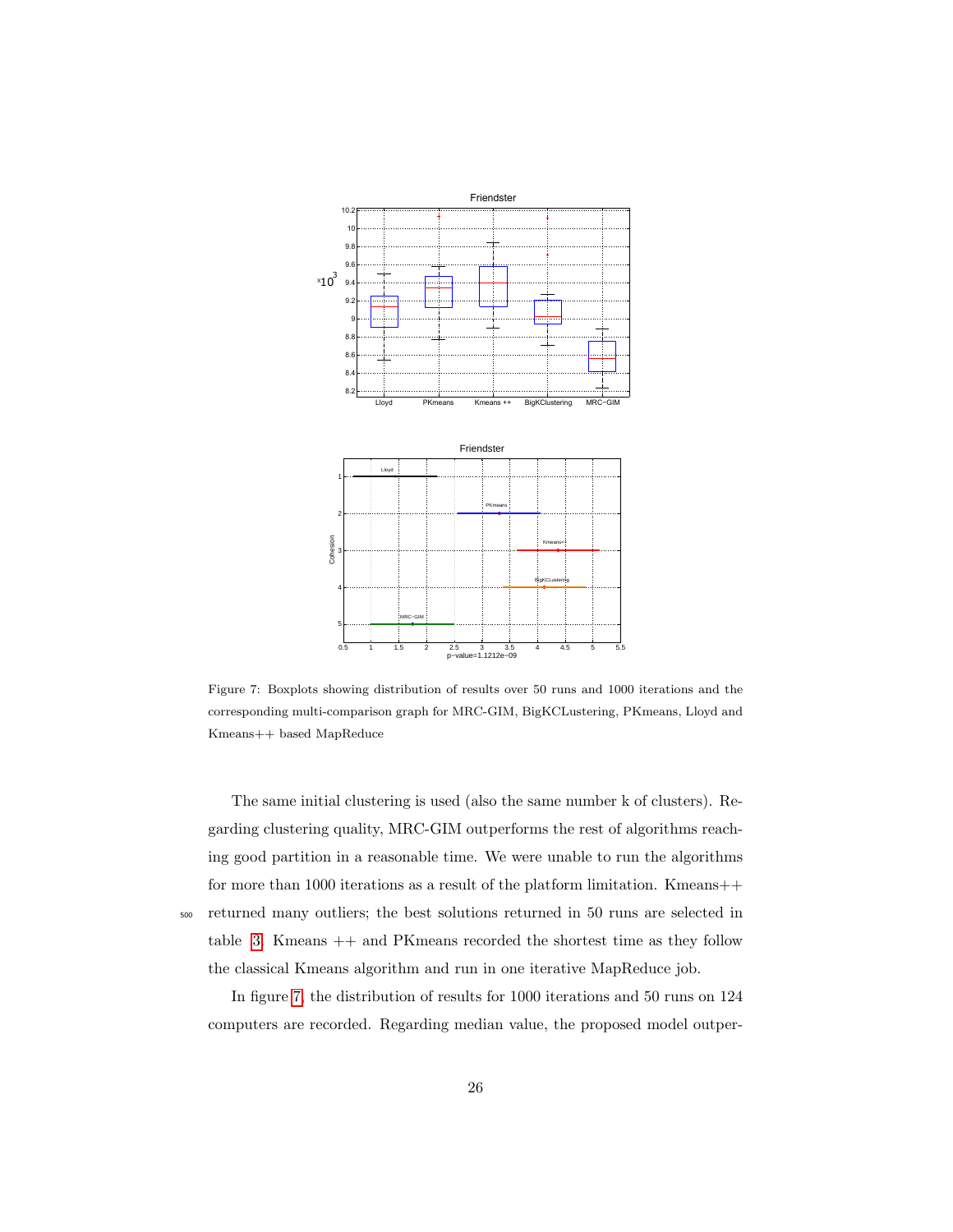

Figure 7: Boxplots showing distribution of results over 50 runs and 1000 iterations and the corresponding multi-comparison graph for MRC-GIM, BigKCLustering, PKmeans, Lloyd and Kmeans++ based MapReduce

The same initial clustering is used (also the same number k of clusters). Regarding clustering quality, MRC-GIM outperforms the rest of algorithms reaching good partition in a reasonable time. We were unable to run the algorithms for more than 1000 iterations as a result of the platform limitation. Kmeans++ <sup>500</sup> returned many outliers; the best solutions returned in 50 runs are selected in table  $3$ . Kmeans  $++$  and PK means recorded the shortest time as they follow the classical Kmeans algorithm and run in one iterative MapReduce job.

In figure 7, the distribution of results for 1000 iterations and 50 runs on 124 computers are recorded. Regarding median value, the proposed model outper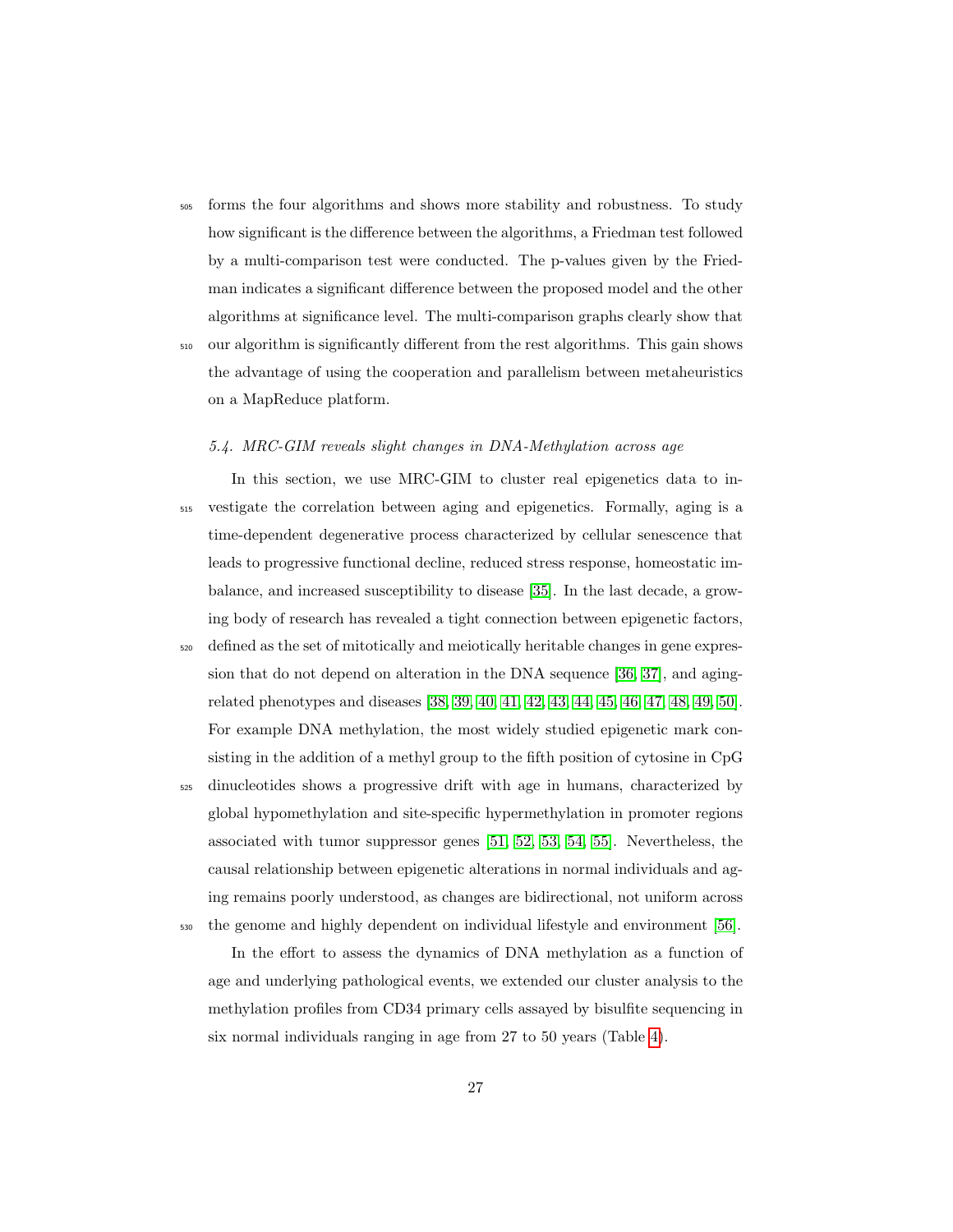<sup>505</sup> forms the four algorithms and shows more stability and robustness. To study how significant is the difference between the algorithms, a Friedman test followed by a multi-comparison test were conducted. The p-values given by the Friedman indicates a significant difference between the proposed model and the other algorithms at significance level. The multi-comparison graphs clearly show that

<sup>510</sup> our algorithm is significantly different from the rest algorithms. This gain shows the advantage of using the cooperation and parallelism between metaheuristics on a MapReduce platform.

### 5.4. MRC-GIM reveals slight changes in DNA-Methylation across age

- In this section, we use MRC-GIM to cluster real epigenetics data to in-<sup>515</sup> vestigate the correlation between aging and epigenetics. Formally, aging is a time-dependent degenerative process characterized by cellular senescence that leads to progressive functional decline, reduced stress response, homeostatic imbalance, and increased susceptibility to disease [35]. In the last decade, a growing body of research has revealed a tight connection between epigenetic factors,
- <sup>520</sup> defined as the set of mitotically and meiotically heritable changes in gene expression that do not depend on alteration in the DNA sequence [36, 37], and agingrelated phenotypes and diseases [38, 39, 40, 41, 42, 43, 44, 45, 46, 47, 48, 49, 50]. For example DNA methylation, the most widely studied epigenetic mark consisting in the addition of a methyl group to the fifth position of cytosine in CpG

<sup>525</sup> dinucleotides shows a progressive drift with age in humans, characterized by global hypomethylation and site-specific hypermethylation in promoter regions associated with tumor suppressor genes [51, 52, 53, 54, 55]. Nevertheless, the causal relationship between epigenetic alterations in normal individuals and aging remains poorly understood, as changes are bidirectional, not uniform across <sup>530</sup> the genome and highly dependent on individual lifestyle and environment [56].

In the effort to assess the dynamics of DNA methylation as a function of age and underlying pathological events, we extended our cluster analysis to the methylation profiles from CD34 primary cells assayed by bisulfite sequencing in six normal individuals ranging in age from 27 to 50 years (Table 4).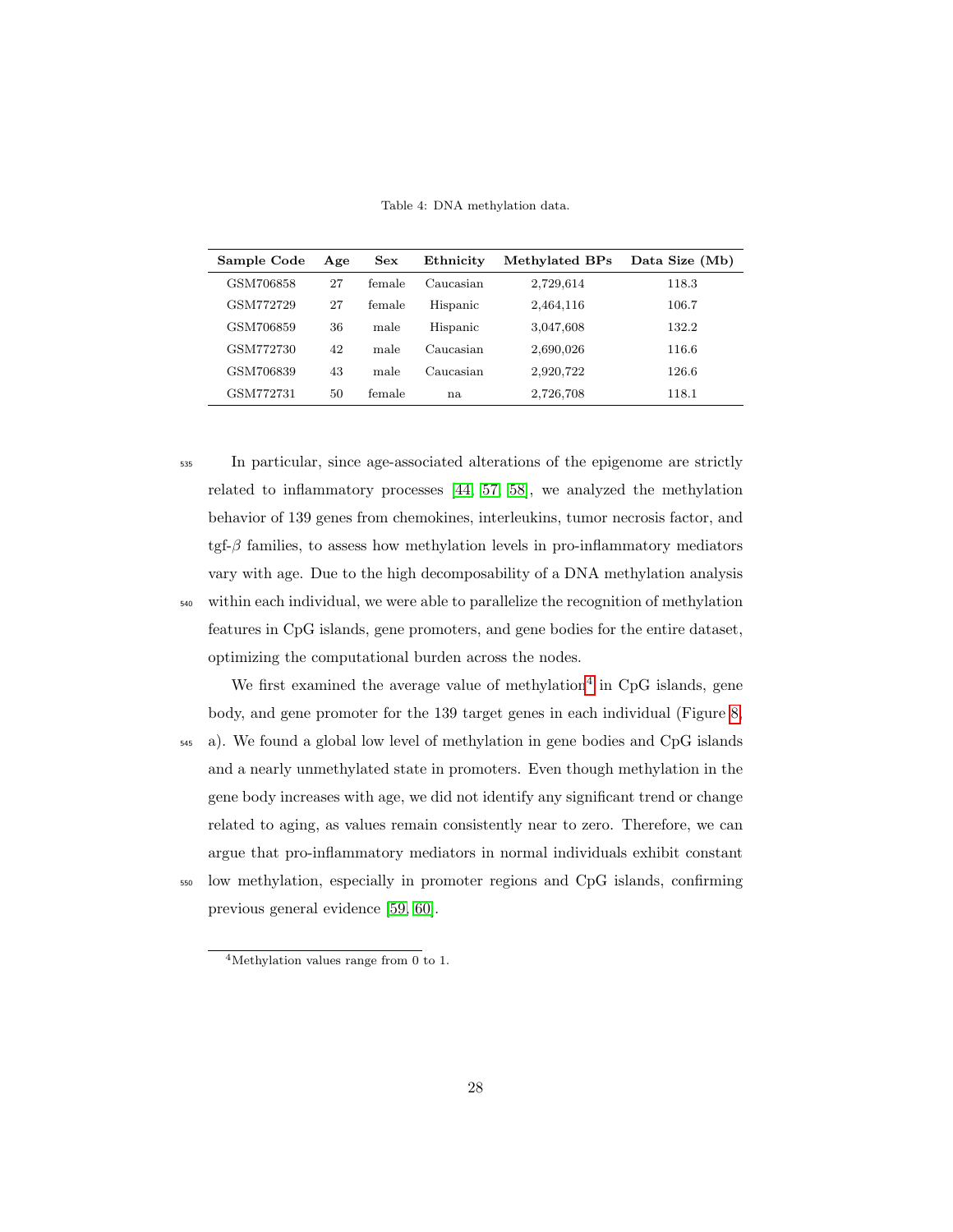Table 4: DNA methylation data.

| Sample Code | Age | Sex    | Ethnicity | Methylated BPs | Data Size (Mb) |
|-------------|-----|--------|-----------|----------------|----------------|
| GSM706858   | 27  | female | Caucasian | 2,729,614      | 118.3          |
| GSM772729   | 27  | female | Hispanic  | 2,464,116      | 106.7          |
| GSM706859   | 36  | male   | Hispanic  | 3,047,608      | 132.2          |
| GSM772730   | 42  | male   | Caucasian | 2,690,026      | 116.6          |
| GSM706839   | 43  | male   | Caucasian | 2,920,722      | 126.6          |
| GSM772731   | 50  | female | na.       | 2,726,708      | 118.1          |

<sup>535</sup> In particular, since age-associated alterations of the epigenome are strictly related to inflammatory processes [44, 57, 58], we analyzed the methylation behavior of 139 genes from chemokines, interleukins, tumor necrosis factor, and tgf- $\beta$  families, to assess how methylation levels in pro-inflammatory mediators vary with age. Due to the high decomposability of a DNA methylation analysis <sup>540</sup> within each individual, we were able to parallelize the recognition of methylation features in CpG islands, gene promoters, and gene bodies for the entire dataset, optimizing the computational burden across the nodes.

We first examined the average value of methylation<sup>4</sup> in CpG islands, gene body, and gene promoter for the 139 target genes in each individual (Figure 8,

- <sup>545</sup> a). We found a global low level of methylation in gene bodies and CpG islands and a nearly unmethylated state in promoters. Even though methylation in the gene body increases with age, we did not identify any significant trend or change related to aging, as values remain consistently near to zero. Therefore, we can argue that pro-inflammatory mediators in normal individuals exhibit constant
- <sup>550</sup> low methylation, especially in promoter regions and CpG islands, confirming previous general evidence [59, 60].

<sup>4</sup>Methylation values range from 0 to 1.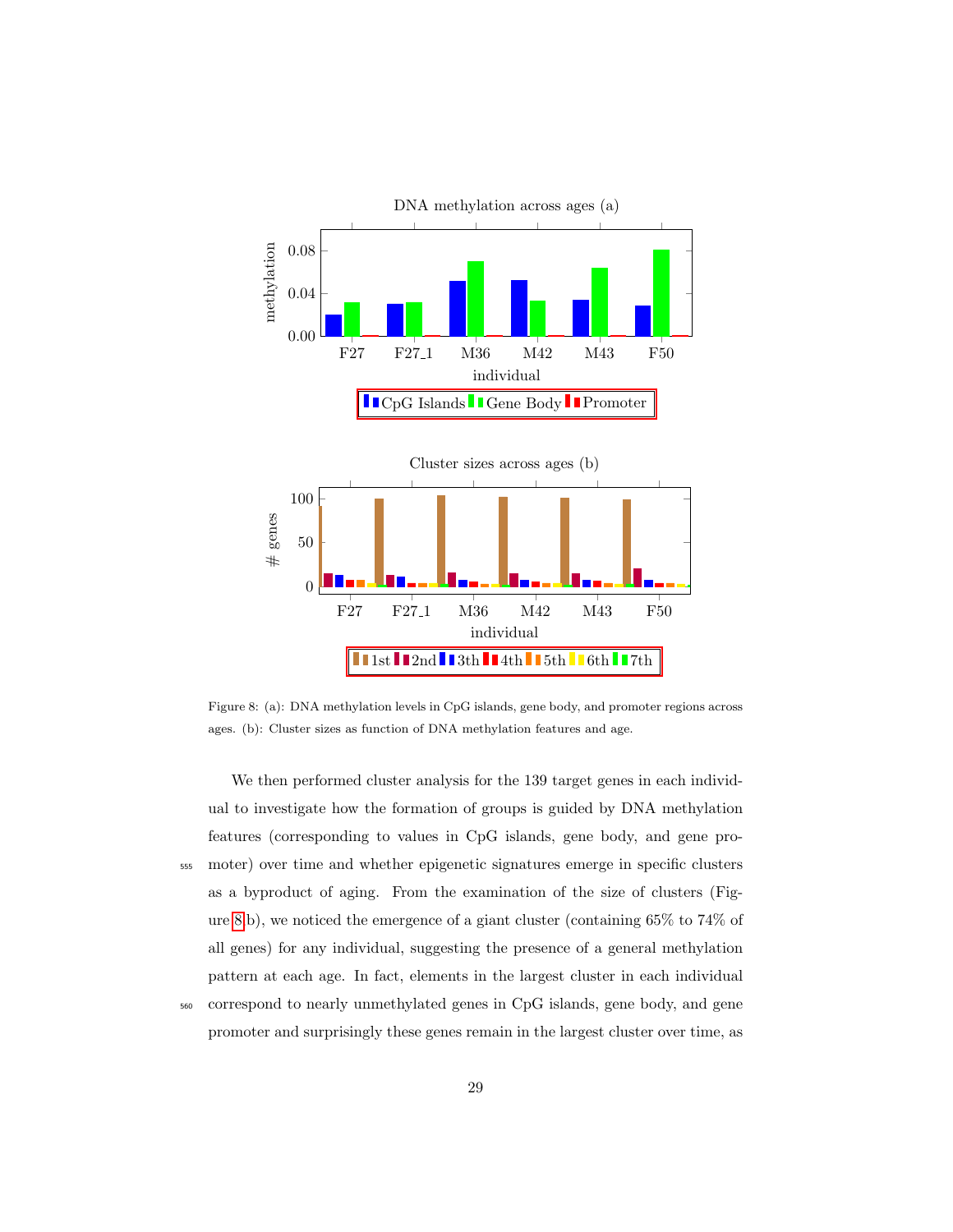

Figure 8: (a): DNA methylation levels in CpG islands, gene body, and promoter regions across ages. (b): Cluster sizes as function of DNA methylation features and age.

We then performed cluster analysis for the 139 target genes in each individual to investigate how the formation of groups is guided by DNA methylation features (corresponding to values in CpG islands, gene body, and gene pro-<sup>555</sup> moter) over time and whether epigenetic signatures emerge in specific clusters as a byproduct of aging. From the examination of the size of clusters (Figure 8,b), we noticed the emergence of a giant cluster (containing 65% to 74% of all genes) for any individual, suggesting the presence of a general methylation pattern at each age. In fact, elements in the largest cluster in each individual <sup>560</sup> correspond to nearly unmethylated genes in CpG islands, gene body, and gene promoter and surprisingly these genes remain in the largest cluster over time, as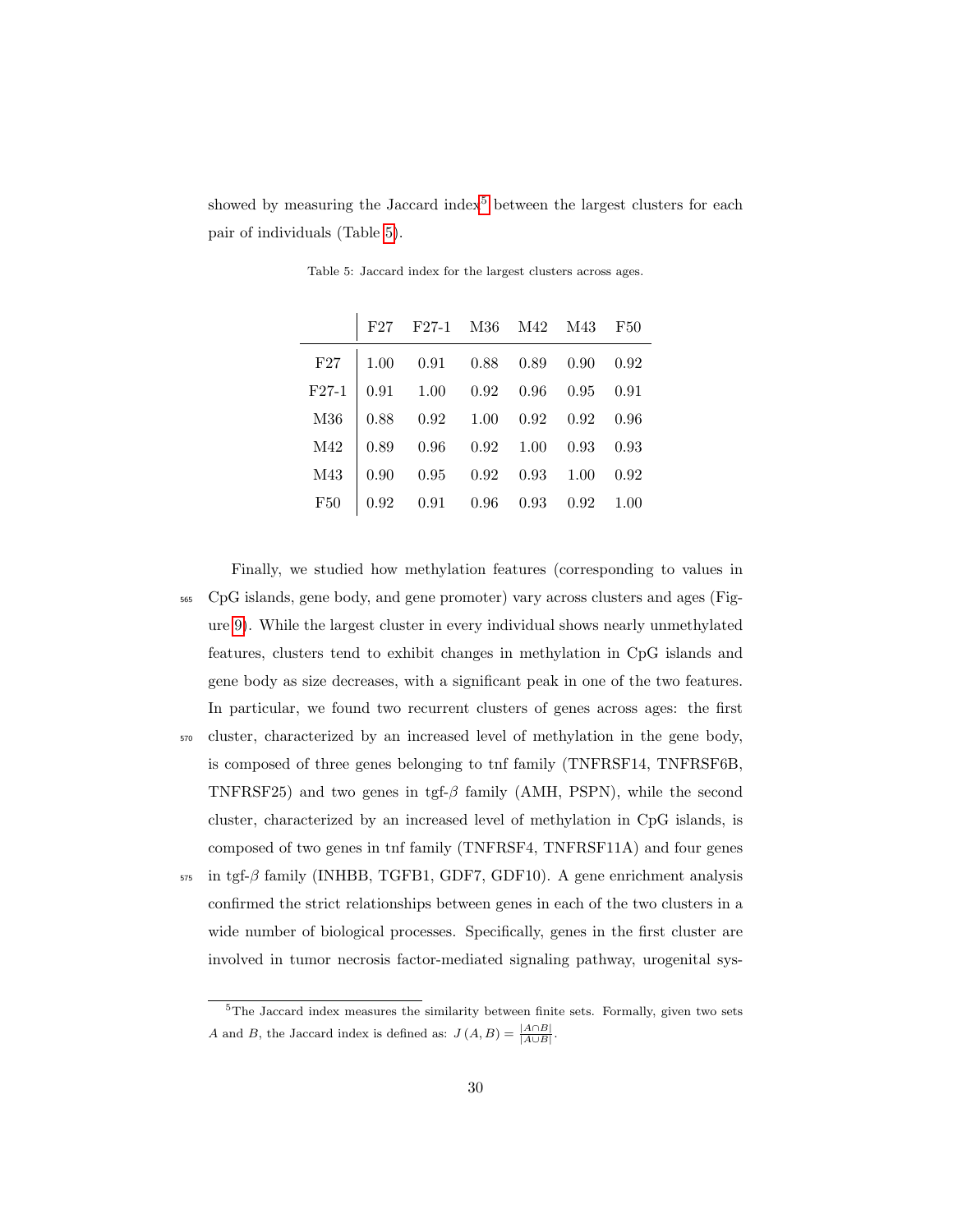showed by measuring the Jaccard index<sup>5</sup> between the largest clusters for each pair of individuals (Table 5).

|         | $\mathrm{F}27\quad\mathrm{F}27\text{-}1\quad\mathrm{M}36\quad\mathrm{M}42\quad\mathrm{M}43\quad\mathrm{F}50$ |  |  |
|---------|--------------------------------------------------------------------------------------------------------------|--|--|
|         | F27   $1.00$ 0.91 0.88 0.89 0.90 0.92                                                                        |  |  |
| $F27-1$ | $\begin{array}{cccccc} \n0.91 & 1.00 & 0.92 & 0.96 & 0.95 & 0.91\n\end{array}$                               |  |  |
| M36     | $0.88$ $0.92$ $1.00$ $0.92$ $0.92$ $0.96$                                                                    |  |  |
| M42     | $\begin{array}{cccccc} 0.89 & 0.96 & 0.92 & 1.00 & 0.93 & 0.93 \end{array}$                                  |  |  |
| M43     | $0.90$ $0.95$ $0.92$ $0.93$ $1.00$ $0.92$                                                                    |  |  |
| F50     | $\begin{array}{cccccc} 0.92 & 0.91 & 0.96 & 0.93 & 0.92 & 1.00 \end{array}$                                  |  |  |

Table 5: Jaccard index for the largest clusters across ages.

Finally, we studied how methylation features (corresponding to values in <sup>565</sup> CpG islands, gene body, and gene promoter) vary across clusters and ages (Figure 9). While the largest cluster in every individual shows nearly unmethylated features, clusters tend to exhibit changes in methylation in CpG islands and gene body as size decreases, with a significant peak in one of the two features. In particular, we found two recurrent clusters of genes across ages: the first <sup>570</sup> cluster, characterized by an increased level of methylation in the gene body, is composed of three genes belonging to tnf family (TNFRSF14, TNFRSF6B, TNFRSF25) and two genes in tgf- $\beta$  family (AMH, PSPN), while the second cluster, characterized by an increased level of methylation in CpG islands, is composed of two genes in tnf family (TNFRSF4, TNFRSF11A) and four genes  $575$  in tgf- $\beta$  family (INHBB, TGFB1, GDF7, GDF10). A gene enrichment analysis confirmed the strict relationships between genes in each of the two clusters in a wide number of biological processes. Specifically, genes in the first cluster are

involved in tumor necrosis factor-mediated signaling pathway, urogenital sys-

 $5$ The Jaccard index measures the similarity between finite sets. Formally, given two sets A and B, the Jaccard index is defined as:  $J(A, B) = \frac{|A \cap B|}{|A \cup B|}$ .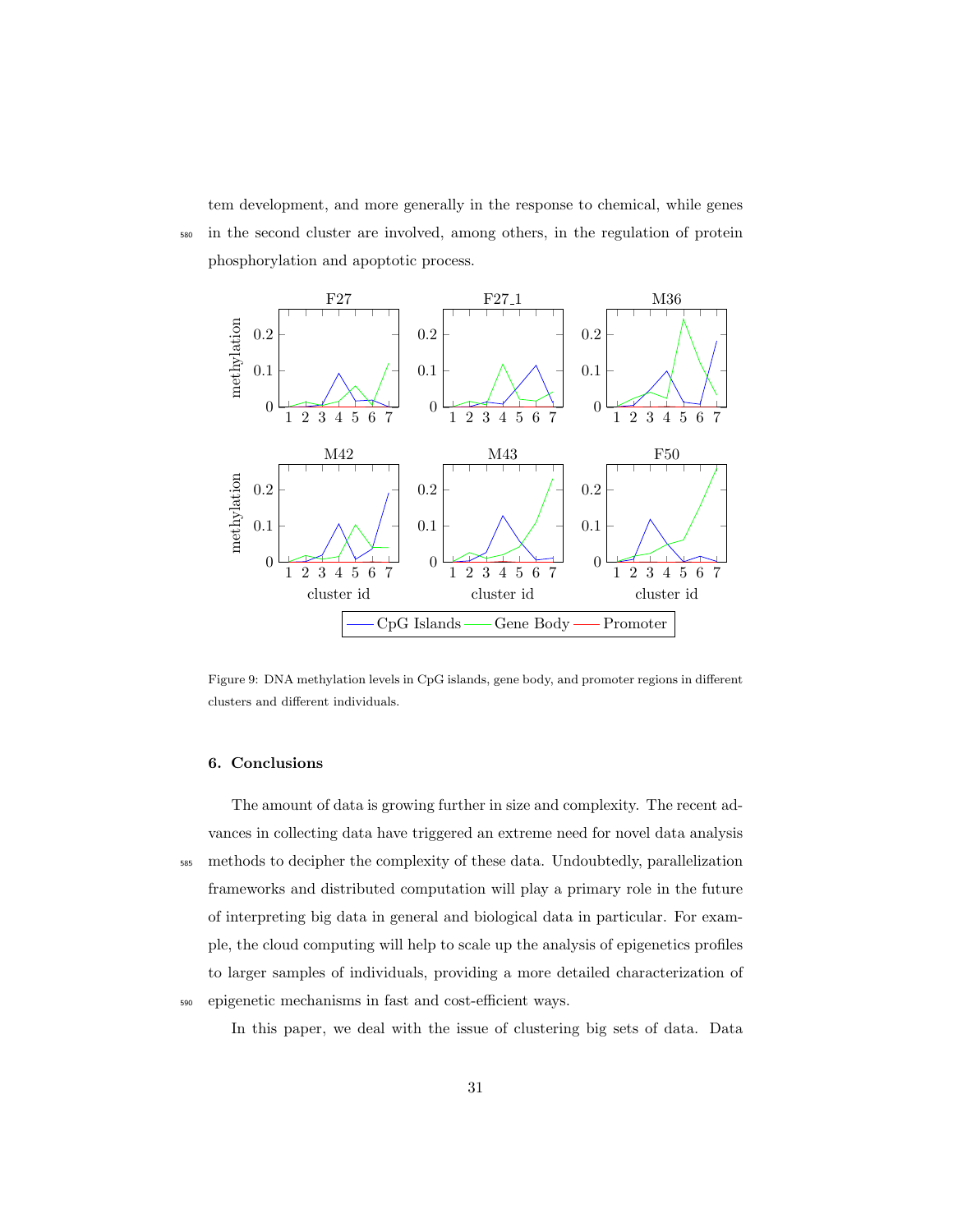tem development, and more generally in the response to chemical, while genes <sup>580</sup> in the second cluster are involved, among others, in the regulation of protein phosphorylation and apoptotic process.



Figure 9: DNA methylation levels in CpG islands, gene body, and promoter regions in different clusters and different individuals.

# 6. Conclusions

The amount of data is growing further in size and complexity. The recent advances in collecting data have triggered an extreme need for novel data analysis <sup>585</sup> methods to decipher the complexity of these data. Undoubtedly, parallelization frameworks and distributed computation will play a primary role in the future of interpreting big data in general and biological data in particular. For example, the cloud computing will help to scale up the analysis of epigenetics profiles to larger samples of individuals, providing a more detailed characterization of <sup>590</sup> epigenetic mechanisms in fast and cost-efficient ways.

In this paper, we deal with the issue of clustering big sets of data. Data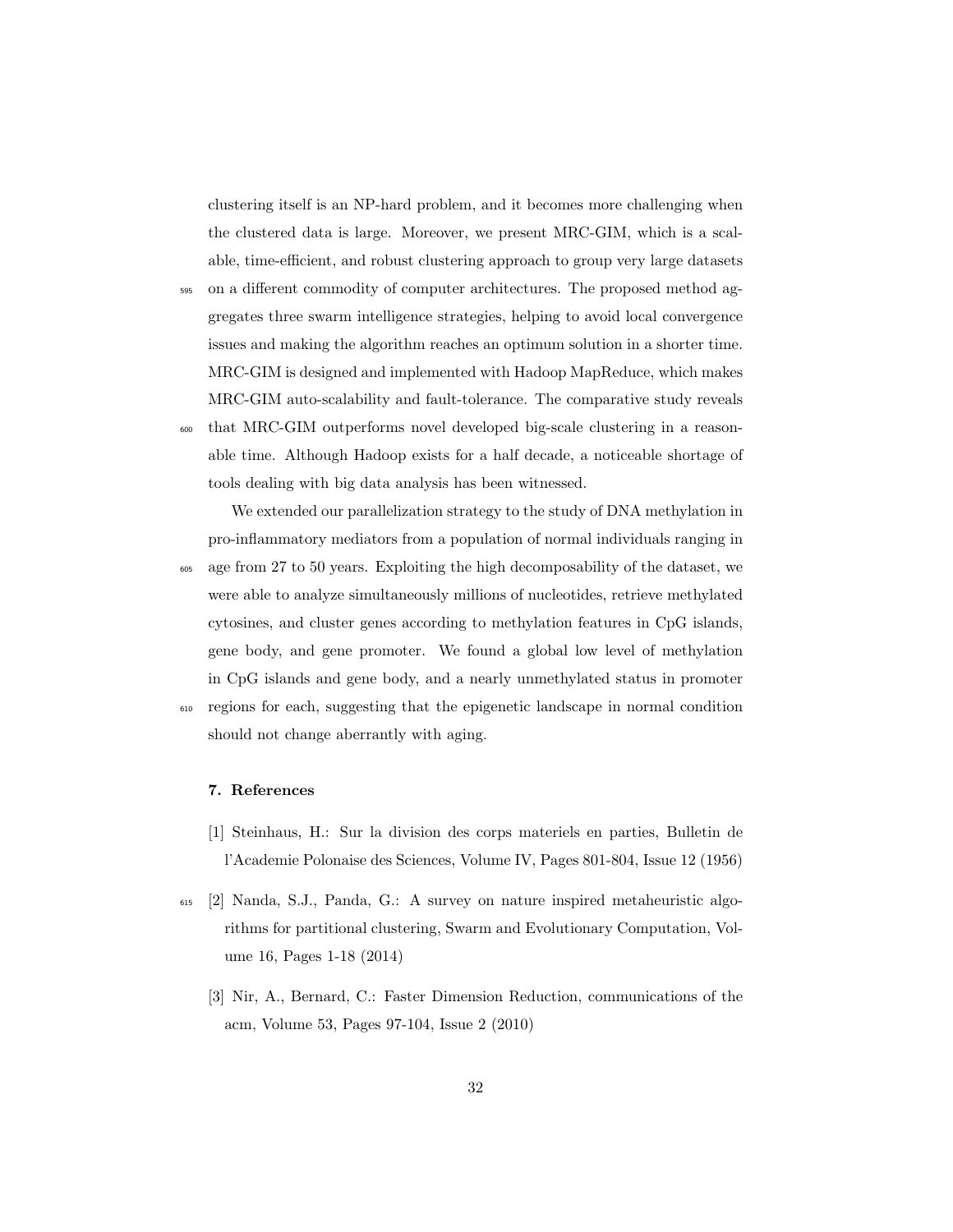clustering itself is an NP-hard problem, and it becomes more challenging when the clustered data is large. Moreover, we present MRC-GIM, which is a scalable, time-efficient, and robust clustering approach to group very large datasets

- <sup>595</sup> on a different commodity of computer architectures. The proposed method aggregates three swarm intelligence strategies, helping to avoid local convergence issues and making the algorithm reaches an optimum solution in a shorter time. MRC-GIM is designed and implemented with Hadoop MapReduce, which makes MRC-GIM auto-scalability and fault-tolerance. The comparative study reveals
- <sup>600</sup> that MRC-GIM outperforms novel developed big-scale clustering in a reasonable time. Although Hadoop exists for a half decade, a noticeable shortage of tools dealing with big data analysis has been witnessed.

We extended our parallelization strategy to the study of DNA methylation in pro-inflammatory mediators from a population of normal individuals ranging in <sup>605</sup> age from 27 to 50 years. Exploiting the high decomposability of the dataset, we were able to analyze simultaneously millions of nucleotides, retrieve methylated cytosines, and cluster genes according to methylation features in CpG islands, gene body, and gene promoter. We found a global low level of methylation in CpG islands and gene body, and a nearly unmethylated status in promoter <sup>610</sup> regions for each, suggesting that the epigenetic landscape in normal condition should not change aberrantly with aging.

### 7. References

- [1] Steinhaus, H.: Sur la division des corps materiels en parties, Bulletin de l'Academie Polonaise des Sciences, Volume IV, Pages 801-804, Issue 12 (1956)
- <sup>615</sup> [2] Nanda, S.J., Panda, G.: A survey on nature inspired metaheuristic algorithms for partitional clustering, Swarm and Evolutionary Computation, Volume 16, Pages 1-18 (2014)
	- [3] Nir, A., Bernard, C.: Faster Dimension Reduction, communications of the acm, Volume 53, Pages 97-104, Issue 2 (2010)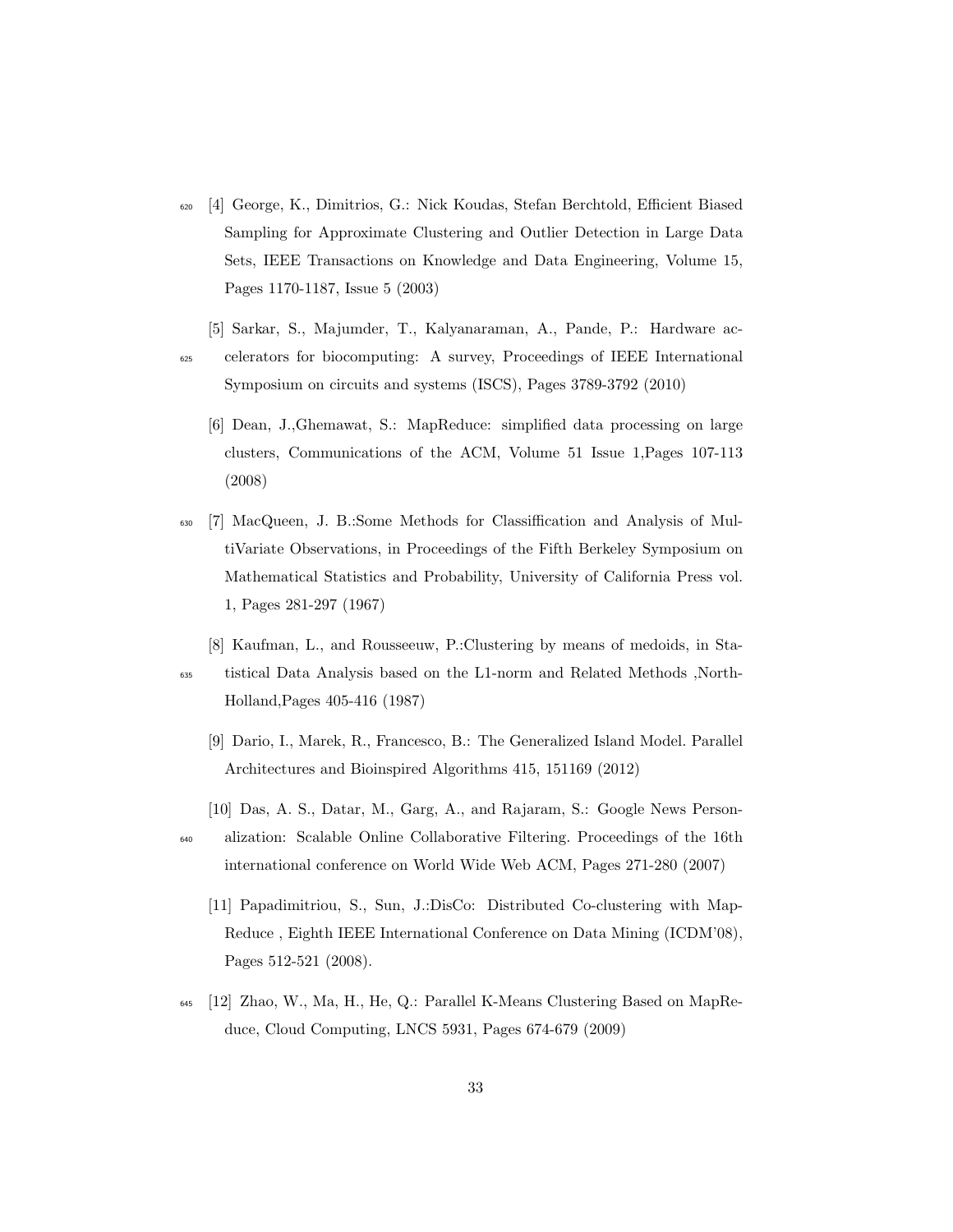- <sup>620</sup> [4] George, K., Dimitrios, G.: Nick Koudas, Stefan Berchtold, Efficient Biased Sampling for Approximate Clustering and Outlier Detection in Large Data Sets, IEEE Transactions on Knowledge and Data Engineering, Volume 15, Pages 1170-1187, Issue 5 (2003)
- [5] Sarkar, S., Majumder, T., Kalyanaraman, A., Pande, P.: Hardware ac-<sup>625</sup> celerators for biocomputing: A survey, Proceedings of IEEE International Symposium on circuits and systems (ISCS), Pages 3789-3792 (2010)
	- [6] Dean, J.,Ghemawat, S.: MapReduce: simplified data processing on large clusters, Communications of the ACM, Volume 51 Issue 1,Pages 107-113 (2008)
- <sup>630</sup> [7] MacQueen, J. B.:Some Methods for Classiffication and Analysis of MultiVariate Observations, in Proceedings of the Fifth Berkeley Symposium on Mathematical Statistics and Probability, University of California Press vol. 1, Pages 281-297 (1967)
- [8] Kaufman, L., and Rousseeuw, P.:Clustering by means of medoids, in Sta-<sup>635</sup> tistical Data Analysis based on the L1-norm and Related Methods ,North-Holland,Pages 405-416 (1987)
	- [9] Dario, I., Marek, R., Francesco, B.: The Generalized Island Model. Parallel Architectures and Bioinspired Algorithms 415, 151169 (2012)
- [10] Das, A. S., Datar, M., Garg, A., and Rajaram, S.: Google News Person-<sup>640</sup> alization: Scalable Online Collaborative Filtering. Proceedings of the 16th international conference on World Wide Web ACM, Pages 271-280 (2007)
	- [11] Papadimitriou, S., Sun, J.:DisCo: Distributed Co-clustering with Map-Reduce , Eighth IEEE International Conference on Data Mining (ICDM'08), Pages 512-521 (2008).
- <sup>645</sup> [12] Zhao, W., Ma, H., He, Q.: Parallel K-Means Clustering Based on MapReduce, Cloud Computing, LNCS 5931, Pages 674-679 (2009)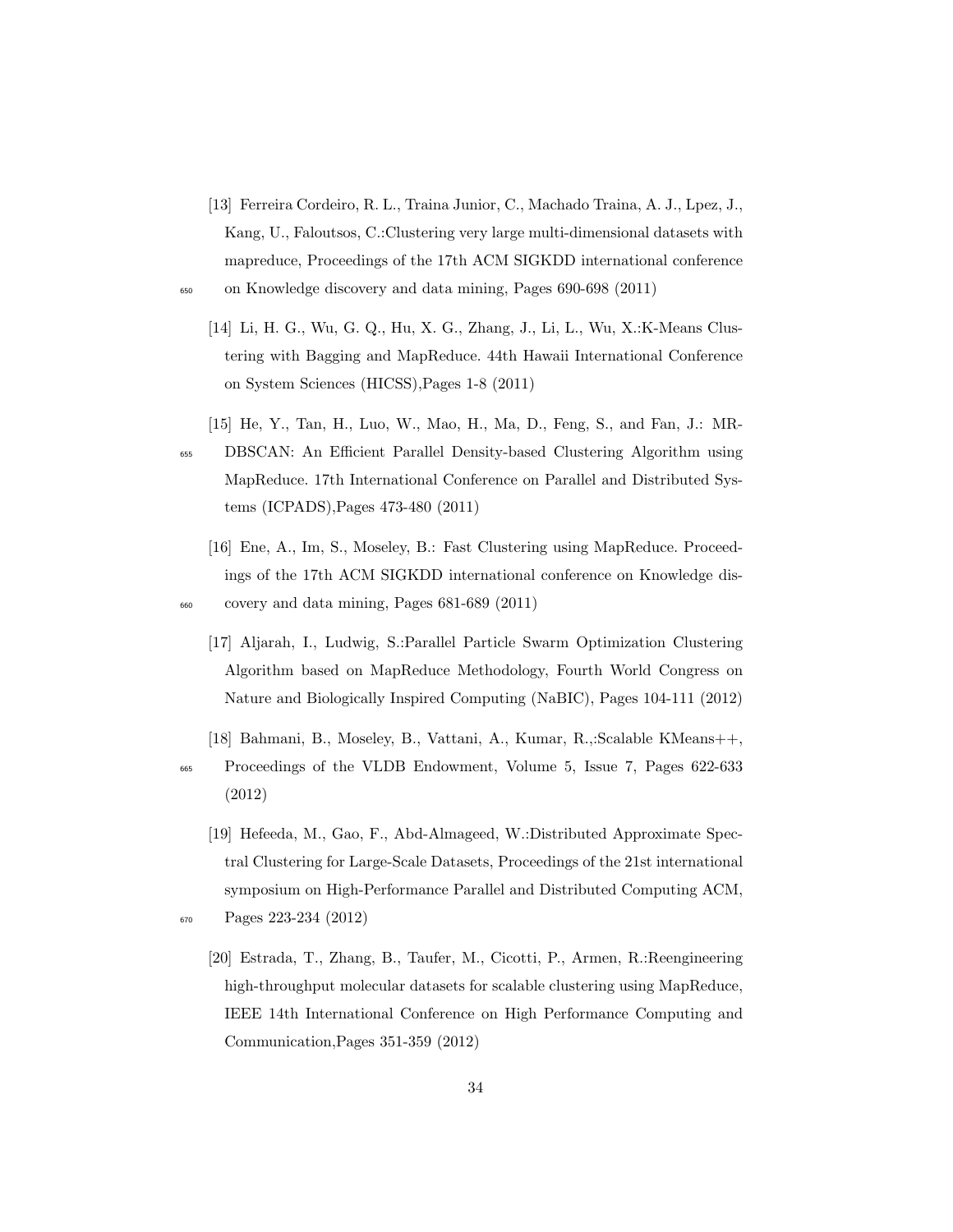- [13] Ferreira Cordeiro, R. L., Traina Junior, C., Machado Traina, A. J., Lpez, J., Kang, U., Faloutsos, C.:Clustering very large multi-dimensional datasets with mapreduce, Proceedings of the 17th ACM SIGKDD international conference <sup>650</sup> on Knowledge discovery and data mining, Pages 690-698 (2011)
	- [14] Li, H. G., Wu, G. Q., Hu, X. G., Zhang, J., Li, L., Wu, X.:K-Means Clustering with Bagging and MapReduce. 44th Hawaii International Conference on System Sciences (HICSS),Pages 1-8 (2011)
- [15] He, Y., Tan, H., Luo, W., Mao, H., Ma, D., Feng, S., and Fan, J.: MR-<sup>655</sup> DBSCAN: An Efficient Parallel Density-based Clustering Algorithm using MapReduce. 17th International Conference on Parallel and Distributed Systems (ICPADS),Pages 473-480 (2011)
- [16] Ene, A., Im, S., Moseley, B.: Fast Clustering using MapReduce. Proceedings of the 17th ACM SIGKDD international conference on Knowledge dis-<sup>660</sup> covery and data mining, Pages 681-689 (2011)
	- [17] Aljarah, I., Ludwig, S.:Parallel Particle Swarm Optimization Clustering Algorithm based on MapReduce Methodology, Fourth World Congress on Nature and Biologically Inspired Computing (NaBIC), Pages 104-111 (2012)
	- [18] Bahmani, B., Moseley, B., Vattani, A., Kumar, R.,:Scalable KMeans++,
- <sup>665</sup> Proceedings of the VLDB Endowment, Volume 5, Issue 7, Pages 622-633 (2012)
- [19] Hefeeda, M., Gao, F., Abd-Almageed, W.:Distributed Approximate Spectral Clustering for Large-Scale Datasets, Proceedings of the 21st international symposium on High-Performance Parallel and Distributed Computing ACM, <sup>670</sup> Pages 223-234 (2012)
	- [20] Estrada, T., Zhang, B., Taufer, M., Cicotti, P., Armen, R.:Reengineering high-throughput molecular datasets for scalable clustering using MapReduce, IEEE 14th International Conference on High Performance Computing and Communication,Pages 351-359 (2012)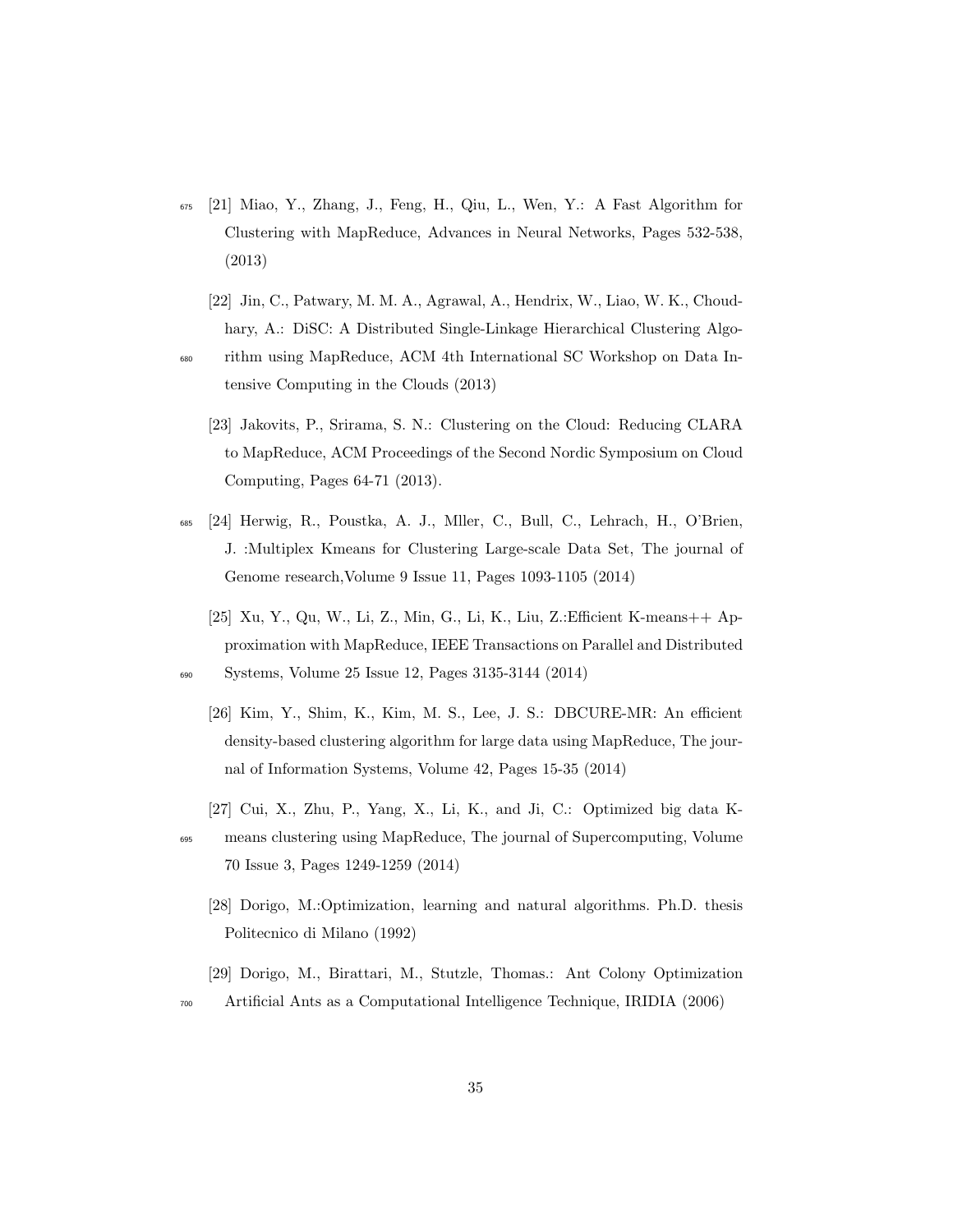- <sup>675</sup> [21] Miao, Y., Zhang, J., Feng, H., Qiu, L., Wen, Y.: A Fast Algorithm for Clustering with MapReduce, Advances in Neural Networks, Pages 532-538, (2013)
	- [22] Jin, C., Patwary, M. M. A., Agrawal, A., Hendrix, W., Liao, W. K., Choudhary, A.: DiSC: A Distributed Single-Linkage Hierarchical Clustering Algo-
- <sup>680</sup> rithm using MapReduce, ACM 4th International SC Workshop on Data Intensive Computing in the Clouds (2013)
	- [23] Jakovits, P., Srirama, S. N.: Clustering on the Cloud: Reducing CLARA to MapReduce, ACM Proceedings of the Second Nordic Symposium on Cloud Computing, Pages 64-71 (2013).
- <sup>685</sup> [24] Herwig, R., Poustka, A. J., Mller, C., Bull, C., Lehrach, H., O'Brien, J. :Multiplex Kmeans for Clustering Large-scale Data Set, The journal of Genome research,Volume 9 Issue 11, Pages 1093-1105 (2014)
	- [25] Xu, Y., Qu, W., Li, Z., Min, G., Li, K., Liu, Z.:Efficient K-means++ Approximation with MapReduce, IEEE Transactions on Parallel and Distributed

<sup>690</sup> Systems, Volume 25 Issue 12, Pages 3135-3144 (2014)

- [26] Kim, Y., Shim, K., Kim, M. S., Lee, J. S.: DBCURE-MR: An efficient density-based clustering algorithm for large data using MapReduce, The journal of Information Systems, Volume 42, Pages 15-35 (2014)
- [27] Cui, X., Zhu, P., Yang, X., Li, K., and Ji, C.: Optimized big data K-<sup>695</sup> means clustering using MapReduce, The journal of Supercomputing, Volume 70 Issue 3, Pages 1249-1259 (2014)
	- [28] Dorigo, M.:Optimization, learning and natural algorithms. Ph.D. thesis Politecnico di Milano (1992)
	- [29] Dorigo, M., Birattari, M., Stutzle, Thomas.: Ant Colony Optimization
- <sup>700</sup> Artificial Ants as a Computational Intelligence Technique, IRIDIA (2006)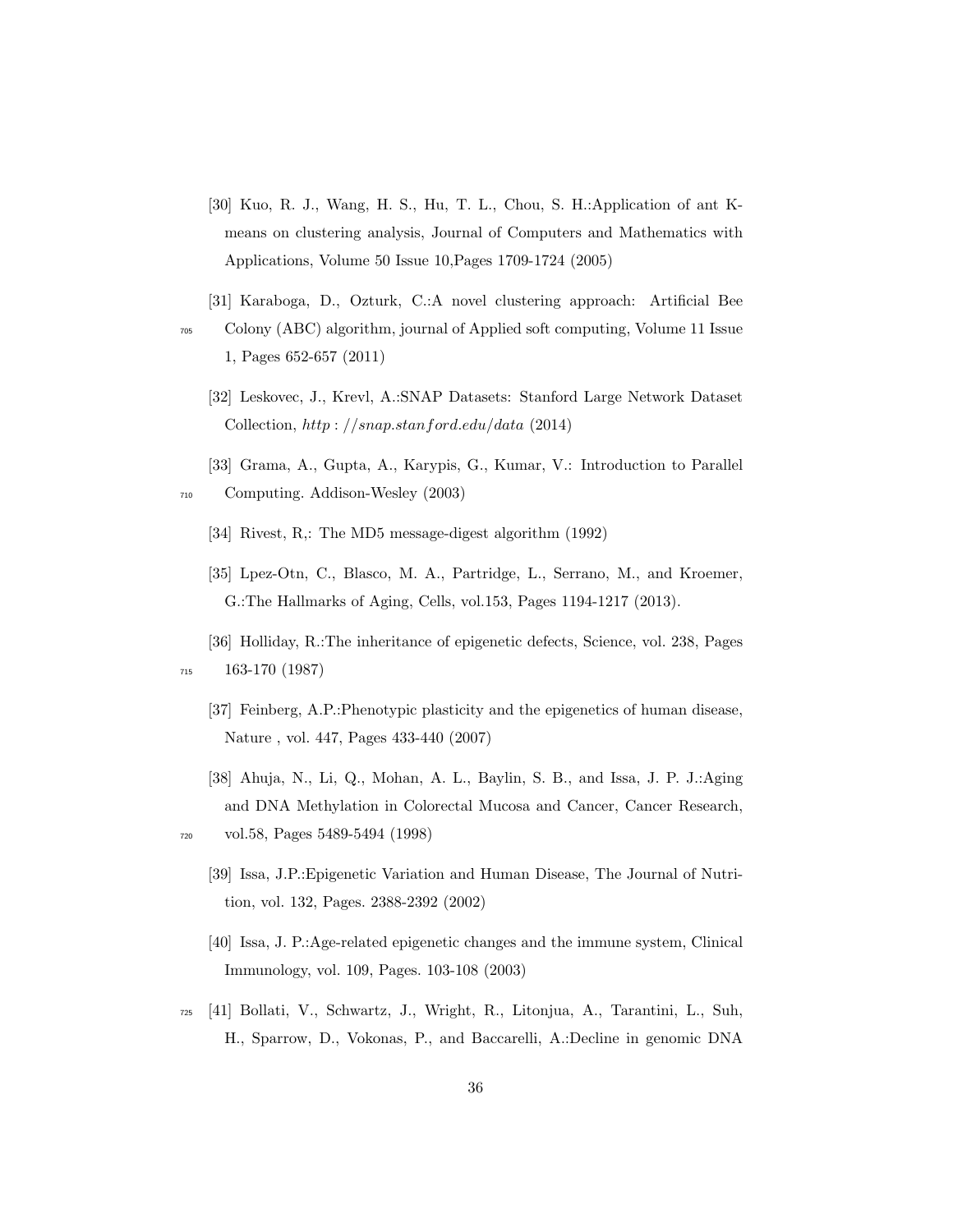- [30] Kuo, R. J., Wang, H. S., Hu, T. L., Chou, S. H.:Application of ant Kmeans on clustering analysis, Journal of Computers and Mathematics with Applications, Volume 50 Issue 10,Pages 1709-1724 (2005)
- [31] Karaboga, D., Ozturk, C.:A novel clustering approach: Artificial Bee <sup>705</sup> Colony (ABC) algorithm, journal of Applied soft computing, Volume 11 Issue 1, Pages 652-657 (2011)
	- [32] Leskovec, J., Krevl, A.:SNAP Datasets: Stanford Large Network Dataset Collection, http : //snap.stanford.edu/data (2014)
- [33] Grama, A., Gupta, A., Karypis, G., Kumar, V.: Introduction to Parallel <sup>710</sup> Computing. Addison-Wesley (2003)
	- [34] Rivest, R,: The MD5 message-digest algorithm (1992)
	- [35] Lpez-Otn, C., Blasco, M. A., Partridge, L., Serrano, M., and Kroemer, G.:The Hallmarks of Aging, Cells, vol.153, Pages 1194-1217 (2013).
	- [36] Holliday, R.:The inheritance of epigenetic defects, Science, vol. 238, Pages

<sup>715</sup> 163-170 (1987)

- [37] Feinberg, A.P.:Phenotypic plasticity and the epigenetics of human disease, Nature , vol. 447, Pages 433-440 (2007)
- [38] Ahuja, N., Li, Q., Mohan, A. L., Baylin, S. B., and Issa, J. P. J.:Aging and DNA Methylation in Colorectal Mucosa and Cancer, Cancer Research, <sup>720</sup> vol.58, Pages 5489-5494 (1998)
- - [39] Issa, J.P.:Epigenetic Variation and Human Disease, The Journal of Nutrition, vol. 132, Pages. 2388-2392 (2002)
	- [40] Issa, J. P.:Age-related epigenetic changes and the immune system, Clinical Immunology, vol. 109, Pages. 103-108 (2003)
- <sup>725</sup> [41] Bollati, V., Schwartz, J., Wright, R., Litonjua, A., Tarantini, L., Suh, H., Sparrow, D., Vokonas, P., and Baccarelli, A.:Decline in genomic DNA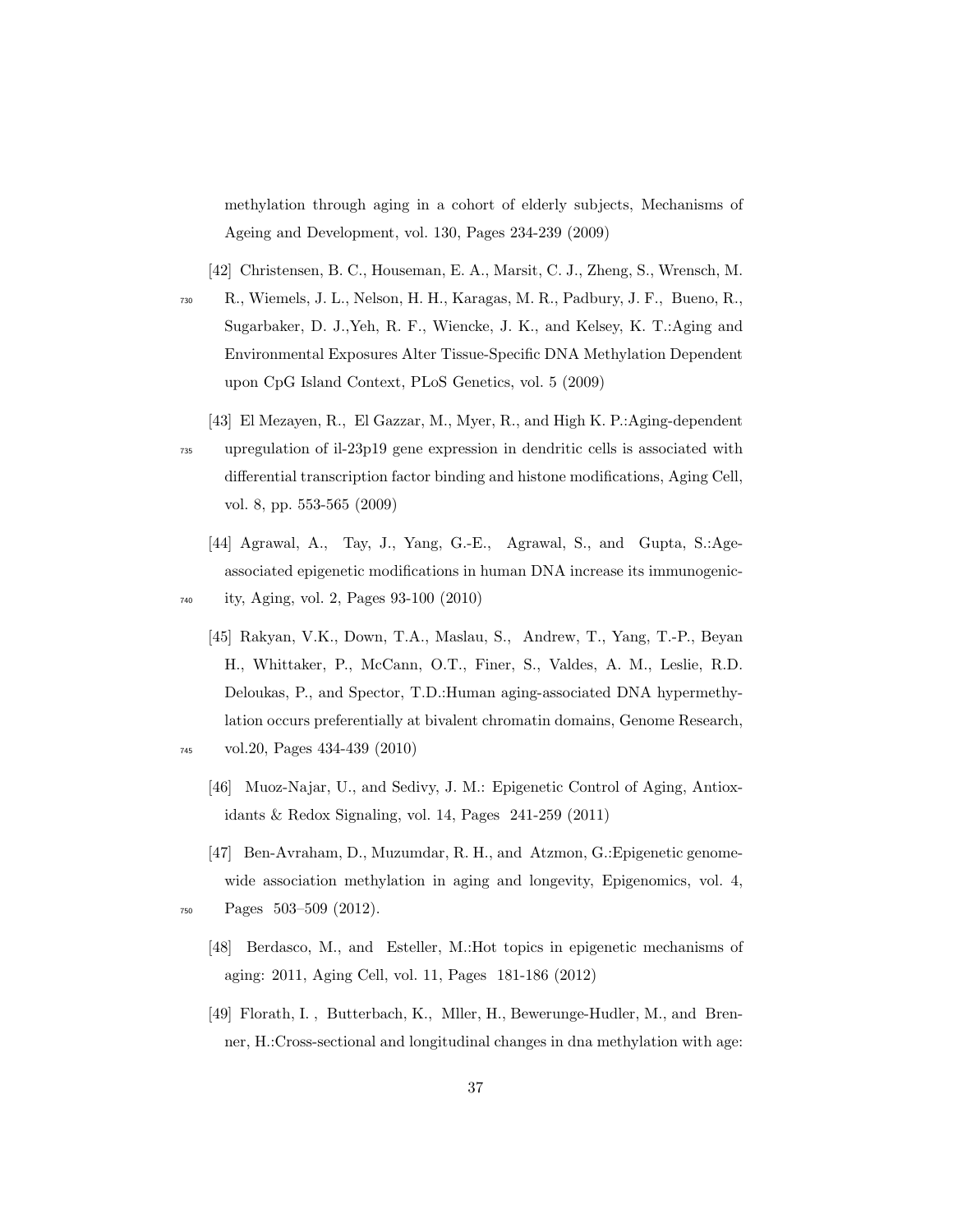methylation through aging in a cohort of elderly subjects, Mechanisms of Ageing and Development, vol. 130, Pages 234-239 (2009)

[42] Christensen, B. C., Houseman, E. A., Marsit, C. J., Zheng, S., Wrensch, M.

- <sup>730</sup> R., Wiemels, J. L., Nelson, H. H., Karagas, M. R., Padbury, J. F., Bueno, R., Sugarbaker, D. J.,Yeh, R. F., Wiencke, J. K., and Kelsey, K. T.:Aging and Environmental Exposures Alter Tissue-Specific DNA Methylation Dependent upon CpG Island Context, PLoS Genetics, vol. 5 (2009)
- [43] El Mezayen, R., El Gazzar, M., Myer, R., and High K. P.:Aging-dependent <sup>735</sup> upregulation of il-23p19 gene expression in dendritic cells is associated with differential transcription factor binding and histone modifications, Aging Cell, vol. 8, pp. 553-565 (2009)
	- [44] Agrawal, A., Tay, J., Yang, G.-E., Agrawal, S., and Gupta, S.:Ageassociated epigenetic modifications in human DNA increase its immunogenic-

<sup>740</sup> ity, Aging, vol. 2, Pages 93-100 (2010)

- [45] Rakyan, V.K., Down, T.A., Maslau, S., Andrew, T., Yang, T.-P., Beyan H., Whittaker, P., McCann, O.T., Finer, S., Valdes, A. M., Leslie, R.D. Deloukas, P., and Spector, T.D.:Human aging-associated DNA hypermethylation occurs preferentially at bivalent chromatin domains, Genome Research,
- <sup>745</sup> vol.20, Pages 434-439 (2010)
	- [46] Muoz-Najar, U., and Sedivy, J. M.: Epigenetic Control of Aging, Antioxidants & Redox Signaling, vol. 14, Pages 241-259 (2011)
- [47] Ben-Avraham, D., Muzumdar, R. H., and Atzmon, G.:Epigenetic genomewide association methylation in aging and longevity, Epigenomics, vol. 4, <sup>750</sup> Pages 503–509 (2012).
- 
- [48] Berdasco, M., and Esteller, M.:Hot topics in epigenetic mechanisms of aging: 2011, Aging Cell, vol. 11, Pages 181-186 (2012)
- [49] Florath, I. , Butterbach, K., Mller, H., Bewerunge-Hudler, M., and Brenner, H.:Cross-sectional and longitudinal changes in dna methylation with age: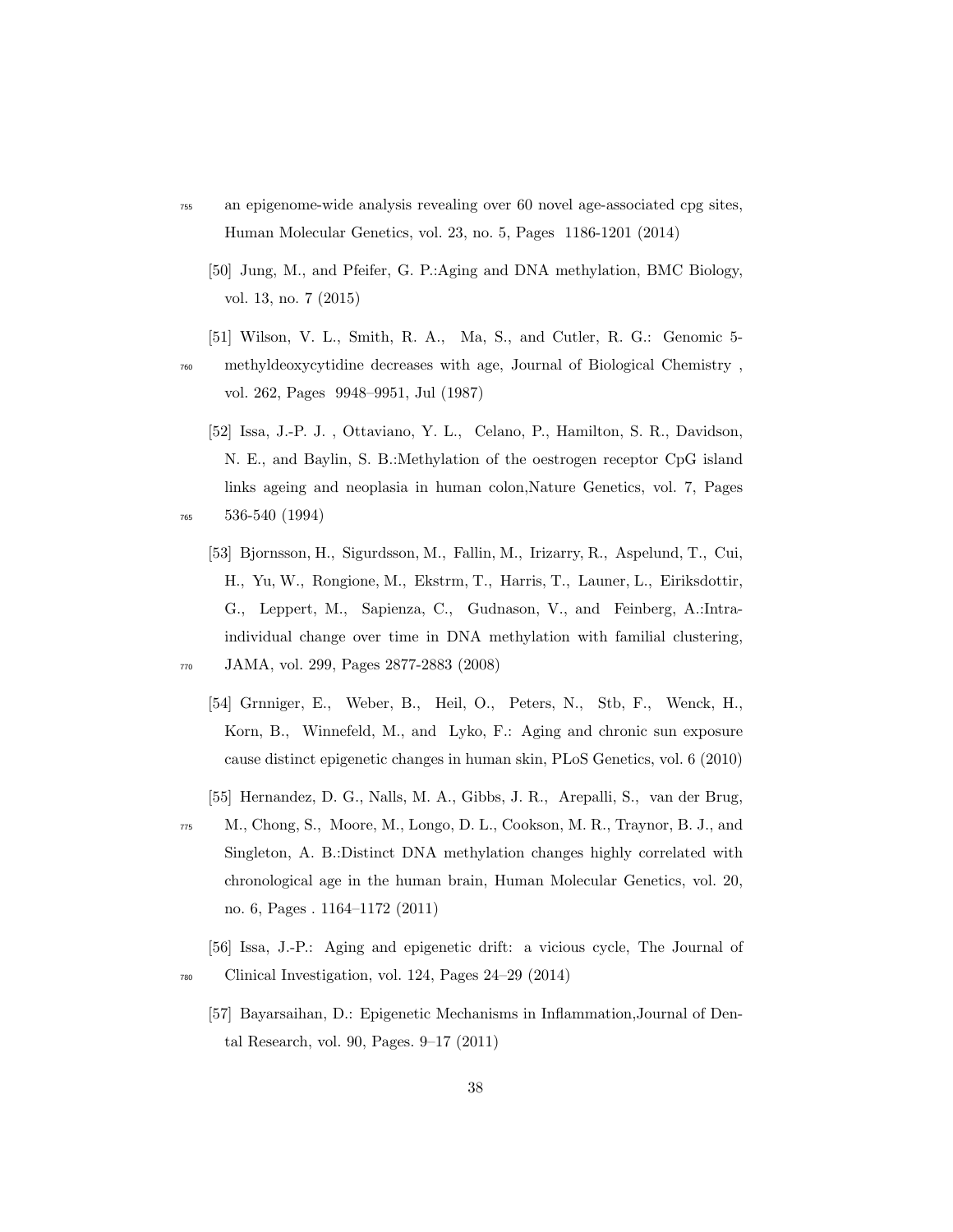- <sup>755</sup> an epigenome-wide analysis revealing over 60 novel age-associated cpg sites, Human Molecular Genetics, vol. 23, no. 5, Pages 1186-1201 (2014)
	- [50] Jung, M., and Pfeifer, G. P.:Aging and DNA methylation, BMC Biology, vol. 13, no. 7 (2015)
	- [51] Wilson, V. L., Smith, R. A., Ma, S., and Cutler, R. G.: Genomic 5-
- <sup>760</sup> methyldeoxycytidine decreases with age, Journal of Biological Chemistry , vol. 262, Pages 9948–9951, Jul (1987)
- [52] Issa, J.-P. J. , Ottaviano, Y. L., Celano, P., Hamilton, S. R., Davidson, N. E., and Baylin, S. B.:Methylation of the oestrogen receptor CpG island links ageing and neoplasia in human colon,Nature Genetics, vol. 7, Pages <sup>765</sup> 536-540 (1994)
	- [53] Bjornsson, H., Sigurdsson, M., Fallin, M., Irizarry, R., Aspelund, T., Cui, H., Yu, W., Rongione, M., Ekstrm, T., Harris, T., Launer, L., Eiriksdottir, G., Leppert, M., Sapienza, C., Gudnason, V., and Feinberg, A.:Intraindividual change over time in DNA methylation with familial clustering,
- 
- <sup>770</sup> JAMA, vol. 299, Pages 2877-2883 (2008)
	- [54] Grnniger, E., Weber, B., Heil, O., Peters, N., Stb, F., Wenck, H., Korn, B., Winnefeld, M., and Lyko, F.: Aging and chronic sun exposure cause distinct epigenetic changes in human skin, PLoS Genetics, vol. 6 (2010)
	- [55] Hernandez, D. G., Nalls, M. A., Gibbs, J. R., Arepalli, S., van der Brug,
- <sup>775</sup> M., Chong, S., Moore, M., Longo, D. L., Cookson, M. R., Traynor, B. J., and Singleton, A. B.:Distinct DNA methylation changes highly correlated with chronological age in the human brain, Human Molecular Genetics, vol. 20, no. 6, Pages . 1164–1172 (2011)
- [56] Issa, J.-P.: Aging and epigenetic drift: a vicious cycle, The Journal of <sup>780</sup> Clinical Investigation, vol. 124, Pages 24–29 (2014)
	- [57] Bayarsaihan, D.: Epigenetic Mechanisms in Inflammation,Journal of Dental Research, vol. 90, Pages. 9–17 (2011)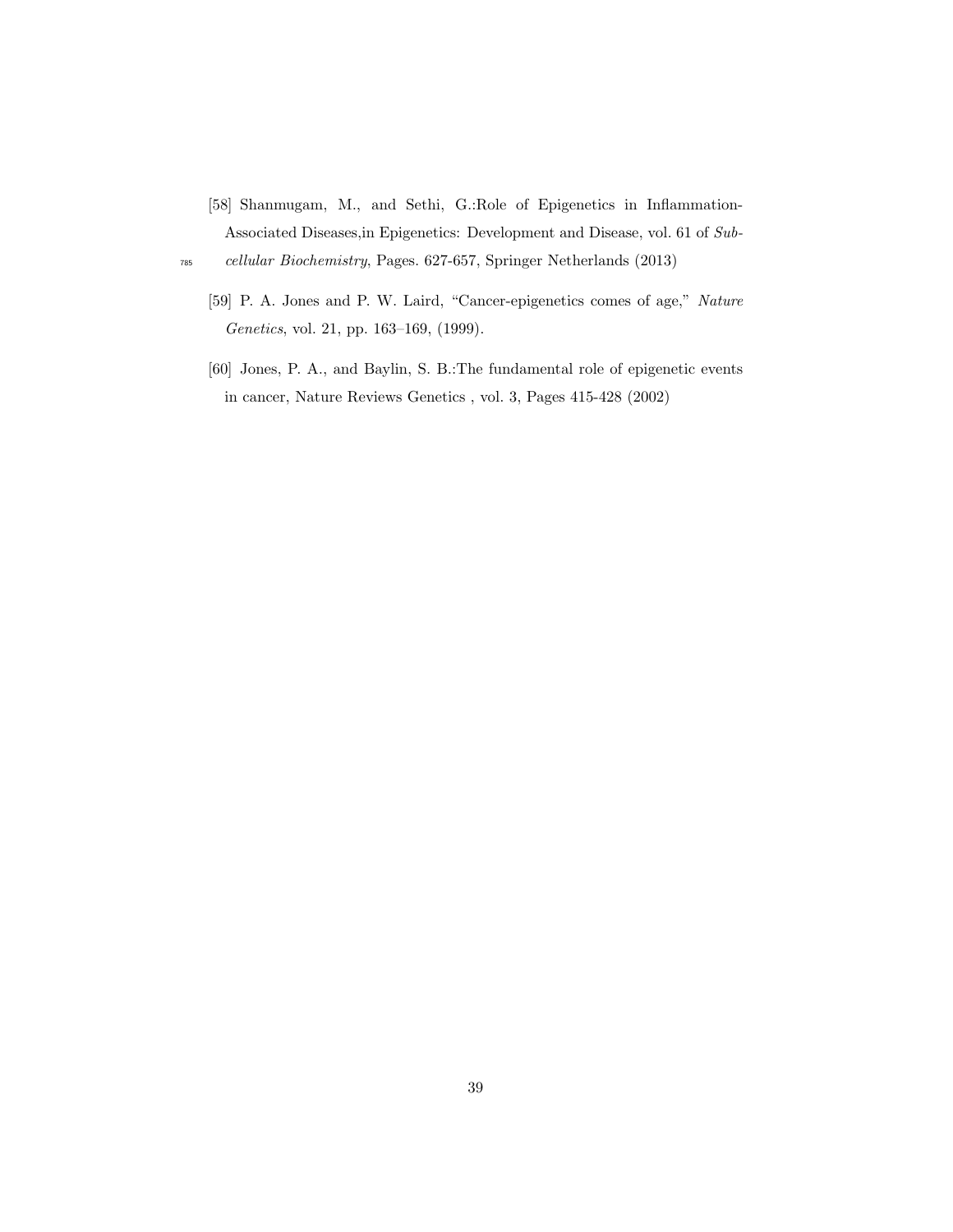[58] Shanmugam, M., and Sethi, G.:Role of Epigenetics in Inflammation-Associated Diseases,in Epigenetics: Development and Disease, vol. 61 of Sub-

<sup>785</sup> cellular Biochemistry, Pages. 627-657, Springer Netherlands (2013)

- [59] P. A. Jones and P. W. Laird, "Cancer-epigenetics comes of age," Nature Genetics, vol. 21, pp. 163–169, (1999).
- [60] Jones, P. A., and Baylin, S. B.:The fundamental role of epigenetic events in cancer, Nature Reviews Genetics , vol. 3, Pages 415-428 (2002)